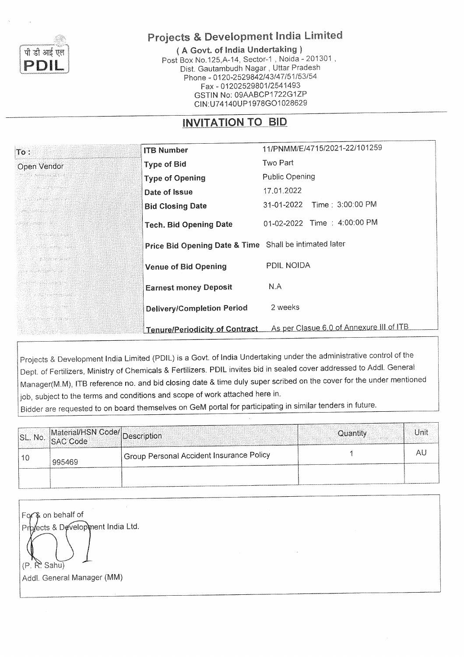

# Projects & Development India Limited

(A Govt. of India Undertaking) Post Box No.125, A-14, Sector-1, Noida - 201301, Dist. Gautambudh Nagar, Uttar Pradesh Phone - 0120-2529842/43/47/51/53/54 Fax - 01202529801/2541493 GSTIN No: 09AABCP1722G1ZP CIN:U74140UP1978GO1028629

## INVITATION TO BID

| $\text{To}:$                                       | <b>ITB Number</b>                                      | 11/PNMM/E/4715/2021-22/101259            |
|----------------------------------------------------|--------------------------------------------------------|------------------------------------------|
| Open Vendor                                        | <b>Type of Bid</b>                                     | Two Part                                 |
| 339 NASA 2010 NASA                                 | <b>Type of Opening</b>                                 | <b>Public Opening</b>                    |
| 1921 - T.G. 1940 - ALEX                            | Date of Issue                                          | 17.01.2022                               |
| 대행사회는 소련되었다. 이 사진이                                 | <b>Bid Closing Date</b>                                | Time: 3:00:00 PM<br>31-01-2022           |
| Adde Atest y Bé                                    | <b>Tech. Bid Opening Date</b>                          | 01-02-2022 Time : 4:00:00 PM             |
| 化混合体硬化铝合金 计模<br>Na Katungiyasa                     | Price Bid Opening Date & Time Shall be intimated later |                                          |
| 단종 MESS 26 정종 26 36<br>to a special final          | <b>Venue of Bid Opening</b>                            | PDIL NOIDA                               |
| re ha greathan a<br>r a war - a sheecaad           | <b>Earnest money Deposit</b>                           | N.A                                      |
| 2020年11月15日 10月20日                                 | Delivery/Completion Period                             | 2 weeks                                  |
| -- 大学生社会の女性の女性の女性の女性<br>TA 그런 경찰 : 사람 아버지 : 543,00 | <b>Tenure/Periodicity of Contract</b>                  | As per Clasue 6.0 of Annexure III of ITB |

Projects & Development India Limited (PDIL) is a Govt. of India Undertaking under the administrative control of the Dept. of Fertilizers, Ministry of Chemicals & Fertilizers. PDIL invites bid in sealed cover addressed to Addl. General Manager(M.M), ITB reference no. and bid closing date & time duly super scribed on the cover for the under mentioned job, subject to the terms and conditions and scope of work attached here in.

Bidder are requested to on board themselves on GeM portal for participating in similar tenders in future.

| SL. No. Material/HSN Code/ Description |                                          | Quantity | Unit |
|----------------------------------------|------------------------------------------|----------|------|
| 995469                                 | Group Personal Accident Insurance Policy |          |      |
|                                        |                                          |          |      |

For & on behalf of Prb/ects & Development India Ltd.  $(P, R)$  Sahu) Addl. General Manager (MM)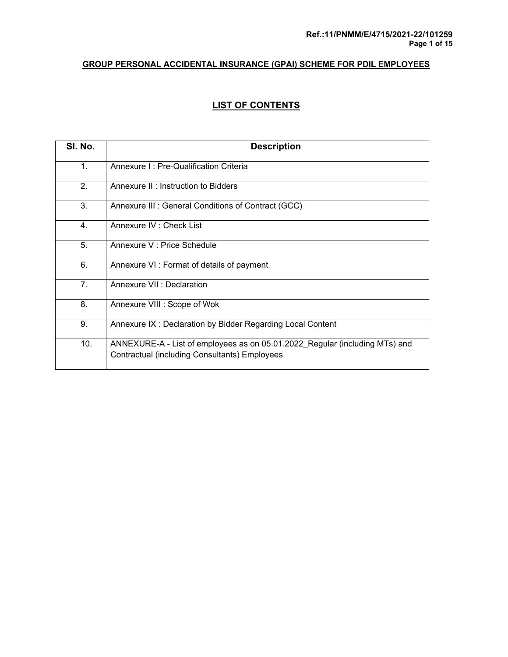## **LIST OF CONTENTS**

| SI. No.        | <b>Description</b>                                                                                                           |
|----------------|------------------------------------------------------------------------------------------------------------------------------|
| 1.             | Annexure I: Pre-Qualification Criteria                                                                                       |
| 2.             | Annexure II: Instruction to Bidders                                                                                          |
| 3.             | Annexure III : General Conditions of Contract (GCC)                                                                          |
| 4.             | Annexure IV : Check List                                                                                                     |
| 5.             | Annexure V : Price Schedule                                                                                                  |
| 6.             | Annexure VI: Format of details of payment                                                                                    |
| 7 <sub>1</sub> | Annexure VII : Declaration                                                                                                   |
| 8.             | Annexure VIII : Scope of Wok                                                                                                 |
| 9.             | Annexure IX: Declaration by Bidder Regarding Local Content                                                                   |
| 10.            | ANNEXURE-A - List of employees as on 05.01.2022 Regular (including MTs) and<br>Contractual (including Consultants) Employees |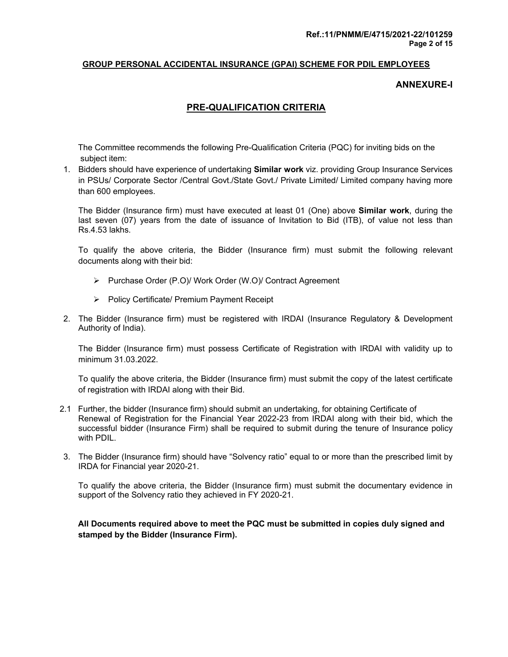#### **ANNEXURE-I**

## **PRE-QUALIFICATION CRITERIA**

 The Committee recommends the following Pre-Qualification Criteria (PQC) for inviting bids on the subject item:

1. Bidders should have experience of undertaking **Similar work** viz. providing Group Insurance Services in PSUs/ Corporate Sector /Central Govt./State Govt./ Private Limited/ Limited company having more than 600 employees.

The Bidder (Insurance firm) must have executed at least 01 (One) above **Similar work**, during the last seven (07) years from the date of issuance of Invitation to Bid (ITB), of value not less than Rs.4.53 lakhs.

To qualify the above criteria, the Bidder (Insurance firm) must submit the following relevant documents along with their bid:

- Purchase Order (P.O)/ Work Order (W.O)/ Contract Agreement
- $\triangleright$  Policy Certificate/ Premium Payment Receipt
- 2. The Bidder (Insurance firm) must be registered with IRDAI (Insurance Regulatory & Development Authority of India).

The Bidder (Insurance firm) must possess Certificate of Registration with IRDAI with validity up to minimum 31.03.2022.

To qualify the above criteria, the Bidder (Insurance firm) must submit the copy of the latest certificate of registration with IRDAI along with their Bid.

- 2.1 Further, the bidder (Insurance firm) should submit an undertaking, for obtaining Certificate of Renewal of Registration for the Financial Year 2022-23 from IRDAI along with their bid, which the successful bidder (Insurance Firm) shall be required to submit during the tenure of Insurance policy with PDIL.
- 3. The Bidder (Insurance firm) should have "Solvency ratio" equal to or more than the prescribed limit by IRDA for Financial year 2020-21.

To qualify the above criteria, the Bidder (Insurance firm) must submit the documentary evidence in support of the Solvency ratio they achieved in FY 2020-21.

 **All Documents required above to meet the PQC must be submitted in copies duly signed and stamped by the Bidder (Insurance Firm).**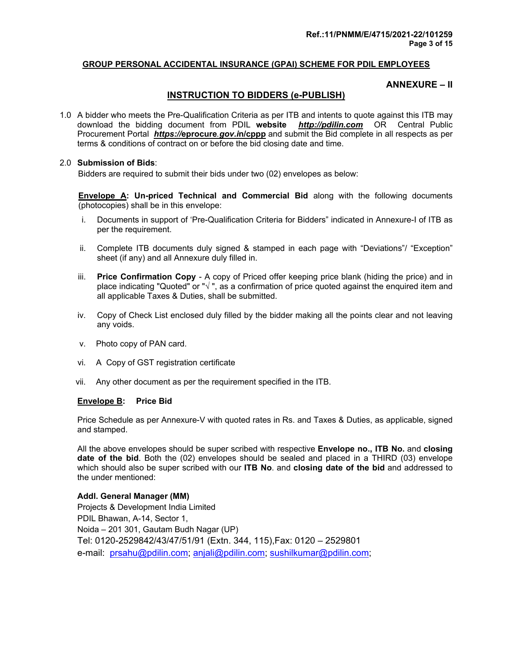#### **ANNEXURE – II**

### **INSTRUCTION TO BIDDERS (e-PUBLISH)**

1.0 A bidder who meets the Pre-Qualification Criteria as per ITB and intents to quote against this ITB may download the bidding document from PDIL **website** *http://pdilin.com* OR Central Public Procurement Portal *https://***eprocure***.gov.i***n/cppp** and submit the Bid complete in all respects as per terms & conditions of contract on or before the bid closing date and time.

#### 2.0 **Submission of Bids**:

Bidders are required to submit their bids under two (02) envelopes as below:

 **Envelope A: Un-priced Technical and Commercial Bid** along with the following documents (photocopies) shall be in this envelope:

- i. Documents in support of 'Pre-Qualification Criteria for Bidders" indicated in Annexure-I of ITB as per the requirement.
- ii. Complete ITB documents duly signed & stamped in each page with "Deviations"/ "Exception" sheet (if any) and all Annexure duly filled in.
- iii. **Price Confirmation Copy**  A copy of Priced offer keeping price blank (hiding the price) and in place indicating "Quoted" or "√", as a confirmation of price quoted against the enquired item and all applicable Taxes & Duties, shall be submitted.
- iv. Copy of Check List enclosed duly filled by the bidder making all the points clear and not leaving any voids.
- v. Photo copy of PAN card.
- vi. A Copy of GST registration certificate
- vii. Any other document as per the requirement specified in the ITB.

#### **Envelope B: Price Bid**

Price Schedule as per Annexure-V with quoted rates in Rs. and Taxes & Duties, as applicable, signed and stamped.

 All the above envelopes should be super scribed with respective **Envelope no., ITB No.** and **closing date of the bid**. Both the (02) envelopes should be sealed and placed in a THIRD (03) envelope which should also be super scribed with our **ITB No**. and **closing date of the bid** and addressed to the under mentioned:

#### **Addl. General Manager (MM)**

Projects & Development India Limited PDIL Bhawan, A-14, Sector 1, Noida – 201 301, Gautam Budh Nagar (UP) Tel: 0120-2529842/43/47/51/91 (Extn. 344, 115),Fax: 0120 – 2529801 e-mail: prsahu@pdilin.com; anjali@pdilin.com; sushilkumar@pdilin.com;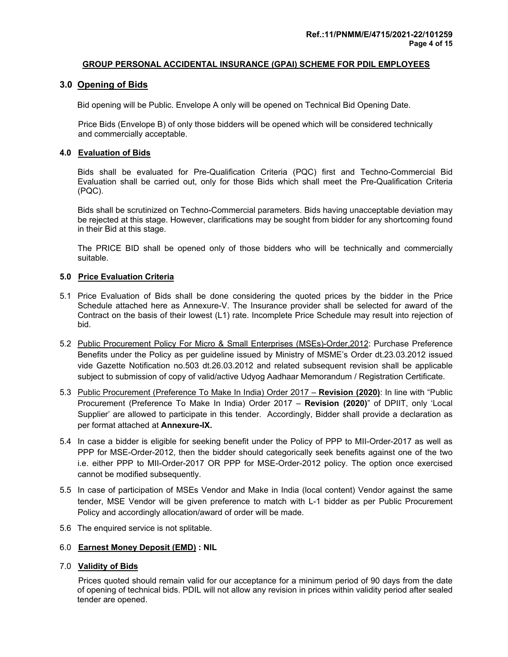#### **3.0 Opening of Bids**

Bid opening will be Public. Envelope A only will be opened on Technical Bid Opening Date.

 Price Bids (Envelope B) of only those bidders will be opened which will be considered technically and commercially acceptable.

#### **4.0 Evaluation of Bids**

Bids shall be evaluated for Pre-Qualification Criteria (PQC) first and Techno-Commercial Bid Evaluation shall be carried out, only for those Bids which shall meet the Pre-Qualification Criteria (PQC).

 Bids shall be scrutinized on Techno-Commercial parameters. Bids having unacceptable deviation may be rejected at this stage. However, clarifications may be sought from bidder for any shortcoming found in their Bid at this stage.

 The PRICE BID shall be opened only of those bidders who will be technically and commercially suitable.

#### **5.0 Price Evaluation Criteria**

- 5.1 Price Evaluation of Bids shall be done considering the quoted prices by the bidder in the Price Schedule attached here as Annexure-V. The Insurance provider shall be selected for award of the Contract on the basis of their lowest (L1) rate. Incomplete Price Schedule may result into rejection of bid.
- 5.2 Public Procurement Policy For Micro & Small Enterprises (MSEs)-Order,2012: Purchase Preference Benefits under the Policy as per guideline issued by Ministry of MSME's Order dt.23.03.2012 issued vide Gazette Notification no.503 dt.26.03.2012 and related subsequent revision shall be applicable subject to submission of copy of valid/active Udyog Aadhaar Memorandum / Registration Certificate.
- 5.3 Public Procurement (Preference To Make In India) Order 2017 **Revision (2020)**: In line with "Public Procurement (Preference To Make In India) Order 2017 – **Revision (2020)**" of DPIIT, only 'Local Supplier' are allowed to participate in this tender. Accordingly, Bidder shall provide a declaration as per format attached at **Annexure-IX.**
- 5.4 In case a bidder is eligible for seeking benefit under the Policy of PPP to MII-Order-2017 as well as PPP for MSE-Order-2012, then the bidder should categorically seek benefits against one of the two i.e. either PPP to MII-Order-2017 OR PPP for MSE-Order-2012 policy. The option once exercised cannot be modified subsequently.
- 5.5 In case of participation of MSEs Vendor and Make in India (local content) Vendor against the same tender, MSE Vendor will be given preference to match with L-1 bidder as per Public Procurement Policy and accordingly allocation/award of order will be made.
- 5.6 The enquired service is not splitable.

#### 6.0 **Earnest Money Deposit (EMD) : NIL**

#### 7.0 **Validity of Bids**

 Prices quoted should remain valid for our acceptance for a minimum period of 90 days from the date of opening of technical bids. PDIL will not allow any revision in prices within validity period after sealed tender are opened.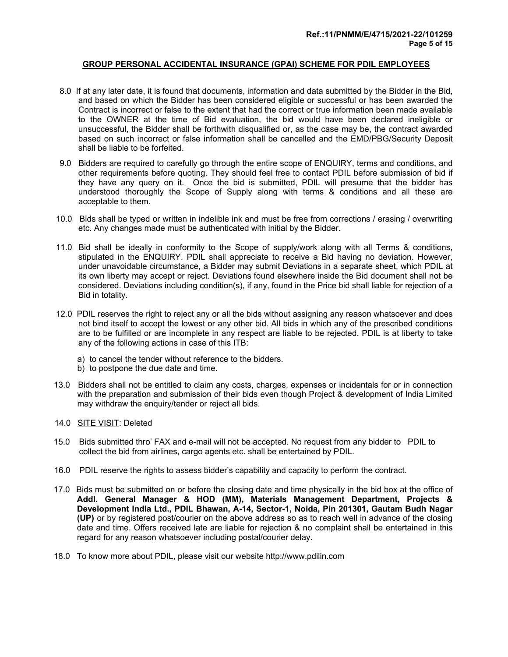- 8.0 If at any later date, it is found that documents, information and data submitted by the Bidder in the Bid, and based on which the Bidder has been considered eligible or successful or has been awarded the Contract is incorrect or false to the extent that had the correct or true information been made available to the OWNER at the time of Bid evaluation, the bid would have been declared ineligible or unsuccessful, the Bidder shall be forthwith disqualified or, as the case may be, the contract awarded based on such incorrect or false information shall be cancelled and the EMD/PBG/Security Deposit shall be liable to be forfeited.
- 9.0 Bidders are required to carefully go through the entire scope of ENQUIRY, terms and conditions, and other requirements before quoting. They should feel free to contact PDIL before submission of bid if they have any query on it. Once the bid is submitted, PDIL will presume that the bidder has understood thoroughly the Scope of Supply along with terms & conditions and all these are acceptable to them.
- 10.0 Bids shall be typed or written in indelible ink and must be free from corrections / erasing / overwriting etc. Any changes made must be authenticated with initial by the Bidder.
- 11.0 Bid shall be ideally in conformity to the Scope of supply/work along with all Terms & conditions, stipulated in the ENQUIRY. PDIL shall appreciate to receive a Bid having no deviation. However, under unavoidable circumstance, a Bidder may submit Deviations in a separate sheet, which PDIL at its own liberty may accept or reject. Deviations found elsewhere inside the Bid document shall not be considered. Deviations including condition(s), if any, found in the Price bid shall liable for rejection of a Bid in totality.
- 12.0 PDIL reserves the right to reject any or all the bids without assigning any reason whatsoever and does not bind itself to accept the lowest or any other bid. All bids in which any of the prescribed conditions are to be fulfilled or are incomplete in any respect are liable to be rejected. PDIL is at liberty to take any of the following actions in case of this ITB:
	- a) to cancel the tender without reference to the bidders.
	- b) to postpone the due date and time.
- 13.0 Bidders shall not be entitled to claim any costs, charges, expenses or incidentals for or in connection with the preparation and submission of their bids even though Project & development of India Limited may withdraw the enquiry/tender or reject all bids.
- 14.0 SITE VISIT: Deleted
- 15.0 Bids submitted thro' FAX and e-mail will not be accepted. No request from any bidder to PDIL to collect the bid from airlines, cargo agents etc. shall be entertained by PDIL.
- 16.0 PDIL reserve the rights to assess bidder's capability and capacity to perform the contract.
- 17.0 Bids must be submitted on or before the closing date and time physically in the bid box at the office of **Addl. General Manager & HOD (MM), Materials Management Department, Projects & Development India Ltd., PDIL Bhawan, A-14, Sector-1, Noida, Pin 201301, Gautam Budh Nagar (UP)** or by registered post/courier on the above address so as to reach well in advance of the closing date and time. Offers received late are liable for rejection & no complaint shall be entertained in this regard for any reason whatsoever including postal/courier delay.
- 18.0 To know more about PDIL, please visit our website http://www.pdilin.com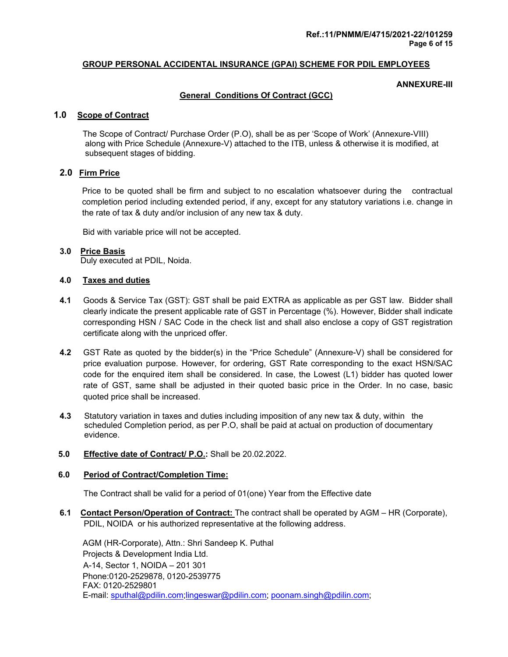#### **ANNEXURE-III**

#### **General Conditions Of Contract (GCC)**

#### **1.0 Scope of Contract**

The Scope of Contract/ Purchase Order (P.O), shall be as per 'Scope of Work' (Annexure-VIII) along with Price Schedule (Annexure-V) attached to the ITB, unless & otherwise it is modified, at subsequent stages of bidding.

#### **2.0 Firm Price**

Price to be quoted shall be firm and subject to no escalation whatsoever during the contractual completion period including extended period, if any, except for any statutory variations i.e. change in the rate of tax & duty and/or inclusion of any new tax & duty.

Bid with variable price will not be accepted.

#### **3.0 Price Basis**

Duly executed at PDIL, Noida.

#### **4.0 Taxes and duties**

- **4.1** Goods & Service Tax (GST): GST shall be paid EXTRA as applicable as per GST law. Bidder shall clearly indicate the present applicable rate of GST in Percentage (%). However, Bidder shall indicate corresponding HSN / SAC Code in the check list and shall also enclose a copy of GST registration certificate along with the unpriced offer.
- **4.2** GST Rate as quoted by the bidder(s) in the "Price Schedule" (Annexure-V) shall be considered for price evaluation purpose. However, for ordering, GST Rate corresponding to the exact HSN/SAC code for the enquired item shall be considered. In case, the Lowest (L1) bidder has quoted lower rate of GST, same shall be adjusted in their quoted basic price in the Order. In no case, basic quoted price shall be increased.
- **4.3** Statutory variation in taxes and duties including imposition of any new tax & duty, within the scheduled Completion period, as per P.O, shall be paid at actual on production of documentary evidence.

#### **5.0 Effective date of Contract/ P.O.:** Shall be 20.02.2022.

#### **6.0 Period of Contract/Completion Time:**

The Contract shall be valid for a period of 01(one) Year from the Effective date

**6.1 Contact Person/Operation of Contract:** The contract shall be operated by AGM – HR (Corporate), PDIL, NOIDA or his authorized representative at the following address.

 AGM (HR-Corporate), Attn.: Shri Sandeep K. Puthal Projects & Development India Ltd. A-14, Sector 1, NOIDA – 201 301 Phone:0120-2529878, 0120-2539775 FAX: 0120-2529801 E-mail: sputhal@pdilin.com;lingeswar@pdilin.com; poonam.singh@pdilin.com;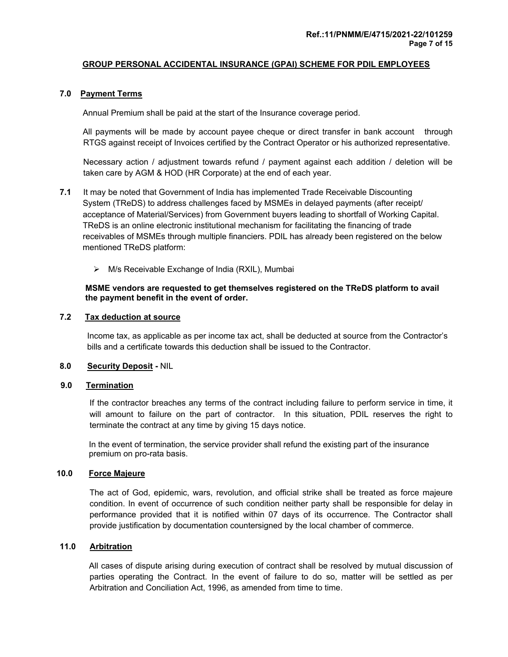#### **7.0 Payment Terms**

Annual Premium shall be paid at the start of the Insurance coverage period.

 All payments will be made by account payee cheque or direct transfer in bank account through RTGS against receipt of Invoices certified by the Contract Operator or his authorized representative.

 Necessary action / adjustment towards refund / payment against each addition / deletion will be taken care by AGM & HOD (HR Corporate) at the end of each year.

- **7.1** It may be noted that Government of India has implemented Trade Receivable Discounting System (TReDS) to address challenges faced by MSMEs in delayed payments (after receipt/ acceptance of Material/Services) from Government buyers leading to shortfall of Working Capital. TReDS is an online electronic institutional mechanism for facilitating the financing of trade receivables of MSMEs through multiple financiers. PDIL has already been registered on the below mentioned TReDS platform:
	- $\triangleright$  M/s Receivable Exchange of India (RXIL), Mumbai

#### **MSME vendors are requested to get themselves registered on the TReDS platform to avail the payment benefit in the event of order.**

#### **7.2 Tax deduction at source**

 Income tax, as applicable as per income tax act, shall be deducted at source from the Contractor's bills and a certificate towards this deduction shall be issued to the Contractor.

#### **8.0 Security Deposit -** NIL

#### **9.0 Termination**

 If the contractor breaches any terms of the contract including failure to perform service in time, it will amount to failure on the part of contractor. In this situation, PDIL reserves the right to terminate the contract at any time by giving 15 days notice.

 In the event of termination, the service provider shall refund the existing part of the insurance premium on pro-rata basis.

#### **10.0 Force Majeure**

 The act of God, epidemic, wars, revolution, and official strike shall be treated as force majeure condition. In event of occurrence of such condition neither party shall be responsible for delay in performance provided that it is notified within 07 days of its occurrence. The Contractor shall provide justification by documentation countersigned by the local chamber of commerce.

#### **11.0 Arbitration**

 All cases of dispute arising during execution of contract shall be resolved by mutual discussion of parties operating the Contract. In the event of failure to do so, matter will be settled as per Arbitration and Conciliation Act, 1996, as amended from time to time.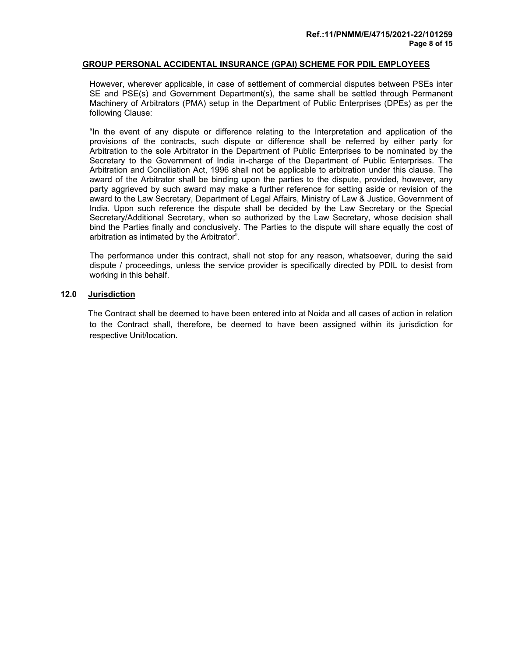However, wherever applicable, in case of settlement of commercial disputes between PSEs inter SE and PSE(s) and Government Department(s), the same shall be settled through Permanent Machinery of Arbitrators (PMA) setup in the Department of Public Enterprises (DPEs) as per the following Clause:

 "In the event of any dispute or difference relating to the Interpretation and application of the provisions of the contracts, such dispute or difference shall be referred by either party for Arbitration to the sole Arbitrator in the Department of Public Enterprises to be nominated by the Secretary to the Government of India in-charge of the Department of Public Enterprises. The Arbitration and Conciliation Act, 1996 shall not be applicable to arbitration under this clause. The award of the Arbitrator shall be binding upon the parties to the dispute, provided, however, any party aggrieved by such award may make a further reference for setting aside or revision of the award to the Law Secretary, Department of Legal Affairs, Ministry of Law & Justice, Government of India. Upon such reference the dispute shall be decided by the Law Secretary or the Special Secretary/Additional Secretary, when so authorized by the Law Secretary, whose decision shall bind the Parties finally and conclusively. The Parties to the dispute will share equally the cost of arbitration as intimated by the Arbitrator".

 The performance under this contract, shall not stop for any reason, whatsoever, during the said dispute / proceedings, unless the service provider is specifically directed by PDIL to desist from working in this behalf.

#### **12.0 Jurisdiction**

 The Contract shall be deemed to have been entered into at Noida and all cases of action in relation to the Contract shall, therefore, be deemed to have been assigned within its jurisdiction for respective Unit/location.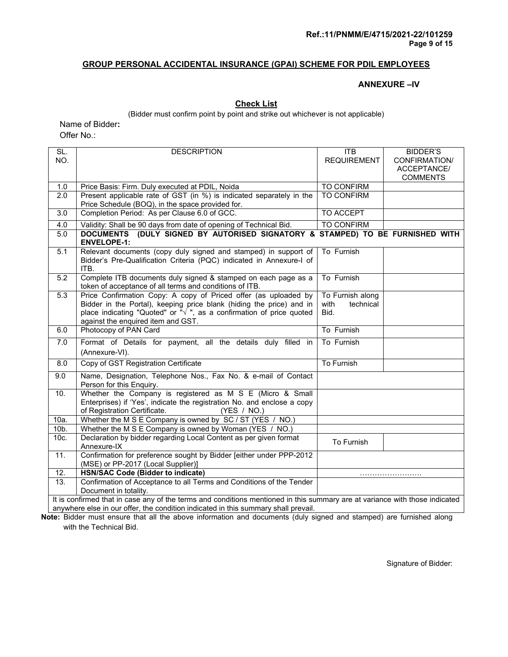#### **ANNEXURE –IV**

#### **Check List**

(Bidder must confirm point by point and strike out whichever is not applicable)

Name of Bidder**:** 

Offer No.:

| SL.               | <b>DESCRIPTION</b>                                                                                                                               | <b>ITB</b>         | <b>BIDDER'S</b> |  |  |  |  |  |  |  |
|-------------------|--------------------------------------------------------------------------------------------------------------------------------------------------|--------------------|-----------------|--|--|--|--|--|--|--|
| NO.               |                                                                                                                                                  | <b>REQUIREMENT</b> | CONFIRMATION/   |  |  |  |  |  |  |  |
|                   |                                                                                                                                                  |                    | ACCEPTANCE/     |  |  |  |  |  |  |  |
|                   |                                                                                                                                                  |                    | <b>COMMENTS</b> |  |  |  |  |  |  |  |
| 1.0               | Price Basis: Firm. Duly executed at PDIL, Noida                                                                                                  | TO CONFIRM         |                 |  |  |  |  |  |  |  |
| $\overline{2.0}$  | Present applicable rate of GST (in %) is indicated separately in the                                                                             | <b>TO CONFIRM</b>  |                 |  |  |  |  |  |  |  |
|                   | Price Schedule (BOQ), in the space provided for.                                                                                                 |                    |                 |  |  |  |  |  |  |  |
| 3.0               | Completion Period: As per Clause 6.0 of GCC.                                                                                                     | <b>TO ACCEPT</b>   |                 |  |  |  |  |  |  |  |
| 4.0               | Validity: Shall be 90 days from date of opening of Technical Bid.                                                                                | <b>TO CONFIRM</b>  |                 |  |  |  |  |  |  |  |
| 5.0               | DOCUMENTS (DULY SIGNED BY AUTORISED SIGNATORY & STAMPED) TO BE FURNISHED WITH<br><b>ENVELOPE-1:</b>                                              |                    |                 |  |  |  |  |  |  |  |
| 5.1               | Relevant documents (copy duly signed and stamped) in support of<br>Bidder's Pre-Qualification Criteria (PQC) indicated in Annexure-I of<br>ITB.  | To Furnish         |                 |  |  |  |  |  |  |  |
| 5.2               | Complete ITB documents duly signed & stamped on each page as a<br>token of acceptance of all terms and conditions of ITB.                        | To Furnish         |                 |  |  |  |  |  |  |  |
| 5.3               | Price Confirmation Copy: A copy of Priced offer (as uploaded by                                                                                  | To Furnish along   |                 |  |  |  |  |  |  |  |
|                   | Bidder in the Portal), keeping price blank (hiding the price) and in place indicating "Quoted" or " $\sqrt$ ", as a confirmation of price quoted | with<br>technical  |                 |  |  |  |  |  |  |  |
|                   |                                                                                                                                                  | Bid.               |                 |  |  |  |  |  |  |  |
| 6.0               | against the enquired item and GST.<br>Photocopy of PAN Card                                                                                      | To Furnish         |                 |  |  |  |  |  |  |  |
|                   |                                                                                                                                                  |                    |                 |  |  |  |  |  |  |  |
| 7.0               | Format of Details for payment, all the details duly filled in<br>(Annexure-VI).                                                                  | To Furnish         |                 |  |  |  |  |  |  |  |
| 8.0               | Copy of GST Registration Certificate                                                                                                             | <b>To Furnish</b>  |                 |  |  |  |  |  |  |  |
| 9.0               | Name, Designation, Telephone Nos., Fax No. & e-mail of Contact                                                                                   |                    |                 |  |  |  |  |  |  |  |
|                   | Person for this Enquiry.                                                                                                                         |                    |                 |  |  |  |  |  |  |  |
| 10.               | Whether the Company is registered as M S E (Micro & Small                                                                                        |                    |                 |  |  |  |  |  |  |  |
|                   | Enterprises) if 'Yes', indicate the registration No. and enclose a copy<br>of Registration Certificate.<br>(YES / NO.)                           |                    |                 |  |  |  |  |  |  |  |
| 10a.              | Whether the M S E Company is owned by SC / ST (YES / NO.)                                                                                        |                    |                 |  |  |  |  |  |  |  |
| $10b$ .           | Whether the M S E Company is owned by Woman (YES / NO.)                                                                                          |                    |                 |  |  |  |  |  |  |  |
| 10c.              | Declaration by bidder regarding Local Content as per given format                                                                                |                    |                 |  |  |  |  |  |  |  |
|                   | Annexure-IX                                                                                                                                      | To Furnish         |                 |  |  |  |  |  |  |  |
| $\overline{11}$ . | Confirmation for preference sought by Bidder [either under PPP-2012                                                                              |                    |                 |  |  |  |  |  |  |  |
|                   | (MSE) or PP-2017 (Local Supplier)]                                                                                                               |                    |                 |  |  |  |  |  |  |  |
| 12.               | <b>HSN/SAC Code (Bidder to indicate)</b>                                                                                                         |                    |                 |  |  |  |  |  |  |  |
| 13.               | Confirmation of Acceptance to all Terms and Conditions of the Tender                                                                             |                    |                 |  |  |  |  |  |  |  |
|                   | Document in totality.                                                                                                                            |                    |                 |  |  |  |  |  |  |  |
|                   | It is confirmed that in case any of the terms and conditions mentioned in this summary are at variance with those indicated                      |                    |                 |  |  |  |  |  |  |  |

anywhere else in our offer, the condition indicated in this summary shall prevail.

**Note:** Bidder must ensure that all the above information and documents (duly signed and stamped) are furnished along with the Technical Bid.

Signature of Bidder: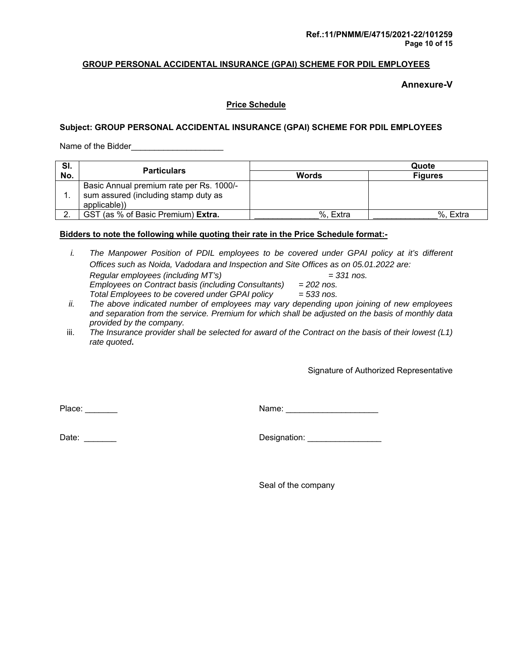**Annexure-V** 

#### **Price Schedule**

#### **Subject: GROUP PERSONAL ACCIDENTAL INSURANCE (GPAI) SCHEME FOR PDIL EMPLOYEES**

Name of the Bidder\_\_\_\_\_\_\_\_\_\_\_\_\_\_\_\_\_\_\_\_

| SI. | <b>Particulars</b>                                                                               | Quote        |                |  |  |  |  |
|-----|--------------------------------------------------------------------------------------------------|--------------|----------------|--|--|--|--|
| No. |                                                                                                  | <b>Words</b> | <b>Figures</b> |  |  |  |  |
|     | Basic Annual premium rate per Rs. 1000/-<br>sum assured (including stamp duty as<br>applicable)) |              |                |  |  |  |  |
|     | GST (as % of Basic Premium) Extra.                                                               | %, Extra     | %. Extra       |  |  |  |  |

#### **Bidders to note the following while quoting their rate in the Price Schedule format:-**

| The Manpower Position of PDIL employees to be covered under GPAI policy at it's different |              |
|-------------------------------------------------------------------------------------------|--------------|
| Offices such as Noida, Vadodara and Inspection and Site Offices as on 05.01.2022 are:     |              |
| Regular employees (including MT's)                                                        | $=$ 331 nos. |
| Employees on Contract basis (including Consultants)                                       | $= 202$ nos. |
| Total Employees to be covered under GPAI policy                                           | $= 533$ nos. |

- *ii. The above indicated number of employees may vary depending upon joining of new employees and separation from the service. Premium for which shall be adjusted on the basis of monthly data provided by the company.*
- iii. *The Insurance provider shall be selected for award of the Contract on the basis of their lowest (L1) rate quoted***.**

Signature of Authorized Representative

Place: \_\_\_\_\_\_\_ Name: \_\_\_\_\_\_\_\_\_\_\_\_\_\_\_\_\_\_\_\_

Date: \_\_\_\_\_\_\_ Designation: \_\_\_\_\_\_\_\_\_\_\_\_\_\_\_\_

Seal of the company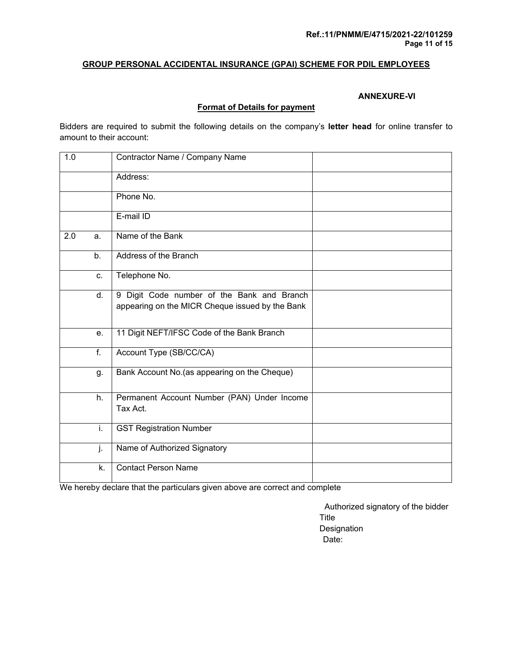#### **ANNEXURE-VI**

#### **Format of Details for payment**

Bidders are required to submit the following details on the company's **letter head** for online transfer to amount to their account:

| 1.0 |                  | Contractor Name / Company Name                                                                |  |
|-----|------------------|-----------------------------------------------------------------------------------------------|--|
|     |                  | Address:                                                                                      |  |
|     |                  | Phone No.                                                                                     |  |
|     |                  | E-mail ID                                                                                     |  |
| 2.0 | a.               | Name of the Bank                                                                              |  |
|     | b.               | Address of the Branch                                                                         |  |
|     | C.               | Telephone No.                                                                                 |  |
|     | $\overline{d}$ . | 9 Digit Code number of the Bank and Branch<br>appearing on the MICR Cheque issued by the Bank |  |
|     | e.               | 11 Digit NEFT/IFSC Code of the Bank Branch                                                    |  |
|     | $\overline{f}$ . | Account Type (SB/CC/CA)                                                                       |  |
|     | g.               | Bank Account No. (as appearing on the Cheque)                                                 |  |
|     | h.               | Permanent Account Number (PAN) Under Income<br>Tax Act.                                       |  |
|     | i.               | <b>GST Registration Number</b>                                                                |  |
|     | j.               | Name of Authorized Signatory                                                                  |  |
|     | k.               | <b>Contact Person Name</b>                                                                    |  |

We hereby declare that the particulars given above are correct and complete

 Authorized signatory of the bidder Title Designation Date: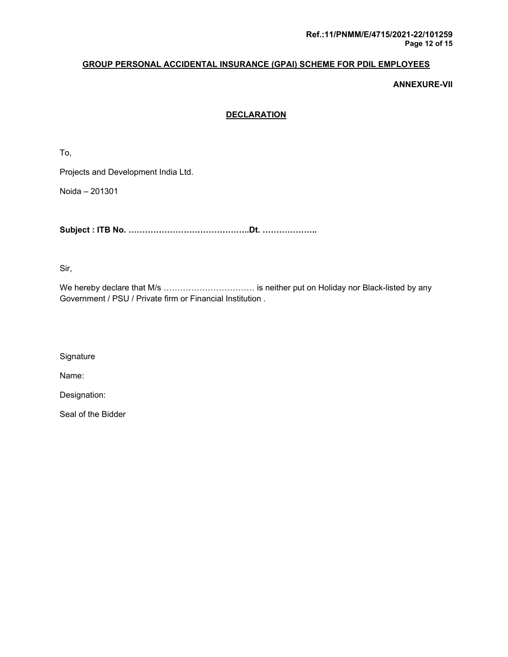**ANNEXURE-VII** 

### **DECLARATION**

To,

Projects and Development India Ltd.

Noida – 201301

**Subject : ITB No. ……………………………………..Dt. ………………..** 

Sir,

We hereby declare that M/s …………………………… is neither put on Holiday nor Black-listed by any Government / PSU / Private firm or Financial Institution .

**Signature** 

Name:

Designation:

Seal of the Bidder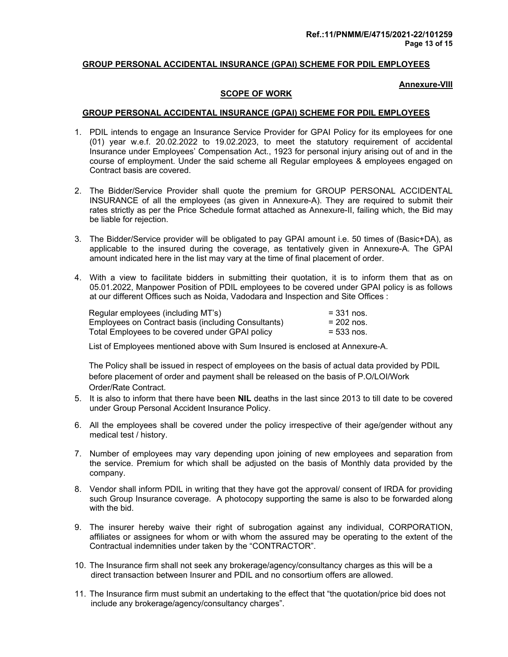#### **Annexure-VIII**

#### **SCOPE OF WORK**

#### **GROUP PERSONAL ACCIDENTAL INSURANCE (GPAI) SCHEME FOR PDIL EMPLOYEES**

- 1. PDIL intends to engage an Insurance Service Provider for GPAI Policy for its employees for one (01) year w.e.f. 20.02.2022 to 19.02.2023, to meet the statutory requirement of accidental Insurance under Employees' Compensation Act., 1923 for personal injury arising out of and in the course of employment. Under the said scheme all Regular employees & employees engaged on Contract basis are covered.
- 2. The Bidder/Service Provider shall quote the premium for GROUP PERSONAL ACCIDENTAL INSURANCE of all the employees (as given in Annexure-A). They are required to submit their rates strictly as per the Price Schedule format attached as Annexure-II, failing which, the Bid may be liable for rejection.
- 3. The Bidder/Service provider will be obligated to pay GPAI amount i.e. 50 times of (Basic+DA), as applicable to the insured during the coverage, as tentatively given in Annexure-A. The GPAI amount indicated here in the list may vary at the time of final placement of order.
- 4. With a view to facilitate bidders in submitting their quotation, it is to inform them that as on 05.01.2022, Manpower Position of PDIL employees to be covered under GPAI policy is as follows at our different Offices such as Noida, Vadodara and Inspection and Site Offices :

| Regular employees (including MT's)                  | $= 331$ nos. |
|-----------------------------------------------------|--------------|
| Employees on Contract basis (including Consultants) | $= 202$ nos. |
| Total Employees to be covered under GPAI policy     | $= 533$ nos. |

List of Employees mentioned above with Sum Insured is enclosed at Annexure-A.

 The Policy shall be issued in respect of employees on the basis of actual data provided by PDIL before placement of order and payment shall be released on the basis of P.O/LOI/Work Order/Rate Contract.

- 5. It is also to inform that there have been **NIL** deaths in the last since 2013 to till date to be covered under Group Personal Accident Insurance Policy.
- 6. All the employees shall be covered under the policy irrespective of their age/gender without any medical test / history.
- 7. Number of employees may vary depending upon joining of new employees and separation from the service. Premium for which shall be adjusted on the basis of Monthly data provided by the company.
- 8. Vendor shall inform PDIL in writing that they have got the approval/ consent of IRDA for providing such Group Insurance coverage. A photocopy supporting the same is also to be forwarded along with the bid.
- 9. The insurer hereby waive their right of subrogation against any individual, CORPORATION, affiliates or assignees for whom or with whom the assured may be operating to the extent of the Contractual indemnities under taken by the "CONTRACTOR".
- 10. The Insurance firm shall not seek any brokerage/agency/consultancy charges as this will be a direct transaction between Insurer and PDIL and no consortium offers are allowed.
- 11. The Insurance firm must submit an undertaking to the effect that "the quotation/price bid does not include any brokerage/agency/consultancy charges".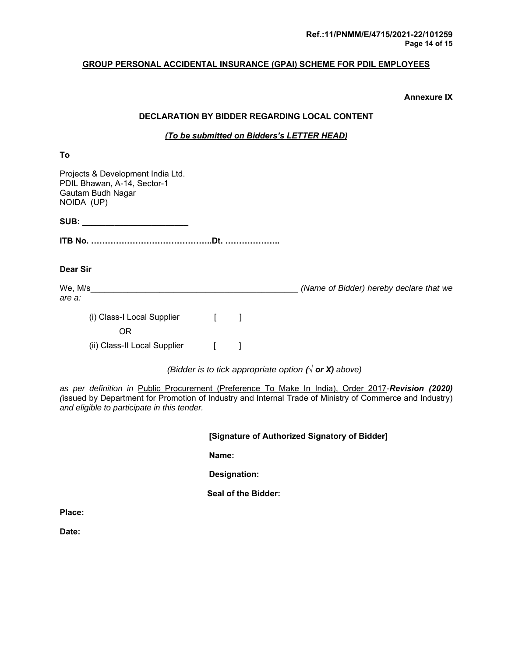#### **Annexure IX**

#### **DECLARATION BY BIDDER REGARDING LOCAL CONTENT**

#### *(To be submitted on Bidders's LETTER HEAD)*

| To                                                                                                  |              |   |                                                                 |
|-----------------------------------------------------------------------------------------------------|--------------|---|-----------------------------------------------------------------|
| Projects & Development India Ltd.<br>PDIL Bhawan, A-14, Sector-1<br>Gautam Budh Nagar<br>NOIDA (UP) |              |   |                                                                 |
|                                                                                                     |              |   |                                                                 |
|                                                                                                     |              |   |                                                                 |
| Dear Sir                                                                                            |              |   |                                                                 |
| We, M/s                                                                                             |              |   | (Name of Bidder) hereby declare that we                         |
| are a:                                                                                              |              |   |                                                                 |
| (i) Class-I Local Supplier [                                                                        |              | 1 |                                                                 |
| 0R                                                                                                  |              |   |                                                                 |
| (ii) Class-II Local Supplier                                                                        | $\mathbf{r}$ |   |                                                                 |
|                                                                                                     |              |   | (Bidder is to tick appropriate option ( $\sqrt{ }$ or X) above) |

*as per definition in* Public Procurement (Preference To Make In India), Order 2017*-Revision (2020) (*issued by Department for Promotion of Industry and Internal Trade of Ministry of Commerce and Industry) *and eligible to participate in this tender.* 

 **[Signature of Authorized Signatory of Bidder]** 

 **Name:** 

 **Designation:** 

 **Seal of the Bidder:** 

**Place:** 

**Date:**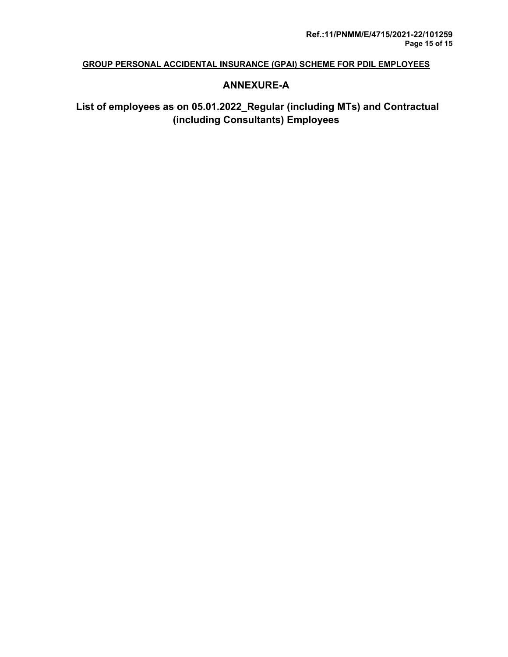## **ANNEXURE-A**

## **List of employees as on 05.01.2022\_Regular (including MTs) and Contractual (including Consultants) Employees**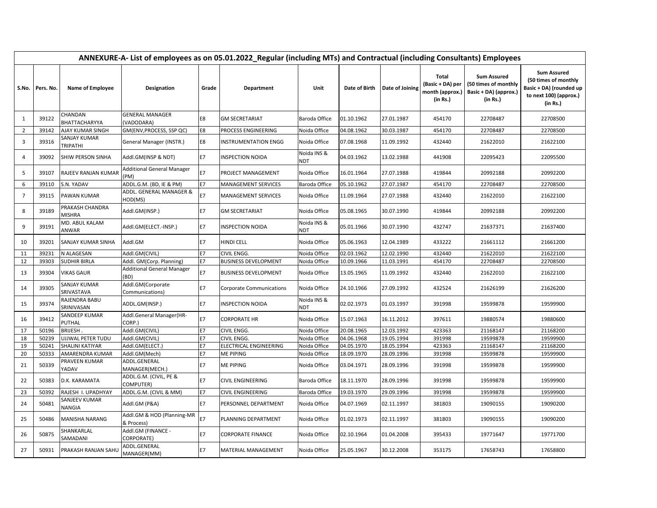|                | ANNEXURE-A- List of employees as on 05.01.2022_Regular (including MTs) and Contractual (including Consultants) Employees |                                     |                                           |                        |                                      |                                |                          |                          |                                                          |                                                                                 |                                                                                                             |
|----------------|--------------------------------------------------------------------------------------------------------------------------|-------------------------------------|-------------------------------------------|------------------------|--------------------------------------|--------------------------------|--------------------------|--------------------------|----------------------------------------------------------|---------------------------------------------------------------------------------|-------------------------------------------------------------------------------------------------------------|
| S.No.          | Pers. No.                                                                                                                | <b>Name of Employee</b>             | Designation                               | Grade                  | Department                           | Unit                           | Date of Birth            | Date of Joining          | Total<br>(Basic + DA) per<br>month (approx.)<br>(in Rs.) | <b>Sum Assured</b><br>(50 times of monthly<br>Basic + DA) (approx.)<br>(in Rs.) | <b>Sum Assured</b><br>(50 times of monthly<br>Basic + DA) (rounded up<br>to next 100) (approx.)<br>(in Rs.) |
| 1              | 39122                                                                                                                    | CHANDAN<br>BHATTACHARYYA            | <b>GENERAL MANAGER</b><br>(VADODARA)      | E8                     | <b>GM SECRETARIAT</b>                | Baroda Office                  | 01.10.1962               | 27.01.1987               | 454170                                                   | 22708487                                                                        | 22708500                                                                                                    |
| $\overline{2}$ | 39142                                                                                                                    | AJAY KUMAR SINGH                    | GM(ENV, PROCESS, SSP QC)                  | E8                     | PROCESS ENGINEERING                  | Noida Office                   | 04.08.1962               | 30.03.1987               | 454170                                                   | 22708487                                                                        | 22708500                                                                                                    |
| 3              | 39316                                                                                                                    | SANJAY KUMAR<br>TRIPATHI            | General Manager (INSTR.)                  | E8                     | <b>INSTRUMENTATION ENGG</b>          | Noida Office                   | 07.08.1968               | 11.09.1992               | 432440                                                   | 21622010                                                                        | 21622100                                                                                                    |
| $\overline{a}$ | 39092                                                                                                                    | SHIW PERSON SINHA                   | Addl.GM(INSP & NDT)                       | <b>E7</b>              | <b>INSPECTION NOIDA</b>              | Noida INS &<br><b>NDT</b>      | 04.03.1962               | 13.02.1988               | 441908                                                   | 22095423                                                                        | 22095500                                                                                                    |
| 5              | 39107                                                                                                                    | RAJEEV RANJAN KUMAR                 | <b>Additional General Manager</b><br>(PM) | E7                     | PROJECT MANAGEMENT                   | Noida Office                   | 16.01.1964               | 27.07.1988               | 419844                                                   | 20992188                                                                        | 20992200                                                                                                    |
| 6              | 39110                                                                                                                    | S.N. YADAV                          | ADDL.G.M. (BD, IE & PM)                   | <b>E7</b>              | <b>MANAGEMENT SERVICES</b>           | Baroda Office                  | 05.10.1962               | 27.07.1987               | 454170                                                   | 22708487                                                                        | 22708500                                                                                                    |
| $\overline{7}$ | 39115                                                                                                                    | <b>PAWAN KUMAR</b>                  | ADDL. GENERAL MANAGER &<br>HOD(MS)        | E7                     | <b>MANAGEMENT SERVICES</b>           | Noida Office                   | 11.09.1964               | 27.07.1988               | 432440                                                   | 21622010                                                                        | 21622100                                                                                                    |
| 8              | 39189                                                                                                                    | PRAKASH CHANDRA<br><b>MISHRA</b>    | Addl.GM(INSP.)                            | <b>E7</b>              | <b>GM SECRETARIAT</b>                | Noida Office                   | 05.08.1965               | 30.07.1990               | 419844                                                   | 20992188                                                                        | 20992200                                                                                                    |
| 9              | 39191                                                                                                                    | MD. ABUL KALAM<br>ANWAR             | Addl.GM(ELECT.-INSP.)                     | <b>E7</b>              | <b>INSPECTION NOIDA</b>              | Noida INS &<br>NDT             | 05.01.1966               | 30.07.1990               | 432747                                                   | 21637371                                                                        | 21637400                                                                                                    |
| 10             | 39201                                                                                                                    | SANJAY KUMAR SINHA                  | Addl.GM                                   | <b>E7</b>              | <b>HINDI CELL</b>                    | Noida Office                   | 05.06.1963               | 12.04.1989               | 433222                                                   | 21661112                                                                        | 21661200                                                                                                    |
| 11             | 39231                                                                                                                    | N ALAGESAN                          | Addl.GM(CIVIL)                            | <b>E7</b>              | CIVIL ENGG.                          | Noida Office                   | 02.03.1962               | 12.02.1990               | 432440                                                   | 21622010                                                                        | 21622100                                                                                                    |
| 12             | 39303                                                                                                                    | <b>SUDHIR BIRLA</b>                 | Addl. GM(Corp. Planning)                  | <b>E7</b>              | <b>BUSINESS DEVELOPMENT</b>          | Noida Office                   | 10.09.1966               | 11.03.1991               | 454170                                                   | 22708487                                                                        | 22708500                                                                                                    |
| 13             | 39304                                                                                                                    | <b>VIKAS GAUR</b>                   | <b>Additional General Manager</b><br>(BD) | <b>E7</b>              | <b>BUSINESS DEVELOPMENT</b>          | Noida Office                   | 13.05.1965               | 11.09.1992               | 432440                                                   | 21622010                                                                        | 21622100                                                                                                    |
| 14             | 39305                                                                                                                    | SANJAY KUMAR<br>SRIVASTAVA          | Addl.GM(Corporate<br>Communications)      | <b>E7</b>              | <b>Corporate Communications</b>      | Noida Office                   | 24.10.1966               | 27.09.1992               | 432524                                                   | 21626199                                                                        | 21626200                                                                                                    |
| 15             | 39374                                                                                                                    | RAJENDRA BABU<br>SRINIVASAN         | ADDL.GM(INSP.)                            | <b>E7</b>              | <b>INSPECTION NOIDA</b>              | Noida INS &<br><b>NDT</b>      | 02.02.1973               | 01.03.1997               | 391998                                                   | 19599878                                                                        | 19599900                                                                                                    |
| 16             | 39412                                                                                                                    | SANDEEP KUMAR<br>PUTHAL             | Addl.General Manager(HR-<br>CORP.)        | <b>E7</b>              | <b>CORPORATE HR</b>                  | Noida Office                   | 15.07.1963               | 16.11.2012               | 397611                                                   | 19880574                                                                        | 19880600                                                                                                    |
| 17             | 50196                                                                                                                    | <b>BRIJESH</b>                      | Addl.GM(CIVIL)                            | <b>E7</b>              | CIVIL ENGG.                          | Noida Office                   | 20.08.1965               | 12.03.1992               | 423363                                                   | 21168147                                                                        | 21168200                                                                                                    |
| 18             | 50239                                                                                                                    | UJJWAL PETER TUDU                   | Addl.GM(CIVIL)                            | E7                     | <b>CIVIL ENGG.</b>                   | Noida Office                   | 04.06.1968               | 19.05.1994               | 391998                                                   | 19599878                                                                        | 19599900                                                                                                    |
| 19             | 50241                                                                                                                    | SHALINI KATIYAR                     | Addl.GM(ELECT.)                           | E7                     | <b>ELECTRICAL ENGINEERING</b>        | Noida Office                   | 04.05.1970               | 18.05.1994               | 423363                                                   | 21168147                                                                        | 21168200                                                                                                    |
| 20<br>21       | 50333<br>50339                                                                                                           | AMARENDRA KUMAR<br>PRAVEEN KUMAR    | Addl.GM(Mech)<br>ADDL.GENERAL             | <b>E7</b><br><b>E7</b> | <b>ME PIPING</b><br><b>ME PIPING</b> | Noida Office                   | 18.09.1970               | 28.09.1996<br>28.09.1996 | 391998<br>391998                                         | 19599878<br>19599878                                                            | 19599900<br>19599900                                                                                        |
|                |                                                                                                                          | YADAV                               | MANAGER(MECH.)<br>ADDL.G.M. (CIVIL, PE &  |                        |                                      | Noida Office                   | 03.04.1971               |                          |                                                          |                                                                                 |                                                                                                             |
| 22<br>23       | 50383<br>50392                                                                                                           | D.K. KARAMATA<br>RAJESH I. UPADHYAY | COMPUTER)                                 | E7<br><b>E7</b>        | <b>CIVIL ENGINEERING</b>             | Baroda Office<br>Baroda Office | 18.11.1970<br>19.03.1970 | 28.09.1996<br>29.09.1996 | 391998<br>391998                                         | 19599878<br>19599878                                                            | 19599900<br>19599900                                                                                        |
|                |                                                                                                                          | SANJEEV KUMAR                       | ADDL.G.M. (CIVIL & MM)                    |                        | <b>CIVIL ENGINEERING</b>             |                                |                          |                          |                                                          |                                                                                 |                                                                                                             |
| 24             | 50481                                                                                                                    | <b>NANGIA</b>                       | Addl.GM (P&A)                             | <b>E7</b>              | PERSONNEL DEPARTMENT                 | Noida Office                   | 04.07.1969               | 02.11.1997               | 381803                                                   | 19090155                                                                        | 19090200                                                                                                    |
| 25             | 50486                                                                                                                    | <b>MANISHA NARANG</b>               | Addl.GM & HOD (Planning-MR<br>& Process)  | E7                     | PLANNING DEPARTMENT                  | Noida Office                   | 01.02.1973               | 02.11.1997               | 381803                                                   | 19090155                                                                        | 19090200                                                                                                    |
| 26             | 50875                                                                                                                    | SHANKARLAL<br>SAMADANI              | Addl.GM (FINANCE -<br>CORPORATE)          | <b>E7</b>              | <b>CORPORATE FINANCE</b>             | Noida Office                   | 02.10.1964               | 01.04.2008               | 395433                                                   | 19771647                                                                        | 19771700                                                                                                    |
| 27             | 50931                                                                                                                    | PRAKASH RANJAN SAHU                 | ADDL.GENERAL<br>MANAGER(MM)               | E7                     | <b>MATERIAL MANAGEMENT</b>           | Noida Office                   | 25.05.1967               | 30.12.2008               | 353175                                                   | 17658743                                                                        | 17658800                                                                                                    |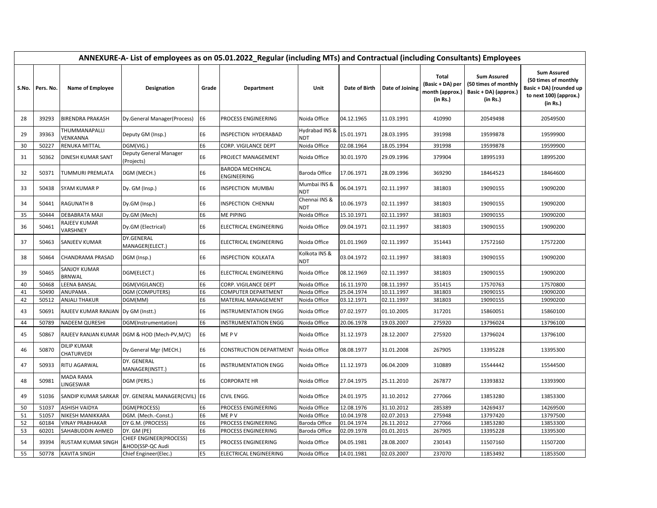|       | ANNEXURE-A- List of employees as on 05.01.2022_Regular (including MTs) and Contractual (including Consultants) Employees |                                      |                                                   |                |                                        |                       |               |                 |                                                          |                                                                                 |                                                                                                             |  |
|-------|--------------------------------------------------------------------------------------------------------------------------|--------------------------------------|---------------------------------------------------|----------------|----------------------------------------|-----------------------|---------------|-----------------|----------------------------------------------------------|---------------------------------------------------------------------------------|-------------------------------------------------------------------------------------------------------------|--|
| S.No. | Pers. No.                                                                                                                | Name of Employee                     | Designation                                       | Grade          | Department                             | Unit                  | Date of Birth | Date of Joining | Total<br>(Basic + DA) per<br>month (approx.)<br>(in Rs.) | <b>Sum Assured</b><br>(50 times of monthly<br>Basic + DA) (approx.)<br>(in Rs.) | <b>Sum Assured</b><br>(50 times of monthly<br>Basic + DA) (rounded up<br>to next 100) (approx.)<br>(in Rs.) |  |
| 28    | 39293                                                                                                                    | <b>BIRENDRA PRAKASH</b>              | Dy.General Manager(Process)                       | E6             | PROCESS ENGINEERING                    | Noida Office          | 04.12.1965    | 11.03.1991      | 410990                                                   | 20549498                                                                        | 20549500                                                                                                    |  |
| 29    | 39363                                                                                                                    | THUMMANAPALLI<br>VENKANNA            | Deputy GM (Insp.)                                 | E <sub>6</sub> | INSPECTION HYDERABAD                   | Hydrabad INS &<br>NDT | 15.01.1971    | 28.03.1995      | 391998                                                   | 19599878                                                                        | 19599900                                                                                                    |  |
| 30    | 50227                                                                                                                    | RENUKA MITTAL                        | DGM(VIG.)                                         | E <sub>6</sub> | CORP. VIGILANCE DEPT                   | Noida Office          | 02.08.1964    | 18.05.1994      | 391998                                                   | 19599878                                                                        | 19599900                                                                                                    |  |
| 31    | 50362                                                                                                                    | <b>DINESH KUMAR SANT</b>             | Deputy General Manager<br>(Projects)              | E <sub>6</sub> | PROJECT MANAGEMENT                     | Noida Office          | 30.01.1970    | 29.09.1996      | 379904                                                   | 18995193                                                                        | 18995200                                                                                                    |  |
| 32    | 50371                                                                                                                    | TUMMURI PREMLATA                     | DGM (MECH.)                                       | E <sub>6</sub> | <b>BARODA MECHINCAL</b><br>ENGINEERING | Baroda Office         | 17.06.1971    | 28.09.1996      | 369290                                                   | 18464523                                                                        | 18464600                                                                                                    |  |
| 33    | 50438                                                                                                                    | SYAM KUMAR P                         | Dy. GM (Insp.)                                    | E6             | <b>INSPECTION MUMBAI</b>               | Mumbai INS &<br>NDT   | 06.04.1971    | 02.11.1997      | 381803                                                   | 19090155                                                                        | 19090200                                                                                                    |  |
| 34    | 50441                                                                                                                    | <b>RAGUNATH B</b>                    | Dy.GM (Insp.)                                     | E <sub>6</sub> | <b>INSPECTION CHENNAI</b>              | Chennai INS &<br>NDT  | 10.06.1973    | 02.11.1997      | 381803                                                   | 19090155                                                                        | 19090200                                                                                                    |  |
| 35    | 50444                                                                                                                    | DEBABRATA MAJI                       | Dy.GM (Mech)                                      | E <sub>6</sub> | <b>ME PIPING</b>                       | Noida Office          | 15.10.1971    | 02.11.1997      | 381803                                                   | 19090155                                                                        | 19090200                                                                                                    |  |
| 36    | 50461                                                                                                                    | RAJEEV KUMAR<br>VARSHNEY             | Dy.GM (Electrical)                                | E <sub>6</sub> | ELECTRICAL ENGINEERING                 | Noida Office          | 09.04.1971    | 02.11.1997      | 381803                                                   | 19090155                                                                        | 19090200                                                                                                    |  |
| 37    | 50463                                                                                                                    | SANJEEV KUMAR                        | DY.GENERAL<br>MANAGER(ELECT.)                     | E6             | ELECTRICAL ENGINEERING                 | Noida Office          | 01.01.1969    | 02.11.1997      | 351443                                                   | 17572160                                                                        | 17572200                                                                                                    |  |
| 38    | 50464                                                                                                                    | CHANDRAMA PRASAD                     | DGM (Insp.)                                       | E <sub>6</sub> | <b>INSPECTION KOLKATA</b>              | Kolkota INS &<br>NDT  | 03.04.1972    | 02.11.1997      | 381803                                                   | 19090155                                                                        | 19090200                                                                                                    |  |
| 39    | 50465                                                                                                                    | SANJOY KUMAR<br><b>BRNWAL</b>        | DGM(ELECT.)                                       | E6             | ELECTRICAL ENGINEERING                 | Noida Office          | 08.12.1969    | 02.11.1997      | 381803                                                   | 19090155                                                                        | 19090200                                                                                                    |  |
| 40    | 50468                                                                                                                    | LEENA BANSAL                         | DGM(VIGILANCE)                                    | <b>E6</b>      | CORP. VIGILANCE DEPT                   | Noida Office          | 16.11.1970    | 08.11.1997      | 351415                                                   | 17570763                                                                        | 17570800                                                                                                    |  |
| 41    | 50490                                                                                                                    | ANUPAMA                              | <b>DGM (COMPUTERS)</b>                            | <b>E6</b>      | COMPUTER DEPARTMENT                    | Noida Office          | 25.04.1974    | 10.11.1997      | 381803                                                   | 19090155                                                                        | 19090200                                                                                                    |  |
| 42    | 50512                                                                                                                    | ANJALI THAKUR                        | DGM(MM)                                           | E <sub>6</sub> | <b>MATERIAL MANAGEMENT</b>             | Noida Office          | 03.12.1971    | 02.11.1997      | 381803                                                   | 19090155                                                                        | 19090200                                                                                                    |  |
| 43    | 50691                                                                                                                    | RAJEEV KUMAR RANJAN   Dy GM (Instt.) |                                                   | E <sub>6</sub> | <b>INSTRUMENTATION ENGG</b>            | Noida Office          | 07.02.1977    | 01.10.2005      | 317201                                                   | 15860051                                                                        | 15860100                                                                                                    |  |
| 44    | 50789                                                                                                                    | <b>NADEEM QURESHI</b>                | DGM(Instrumentation)                              | E <sub>6</sub> | <b>INSTRUMENTATION ENGG</b>            | Noida Office          | 20.06.1978    | 19.03.2007      | 275920                                                   | 13796024                                                                        | 13796100                                                                                                    |  |
| 45    | 50867                                                                                                                    |                                      | RAJEEV RANJAN KUMAR DGM & HOD (Mech-PV,M/C)       | E6             | ME PV                                  | Noida Office          | 31.12.1973    | 28.12.2007      | 275920                                                   | 13796024                                                                        | 13796100                                                                                                    |  |
| 46    | 50870                                                                                                                    | <b>DILIP KUMAR</b><br>CHATURVEDI     | Dy.General Mgr (MECH.)                            | E <sub>6</sub> | CONSTRUCTION DEPARTMENT                | Noida Office          | 08.08.1977    | 31.01.2008      | 267905                                                   | 13395228                                                                        | 13395300                                                                                                    |  |
| 47    | 50933                                                                                                                    | RITU AGARWAL                         | DY. GENERAL<br>MANAGER(INSTT.)                    | E <sub>6</sub> | <b>INSTRUMENTATION ENGG</b>            | Noida Office          | 11.12.1973    | 06.04.2009      | 310889                                                   | 15544442                                                                        | 15544500                                                                                                    |  |
| 48    | 50981                                                                                                                    | MADA RAMA<br>LINGESWAR               | DGM (PERS.)                                       | E <sub>6</sub> | <b>CORPORATE HR</b>                    | Noida Office          | 27.04.1975    | 25.11.2010      | 267877                                                   | 13393832                                                                        | 13393900                                                                                                    |  |
| 49    | 51036                                                                                                                    |                                      | SANDIP KUMAR SARKAR DY. GENERAL MANAGER(CIVIL) E6 |                | CIVIL ENGG.                            | Noida Office          | 24.01.1975    | 31.10.2012      | 277066                                                   | 13853280                                                                        | 13853300                                                                                                    |  |
| 50    | 51037                                                                                                                    | <b>ASHISH VAIDYA</b>                 | DGM(PROCESS)                                      | E <sub>6</sub> | PROCESS ENGINEERING                    | Noida Office          | 12.08.1976    | 31.10.2012      | 285389                                                   | 14269437                                                                        | 14269500                                                                                                    |  |
| 51    | 51057                                                                                                                    | NIKESH MANIKKARA                     | DGM. (Mech.-Const.)                               | E <sub>6</sub> | ME P V                                 | Noida Office          | 10.04.1978    | 02.07.2013      | 275948                                                   | 13797420                                                                        | 13797500                                                                                                    |  |
| 52    | 60184                                                                                                                    | <b>VINAY PRABHAKAR</b>               | DY G.M. (PROCESS)                                 | E <sub>6</sub> | PROCESS ENGINEERING                    | Baroda Office         | 01.04.1974    | 26.11.2012      | 277066                                                   | 13853280                                                                        | 13853300                                                                                                    |  |
| 53    | 60201                                                                                                                    | SAHABUDDIN AHMED                     | DY. GM (PE)                                       | E <sub>6</sub> | PROCESS ENGINEERING                    | Baroda Office         | 02.09.1978    | 01.01.2015      | 267905                                                   | 13395228                                                                        | 13395300                                                                                                    |  |
| 54    | 39394                                                                                                                    | RUSTAM KUMAR SINGH                   | CHIEF ENGINEER(PROCESS)<br>&HOD(SSP-QC Audi       | E <sub>5</sub> | PROCESS ENGINEERING                    | Noida Office          | 04.05.1981    | 28.08.2007      | 230143                                                   | 11507160                                                                        | 11507200                                                                                                    |  |
| 55    | 50778                                                                                                                    | <b>KAVITA SINGH</b>                  | Chief Engineer(Elec.)                             | E5             | <b>ELECTRICAL ENGINEERING</b>          | Noida Office          | 14.01.1981    | 02.03.2007      | 237070                                                   | 11853492                                                                        | 11853500                                                                                                    |  |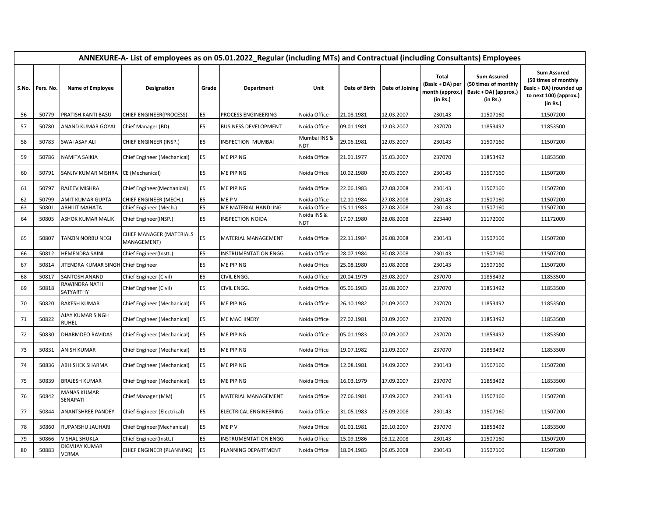|          | ANNEXURE-A- List of employees as on 05.01.2022_Regular (including MTs) and Contractual (including Consultants) Employees |                                            |                                                 |                                  |                                          |                             |                          |                          |                                                          |                                                                                 |                                                                                                             |
|----------|--------------------------------------------------------------------------------------------------------------------------|--------------------------------------------|-------------------------------------------------|----------------------------------|------------------------------------------|-----------------------------|--------------------------|--------------------------|----------------------------------------------------------|---------------------------------------------------------------------------------|-------------------------------------------------------------------------------------------------------------|
|          | S.No. Pers. No.                                                                                                          | Name of Employee                           | Designation                                     | Grade                            | Department                               | Unit                        | Date of Birth            | Date of Joining          | Total<br>(Basic + DA) per<br>month (approx.)<br>(in Rs.) | <b>Sum Assured</b><br>(50 times of monthly<br>Basic + DA) (approx.)<br>(in Rs.) | <b>Sum Assured</b><br>(50 times of monthly<br>Basic + DA) (rounded up<br>to next 100) (approx.)<br>(in Rs.) |
| 56       | 50779                                                                                                                    | <b>PRATISH KANTI BASU</b>                  | <b>CHIEF ENGINEER (PROCESS)</b>                 | E <sub>5</sub>                   | PROCESS ENGINEERING                      | Noida Office                | 21.08.1981               | 12.03.2007               | 230143                                                   | 11507160                                                                        | 11507200                                                                                                    |
| 57       | 50780                                                                                                                    | ANAND KUMAR GOYAL                          | Chief Manager (BD)                              | E5                               | <b>BUSINESS DEVELOPMENT</b>              | Noida Office                | 09.01.1981               | 12.03.2007               | 237070                                                   | 11853492                                                                        | 11853500                                                                                                    |
| 58       | 50783                                                                                                                    | <b>SWAI ASAF ALI</b>                       | CHIEF ENGINEER (INSP.)                          | E <sub>5</sub>                   | INSPECTION MUMBAI                        | Mumbai INS &<br>NDT         | 29.06.1981               | 12.03.2007               | 230143                                                   | 11507160                                                                        | 11507200                                                                                                    |
| 59       | 50786                                                                                                                    | <b>NAMITA SAIKIA</b>                       | Chief Engineer (Mechanical)                     | E <sub>5</sub>                   | ME PIPING                                | Noida Office                | 21.01.1977               | 15.03.2007               | 237070                                                   | 11853492                                                                        | 11853500                                                                                                    |
| 60       | 50791                                                                                                                    | SANJIV KUMAR MISHRA                        | CE (Mechanical)                                 | E5                               | ME PIPING                                | Noida Office                | 10.02.1980               | 30.03.2007               | 230143                                                   | 11507160                                                                        | 11507200                                                                                                    |
| 61       | 50797                                                                                                                    | <b>RAJEEV MISHRA</b>                       | Chief Engineer (Mechanical)                     | E5                               | ME PIPING                                | Noida Office                | 22.06.1983               | 27.08.2008               | 230143                                                   | 11507160                                                                        | 11507200                                                                                                    |
| 62       | 50799                                                                                                                    | AMIT KUMAR GUPTA                           | CHIEF ENGINEER (MECH.)                          | E5                               | ME P V                                   | Noida Office                | 12.10.1984               | 27.08.2008               | 230143                                                   | 11507160                                                                        | 11507200                                                                                                    |
| 63<br>64 | 50801<br>50805                                                                                                           | ABHIJIT MAHATA<br><b>ASHOK KUMAR MALIK</b> | Chief Engineer (Mech.)<br>Chief Engineer(INSP.) | E <sub>5</sub><br>E <sub>5</sub> | ME MATERIAL HANDLING<br>INSPECTION NOIDA | Noida Office<br>Noida INS & | 15.11.1983<br>17.07.1980 | 27.08.2008<br>28.08.2008 | 230143<br>223440                                         | 11507160<br>11172000                                                            | 11507200<br>11172000                                                                                        |
| 65       | 50807                                                                                                                    | TANZIN NORBU NEGI                          | CHIEF MANAGER (MATERIALS<br>MANAGEMENT)         | E5                               | MATERIAL MANAGEMENT                      | NDT<br>Noida Office         | 22.11.1984               | 29.08.2008               | 230143                                                   | 11507160                                                                        | 11507200                                                                                                    |
| 66       | 50812                                                                                                                    | <b>HEMENDRA SAINI</b>                      | Chief Engineer(Instt.)                          | E <sub>5</sub>                   | <b>INSTRUMENTATION ENGG</b>              | Noida Office                | 28.07.1984               | 30.08.2008               | 230143                                                   | 11507160                                                                        | 11507200                                                                                                    |
| 67       | 50814                                                                                                                    | JITENDRA KUMAR SINGH Chief Engineer        |                                                 | E <sub>5</sub>                   | ME PIPING                                | Noida Office                | 25.08.1980               | 31.08.2008               | 230143                                                   | 11507160                                                                        | 11507200                                                                                                    |
| 68       | 50817                                                                                                                    | SANTOSH ANAND                              | Chief Engineer (Civil)                          | E <sub>5</sub>                   | CIVIL ENGG.                              | Noida Office                | 20.04.1979               | 29.08.2007               | 237070                                                   | 11853492                                                                        | 11853500                                                                                                    |
| 69       | 50818                                                                                                                    | RAWINDRA NATH<br>SATYARTHY                 | Chief Engineer (Civil)                          | E <sub>5</sub>                   | CIVIL ENGG.                              | Noida Office                | 05.06.1983               | 29.08.2007               | 237070                                                   | 11853492                                                                        | 11853500                                                                                                    |
| 70       | 50820                                                                                                                    | <b>RAKESH KUMAR</b>                        | Chief Engineer (Mechanical)                     | E5                               | ME PIPING                                | Noida Office                | 26.10.1982               | 01.09.2007               | 237070                                                   | 11853492                                                                        | 11853500                                                                                                    |
| 71       | 50822                                                                                                                    | AJAY KUMAR SINGH<br><b>RUHEL</b>           | Chief Engineer (Mechanical)                     | E <sub>5</sub>                   | ME MACHINERY                             | Noida Office                | 27.02.1981               | 03.09.2007               | 237070                                                   | 11853492                                                                        | 11853500                                                                                                    |
| 72       | 50830                                                                                                                    | DHARMDEO RAVIDAS                           | Chief Engineer (Mechanical)                     | E <sub>5</sub>                   | ME PIPING                                | Noida Office                | 05.01.1983               | 07.09.2007               | 237070                                                   | 11853492                                                                        | 11853500                                                                                                    |
| 73       | 50831                                                                                                                    | <b>ANISH KUMAR</b>                         | Chief Engineer (Mechanical)                     | E5                               | ME PIPING                                | Noida Office                | 19.07.1982               | 11.09.2007               | 237070                                                   | 11853492                                                                        | 11853500                                                                                                    |
| 74       | 50836                                                                                                                    | <b>ABHISHEK SHARMA</b>                     | Chief Engineer (Mechanical)                     | E <sub>5</sub>                   | ME PIPING                                | Noida Office                | 12.08.1981               | 14.09.2007               | 230143                                                   | 11507160                                                                        | 11507200                                                                                                    |
| 75       | 50839                                                                                                                    | <b>BRAJESH KUMAR</b>                       | Chief Engineer (Mechanical)                     | E <sub>5</sub>                   | ME PIPING                                | Noida Office                | 16.03.1979               | 17.09.2007               | 237070                                                   | 11853492                                                                        | 11853500                                                                                                    |
| 76       | 50842                                                                                                                    | <b>MANAS KUMAR</b><br>SENAPATI             | Chief Manager (MM)                              | E5                               | MATERIAL MANAGEMENT                      | Noida Office                | 27.06.1981               | 17.09.2007               | 230143                                                   | 11507160                                                                        | 11507200                                                                                                    |
| 77       | 50844                                                                                                                    | <b>ANANTSHREE PANDEY</b>                   | Chief Engineer (Electrical)                     | E5                               | ELECTRICAL ENGINEERING                   | Noida Office                | 31.05.1983               | 25.09.2008               | 230143                                                   | 11507160                                                                        | 11507200                                                                                                    |
| 78       | 50860                                                                                                                    | RUPANSHU JAUHARI                           | Chief Engineer(Mechanical)                      | E5                               | ME P V                                   | Noida Office                | 01.01.1981               | 29.10.2007               | 237070                                                   | 11853492                                                                        | 11853500                                                                                                    |
| 79       | 50866                                                                                                                    | VISHAL SHUKLA                              | Chief Engineer(Instt.)                          | E <sub>5</sub>                   | INSTRUMENTATION ENGG                     | Noida Office                | 15.09.1986               | 05.12.2008               | 230143                                                   | 11507160                                                                        | 11507200                                                                                                    |
| 80       | 50883                                                                                                                    | DIGVIJAY KUMAR<br>VERMA                    | CHIEF ENGINEER (PLANNING)                       | E <sub>5</sub>                   | PLANNING DEPARTMENT                      | Noida Office                | 18.04.1983               | 09.05.2008               | 230143                                                   | 11507160                                                                        | 11507200                                                                                                    |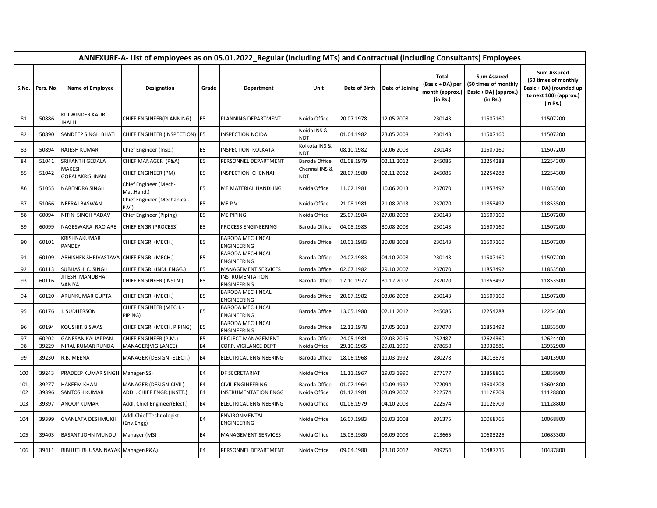|       |           | ANNEXURE-A- List of employees as on 05.01.2022_Regular (including MTs) and Contractual (including Consultants) Employees |                                       |                |                                               |                             |               |                 |                                                                 |                                                                                 |                                                                                                             |  |  |  |
|-------|-----------|--------------------------------------------------------------------------------------------------------------------------|---------------------------------------|----------------|-----------------------------------------------|-----------------------------|---------------|-----------------|-----------------------------------------------------------------|---------------------------------------------------------------------------------|-------------------------------------------------------------------------------------------------------------|--|--|--|
| S.No. | Pers. No. | Name of Employee                                                                                                         | Designation                           | Grade          | Department                                    | Unit                        | Date of Birth | Date of Joining | <b>Total</b><br>(Basic + DA) per<br>month (approx.)<br>(in Rs.) | <b>Sum Assured</b><br>(50 times of monthly<br>Basic + DA) (approx.)<br>(in Rs.) | <b>Sum Assured</b><br>(50 times of monthly<br>Basic + DA) (rounded up<br>to next 100) (approx.)<br>(in Rs.) |  |  |  |
| 81    | 50886     | KULWINDER KAUR<br><b>JHALLI</b>                                                                                          | CHIEF ENGINEER(PLANNING)              | E <sub>5</sub> | PLANNING DEPARTMENT                           | Noida Office                | 20.07.1978    | 12.05.2008      | 230143                                                          | 11507160                                                                        | 11507200                                                                                                    |  |  |  |
| 82    | 50890     | SANDEEP SINGH BHATI                                                                                                      | CHIEF ENGINEER (INSPECTION) E5        |                | <b>INSPECTION NOIDA</b>                       | Noida INS &<br>NDT          | 01.04.1982    | 23.05.2008      | 230143                                                          | 11507160                                                                        | 11507200                                                                                                    |  |  |  |
| 83    | 50894     | RAJESH KUMAR                                                                                                             | Chief Engineer (Insp.)                | E <sub>5</sub> | <b>INSPECTION KOLKATA</b>                     | Kolkota INS &<br><b>NDT</b> | 08.10.1982    | 02.06.2008      | 230143                                                          | 11507160                                                                        | 11507200                                                                                                    |  |  |  |
| 84    | 51041     | SRIKANTH GEDALA                                                                                                          | CHIEF MANAGER (P&A)                   | E <sub>5</sub> | PERSONNEL DEPARTMENT                          | Baroda Office               | 01.08.1979    | 02.11.2012      | 245086                                                          | 12254288                                                                        | 12254300                                                                                                    |  |  |  |
| 85    | 51042     | MAKESH<br><b>GOPALAKRISHNAN</b>                                                                                          | CHIEF ENGINEER (PM)                   | E <sub>5</sub> | <b>INSPECTION CHENNAI</b>                     | Chennai INS &<br>NDT        | 28.07.1980    | 02.11.2012      | 245086                                                          | 12254288                                                                        | 12254300                                                                                                    |  |  |  |
| 86    | 51055     | NARENDRA SINGH                                                                                                           | Chief Engineer (Mech-<br>Mat.Hand.)   | E5             | ME MATERIAL HANDLING                          | Noida Office                | 11.02.1981    | 10.06.2013      | 237070                                                          | 11853492                                                                        | 11853500                                                                                                    |  |  |  |
| 87    | 51066     | <b>NEERAJ BASWAN</b>                                                                                                     | Chief Engineer (Mechanical-<br>P.V.   | E <sub>5</sub> | ME P V                                        | Noida Office                | 21.08.1981    | 21.08.2013      | 237070                                                          | 11853492                                                                        | 11853500                                                                                                    |  |  |  |
| 88    | 60094     | NITIN SINGH YADAV                                                                                                        | Chief Engineer (Piping)               | E <sub>5</sub> | <b>ME PIPING</b>                              | Noida Office                | 25.07.1984    | 27.08.2008      | 230143                                                          | 11507160                                                                        | 11507200                                                                                                    |  |  |  |
| 89    | 60099     | NAGESWARA RAO ARE                                                                                                        | CHIEF ENGR.(PROCESS)                  | E <sub>5</sub> | PROCESS ENGINEERING                           | Baroda Office               | 04.08.1983    | 30.08.2008      | 230143                                                          | 11507160                                                                        | 11507200                                                                                                    |  |  |  |
| 90    | 60101     | KRISHNAKUMAR<br>PANDEY                                                                                                   | CHIEF ENGR. (MECH.)                   | E <sub>5</sub> | <b>BARODA MECHINCAL</b><br>ENGINEERING        | Baroda Office               | 10.01.1983    | 30.08.2008      | 230143                                                          | 11507160                                                                        | 11507200                                                                                                    |  |  |  |
| 91    | 60109     | ABHISHEK SHRIVASTAVA CHIEF ENGR. (MECH.)                                                                                 |                                       | E <sub>5</sub> | <b>BARODA MECHINCAL</b><br>ENGINEERING        | Baroda Office               | 24.07.1983    | 04.10.2008      | 230143                                                          | 11507160                                                                        | 11507200                                                                                                    |  |  |  |
| 92    | 60113     | SUBHASH C. SINGH                                                                                                         | CHIEF ENGR. (INDL.ENGG.)              | E <sub>5</sub> | MANAGEMENT SERVICES                           | Baroda Office               | 02.07.1982    | 29.10.2007      | 237070                                                          | 11853492                                                                        | 11853500                                                                                                    |  |  |  |
| 93    | 60116     | JITESH MANUBHAI<br>VANIYA                                                                                                | CHIEF ENGINEER (INSTN.)               | E <sub>5</sub> | <b>INSTRUMENTATION</b><br>ENGINEERING         | Baroda Office               | 17.10.1977    | 31.12.2007      | 237070                                                          | 11853492                                                                        | 11853500                                                                                                    |  |  |  |
| 94    | 60120     | ARUNKUMAR GUPTA                                                                                                          | CHIEF ENGR. (MECH.)                   | E <sub>5</sub> | <b>BARODA MECHINCAL</b><br><b>ENGINEERING</b> | Baroda Office               | 20.07.1982    | 03.06.2008      | 230143                                                          | 11507160                                                                        | 11507200                                                                                                    |  |  |  |
| 95    | 60176     | J. SUDHERSON                                                                                                             | CHIEF ENGINEER (MECH. -<br>PIPING)    | E5             | <b>BARODA MECHINCAL</b><br><b>ENGINEERING</b> | Baroda Office               | 13.05.1980    | 02.11.2012      | 245086                                                          | 12254288                                                                        | 12254300                                                                                                    |  |  |  |
| 96    | 60194     | KOUSHIK BISWAS                                                                                                           | CHIEF ENGR. (MECH. PIPING)            | E <sub>5</sub> | <b>BARODA MECHINCAL</b><br><b>ENGINEERING</b> | Baroda Office               | 12.12.1978    | 27.05.2013      | 237070                                                          | 11853492                                                                        | 11853500                                                                                                    |  |  |  |
| 97    | 60202     | <b>GANESAN KALIAPPAN</b>                                                                                                 | CHIEF ENGINEER (P.M.)                 | E <sub>5</sub> | PROJECT MANAGEMENT                            | Baroda Office               | 24.05.1981    | 02.03.2015      | 252487                                                          | 12624360                                                                        | 12624400                                                                                                    |  |  |  |
| 98    | 39229     | NIRAL KUMAR RUNDA                                                                                                        | MANAGER(VIGILANCE)                    | <b>E4</b>      | <b>CORP. VIGILANCE DEPT</b>                   | Noida Office                | 29.10.1965    | 29.01.1990      | 278658                                                          | 13932881                                                                        | 13932900                                                                                                    |  |  |  |
| 99    | 39230     | R.B. MEENA                                                                                                               | MANAGER (DESIGN.-ELECT.)              | E4             | <b>ELECTRICAL ENGINEERING</b>                 | Baroda Office               | 18.06.1968    | 11.03.1992      | 280278                                                          | 14013878                                                                        | 14013900                                                                                                    |  |  |  |
| 100   | 39243     | PRADEEP KUMAR SINGH Manager(SS)                                                                                          |                                       | E4             | <b>DF SECRETARIAT</b>                         | Noida Office                | 11.11.1967    | 19.03.1990      | 277177                                                          | 13858866                                                                        | 13858900                                                                                                    |  |  |  |
| 101   | 39277     | HAKEEM KHAN                                                                                                              | MANAGER (DESIGN-CIVIL)                | <b>E4</b>      | <b>CIVIL ENGINEERING</b>                      | Baroda Office               | 01.07.1964    | 10.09.1992      | 272094                                                          | 13604703                                                                        | 13604800                                                                                                    |  |  |  |
| 102   | 39396     | SANTOSH KUMAR                                                                                                            | ADDL. CHIEF ENGR.(INSTT.)             | <b>E4</b>      | <b>INSTRUMENTATION ENGG</b>                   | Noida Office                | 01.12.1981    | 03.09.2007      | 222574                                                          | 11128709                                                                        | 11128800                                                                                                    |  |  |  |
| 103   | 39397     | <b>ANOOP KUMAR</b>                                                                                                       | Addl. Chief Engineer(Elect.)          | E4             | ELECTRICAL ENGINEERING                        | Noida Office                | 01.06.1979    | 04.10.2008      | 222574                                                          | 11128709                                                                        | 11128800                                                                                                    |  |  |  |
| 104   | 39399     | <b>GYANLATA DESHMUKH</b>                                                                                                 | Addl.Chief Technologist<br>(Env.Engg) | E4             | ENVIRONMENTAL<br>ENGINEERING                  | Noida Office                | 16.07.1983    | 01.03.2008      | 201375                                                          | 10068765                                                                        | 10068800                                                                                                    |  |  |  |
| 105   | 39403     | BASANT JOHN MUNDU                                                                                                        | Manager (MS)                          | E4             | <b>MANAGEMENT SERVICES</b>                    | Noida Office                | 15.03.1980    | 03.09.2008      | 213665                                                          | 10683225                                                                        | 10683300                                                                                                    |  |  |  |
| 106   | 39411     | BIBHUTI BHUSAN NAYAK Manager (P&A)                                                                                       |                                       | E4             | PERSONNEL DEPARTMENT                          | Noida Office                | 09.04.1980    | 23.10.2012      | 209754                                                          | 10487715                                                                        | 10487800                                                                                                    |  |  |  |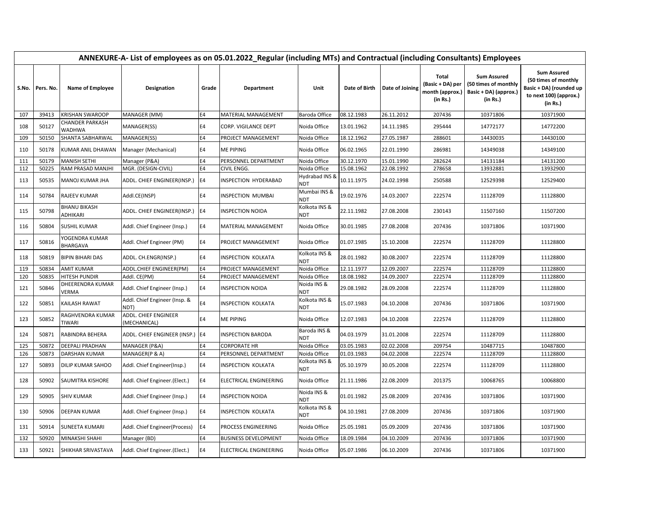|     |                 | ANNEXURE-A- List of employees as on 05.01.2022_Regular (including MTs) and Contractual (including Consultants) Employees |                                       |                |                             |                              |               |                 |                                                                 |                                                                                 |                                                                                                             |  |  |  |
|-----|-----------------|--------------------------------------------------------------------------------------------------------------------------|---------------------------------------|----------------|-----------------------------|------------------------------|---------------|-----------------|-----------------------------------------------------------------|---------------------------------------------------------------------------------|-------------------------------------------------------------------------------------------------------------|--|--|--|
|     | S.No. Pers. No. | <b>Name of Employee</b>                                                                                                  | Designation                           | Grade          | <b>Department</b>           | Unit                         | Date of Birth | Date of Joining | <b>Total</b><br>(Basic + DA) per<br>month (approx.)<br>(in Rs.) | <b>Sum Assured</b><br>(50 times of monthly<br>Basic + DA) (approx.)<br>(in Rs.) | <b>Sum Assured</b><br>(50 times of monthly<br>Basic + DA) (rounded up<br>to next 100) (approx.)<br>(in Rs.) |  |  |  |
| 107 | 39413           | <b>KRISHAN SWAROOP</b>                                                                                                   | MANAGER (MM)                          | <b>E4</b>      | MATERIAL MANAGEMENT         | Baroda Office                | 08.12.1983    | 26.11.2012      | 207436                                                          | 10371806                                                                        | 10371900                                                                                                    |  |  |  |
| 108 | 50127           | CHANDER PARKASH<br><b>WADHWA</b>                                                                                         | MANAGER(SS)                           | E4             | CORP. VIGILANCE DEPT        | Noida Office                 | 13.01.1962    | 14.11.1985      | 295444                                                          | 14772177                                                                        | 14772200                                                                                                    |  |  |  |
| 109 | 50150           | SHANTA SABHARWAL                                                                                                         | MANAGER(SS)                           | E4             | PROJECT MANAGEMENT          | Noida Office                 | 18.12.1962    | 27.05.1987      | 288601                                                          | 14430035                                                                        | 14430100                                                                                                    |  |  |  |
| 110 | 50178           | KUMAR ANIL DHAWAN                                                                                                        | Manager (Mechanical)                  | E4             | <b>ME PIPING</b>            | Noida Office                 | 06.02.1965    | 22.01.1990      | 286981                                                          | 14349038                                                                        | 14349100                                                                                                    |  |  |  |
| 111 | 50179           | <b>MANISH SETHI</b>                                                                                                      | Manager (P&A)                         | E4             | PERSONNEL DEPARTMENT        | Noida Office                 | 30.12.1970    | 15.01.1990      | 282624                                                          | 14131184                                                                        | 14131200                                                                                                    |  |  |  |
| 112 | 50225           | RAM PRASAD MANJHI                                                                                                        | MGR. (DESIGN-CIVIL)                   | E4             | CIVIL ENGG.                 | Noida Office                 | 15.08.1962    | 22.08.1992      | 278658                                                          | 13932881                                                                        | 13932900                                                                                                    |  |  |  |
| 113 | 50535           | MANOJ KUMAR JHA                                                                                                          | ADDL. CHIEF ENGINEER(INSP.)           | E4             | INSPECTION HYDERABAD        | Hydrabad INS &<br><b>NDT</b> | 10.11.1975    | 24.02.1998      | 250588                                                          | 12529398                                                                        | 12529400                                                                                                    |  |  |  |
| 114 | 50784           | <b>RAJEEV KUMAR</b>                                                                                                      | Addl.CE(INSP)                         | <b>E4</b>      | <b>INSPECTION MUMBAI</b>    | Mumbai INS &<br><b>NDT</b>   | 19.02.1976    | 14.03.2007      | 222574                                                          | 11128709                                                                        | 11128800                                                                                                    |  |  |  |
| 115 | 50798           | <b>BHANU BIKASH</b><br>ADHIKARI                                                                                          | ADDL. CHIEF ENGINEER(INSP.)           | E4             | <b>INSPECTION NOIDA</b>     | Kolkota INS &<br>NDT         | 22.11.1982    | 27.08.2008      | 230143                                                          | 11507160                                                                        | 11507200                                                                                                    |  |  |  |
| 116 | 50804           | <b>SUSHIL KUMAR</b>                                                                                                      | Addl. Chief Engineer (Insp.)          | E4             | MATERIAL MANAGEMENT         | Noida Office                 | 30.01.1985    | 27.08.2008      | 207436                                                          | 10371806                                                                        | 10371900                                                                                                    |  |  |  |
| 117 | 50816           | YOGENDRA KUMAR<br><b>BHARGAVA</b>                                                                                        | Addl. Chief Engineer (PM)             | E4             | PROJECT MANAGEMENT          | Noida Office                 | 01.07.1985    | 15.10.2008      | 222574                                                          | 11128709                                                                        | 11128800                                                                                                    |  |  |  |
| 118 | 50819           | <b>BIPIN BIHARI DAS</b>                                                                                                  | ADDL. CH.ENGR(INSP.)                  | <b>E4</b>      | <b>INSPECTION KOLKATA</b>   | Kolkota INS &<br><b>NDT</b>  | 28.01.1982    | 30.08.2007      | 222574                                                          | 11128709                                                                        | 11128800                                                                                                    |  |  |  |
| 119 | 50834           | AMIT KUMAR                                                                                                               | ADDL.CHIEF ENGINEER(PM)               | E4             | PROJECT MANAGEMENT          | Noida Office                 | 12.11.1977    | 12.09.2007      | 222574                                                          | 11128709                                                                        | 11128800                                                                                                    |  |  |  |
| 120 | 50835           | HITESH PUNDIR                                                                                                            | Addl. CE(PM)                          | E4             | PROJECT MANAGEMENT          | Noida Office                 | 18.08.1982    | 14.09.2007      | 222574                                                          | 11128709                                                                        | 11128800                                                                                                    |  |  |  |
| 121 | 50846           | DHEERENDRA KUMAR<br><b>VERMA</b>                                                                                         | Addl. Chief Engineer (Insp.)          | E4             | <b>INSPECTION NOIDA</b>     | Noida INS &<br><b>NDT</b>    | 29.08.1982    | 28.09.2008      | 222574                                                          | 11128709                                                                        | 11128800                                                                                                    |  |  |  |
| 122 | 50851           | KAILASH RAWAT                                                                                                            | Addl. Chief Engineer (Insp. &<br>NDT) | E4             | <b>INSPECTION KOLKATA</b>   | Kolkota INS &<br><b>NDT</b>  | 15.07.1983    | 04.10.2008      | 207436                                                          | 10371806                                                                        | 10371900                                                                                                    |  |  |  |
| 123 | 50852           | RAGHVENDRA KUMAR<br>TIWARI                                                                                               | ADDL. CHIEF ENGINEER<br>(MECHANICAL)  | E4             | <b>ME PIPING</b>            | Noida Office                 | 12.07.1983    | 04.10.2008      | 222574                                                          | 11128709                                                                        | 11128800                                                                                                    |  |  |  |
| 124 | 50871           | RABINDRA BEHERA                                                                                                          | ADDL. CHIEF ENGINEER (INSP.) E4       |                | <b>INSPECTION BARODA</b>    | Baroda INS &<br><b>NDT</b>   | 04.03.1979    | 31.01.2008      | 222574                                                          | 11128709                                                                        | 11128800                                                                                                    |  |  |  |
| 125 | 50872           | DEEPALI PRADHAN                                                                                                          | MANAGER (P&A)                         | <b>E4</b>      | <b>CORPORATE HR</b>         | Noida Office                 | 03.05.1983    | 02.02.2008      | 209754                                                          | 10487715                                                                        | 10487800                                                                                                    |  |  |  |
| 126 | 50873           | DARSHAN KUMAR                                                                                                            | MANAGER(P & A)                        | E4             | PERSONNEL DEPARTMENT        | Noida Office                 | 01.03.1983    | 04.02.2008      | 222574                                                          | 11128709                                                                        | 11128800                                                                                                    |  |  |  |
| 127 | 50893           | DILIP KUMAR SAHOO                                                                                                        | Addl. Chief Engineer(Insp.)           | E4             | <b>INSPECTION KOLKATA</b>   | Kolkota INS &<br><b>NDT</b>  | 05.10.1979    | 30.05.2008      | 222574                                                          | 11128709                                                                        | 11128800                                                                                                    |  |  |  |
| 128 | 50902           | SAUMITRA KISHORE                                                                                                         | Addl. Chief Engineer.(Elect.)         | E4             | ELECTRICAL ENGINEERING      | Noida Office                 | 21.11.1986    | 22.08.2009      | 201375                                                          | 10068765                                                                        | 10068800                                                                                                    |  |  |  |
| 129 | 50905           | <b>SHIV KUMAR</b>                                                                                                        | Addl. Chief Engineer (Insp.)          | <b>E4</b>      | <b>INSPECTION NOIDA</b>     | Noida INS &<br><b>NDT</b>    | 01.01.1982    | 25.08.2009      | 207436                                                          | 10371806                                                                        | 10371900                                                                                                    |  |  |  |
| 130 | 50906           | DEEPAN KUMAR                                                                                                             | Addl. Chief Engineer (Insp.)          | E <sub>4</sub> | <b>INSPECTION KOLKATA</b>   | Kolkota INS &<br>NDT         | 04.10.1981    | 27.08.2009      | 207436                                                          | 10371806                                                                        | 10371900                                                                                                    |  |  |  |
| 131 | 50914           | SUNEETA KUMARI                                                                                                           | Addl. Chief Engineer(Process)         | E4             | PROCESS ENGINEERING         | Noida Office                 | 25.05.1981    | 05.09.2009      | 207436                                                          | 10371806                                                                        | 10371900                                                                                                    |  |  |  |
| 132 | 50920           | MINAKSHI SHAHI                                                                                                           | Manager (BD)                          | <b>E4</b>      | <b>BUSINESS DEVELOPMENT</b> | Noida Office                 | 18.09.1984    | 04.10.2009      | 207436                                                          | 10371806                                                                        | 10371900                                                                                                    |  |  |  |
| 133 | 50921           | SHIKHAR SRIVASTAVA                                                                                                       | Addl. Chief Engineer.(Elect.)         | E4             | ELECTRICAL ENGINEERING      | Noida Office                 | 05.07.1986    | 06.10.2009      | 207436                                                          | 10371806                                                                        | 10371900                                                                                                    |  |  |  |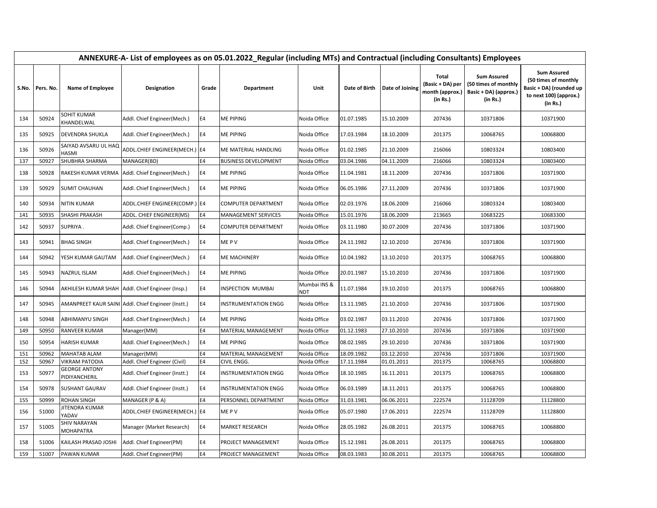|       | ANNEXURE-A- List of employees as on 05.01.2022_Regular (including MTs) and Contractual (including Consultants) Employees |                                       |                                                    |                |                             |                            |               |                 |                                                                 |                                                                                 |                                                                                                             |  |  |
|-------|--------------------------------------------------------------------------------------------------------------------------|---------------------------------------|----------------------------------------------------|----------------|-----------------------------|----------------------------|---------------|-----------------|-----------------------------------------------------------------|---------------------------------------------------------------------------------|-------------------------------------------------------------------------------------------------------------|--|--|
| S.No. | Pers. No.                                                                                                                | Name of Employee                      | Designation                                        | Grade          | Department                  | Unit                       | Date of Birth | Date of Joining | <b>Total</b><br>(Basic + DA) per<br>month (approx.)<br>(in Rs.) | <b>Sum Assured</b><br>(50 times of monthly<br>Basic + DA) (approx.)<br>(in Rs.) | <b>Sum Assured</b><br>(50 times of monthly<br>Basic + DA) (rounded up<br>to next 100) (approx.)<br>(in Rs.) |  |  |
| 134   | 50924                                                                                                                    | SOHIT KUMAR<br>KHANDELWAL             | Addl. Chief Engineer(Mech.)                        | E4             | <b>ME PIPING</b>            | Noida Office               | 01.07.1985    | 15.10.2009      | 207436                                                          | 10371806                                                                        | 10371900                                                                                                    |  |  |
| 135   | 50925                                                                                                                    | DEVENDRA SHUKLA                       | Addl. Chief Engineer(Mech.)                        | E4             | <b>ME PIPING</b>            | Noida Office               | 17.03.1984    | 18.10.2009      | 201375                                                          | 10068765                                                                        | 10068800                                                                                                    |  |  |
| 136   | 50926                                                                                                                    | SAIYAD AVSARU UL HAQ<br>HASMI         | ADDL.CHIEF ENGINEER(MECH.) E4                      |                | ME MATERIAL HANDLING        | Noida Office               | 01.02.1985    | 21.10.2009      | 216066                                                          | 10803324                                                                        | 10803400                                                                                                    |  |  |
| 137   | 50927                                                                                                                    | SHUBHRA SHARMA                        | MANAGER(BD)                                        | <b>E4</b>      | <b>BUSINESS DEVELOPMENT</b> | Noida Office               | 03.04.1986    | 04.11.2009      | 216066                                                          | 10803324                                                                        | 10803400                                                                                                    |  |  |
| 138   | 50928                                                                                                                    | RAKESH KUMAR VERMA                    | Addl. Chief Engineer(Mech.)                        | E4             | <b>ME PIPING</b>            | Noida Office               | 11.04.1981    | 18.11.2009      | 207436                                                          | 10371806                                                                        | 10371900                                                                                                    |  |  |
| 139   | 50929                                                                                                                    | <b>SUMIT CHAUHAN</b>                  | Addl. Chief Engineer(Mech.)                        | E4             | <b>ME PIPING</b>            | Noida Office               | 06.05.1986    | 27.11.2009      | 207436                                                          | 10371806                                                                        | 10371900                                                                                                    |  |  |
| 140   | 50934                                                                                                                    | <b>NITIN KUMAR</b>                    | ADDL.CHIEF ENGINEER(COMP.) E4                      |                | <b>COMPUTER DEPARTMENT</b>  | Noida Office               | 02.03.1976    | 18.06.2009      | 216066                                                          | 10803324                                                                        | 10803400                                                                                                    |  |  |
| 141   | 50935                                                                                                                    | SHASHI PRAKASH                        | ADDL. CHIEF ENGINEER(MS)                           | E4             | <b>MANAGEMENT SERVICES</b>  | Noida Office               | 15.01.1976    | 18.06.2009      | 213665                                                          | 10683225                                                                        | 10683300                                                                                                    |  |  |
| 142   | 50937                                                                                                                    | SUPRIYA.                              | Addl. Chief Engineer(Comp.)                        | E4             | <b>COMPUTER DEPARTMENT</b>  | Noida Office               | 03.11.1980    | 30.07.2009      | 207436                                                          | 10371806                                                                        | 10371900                                                                                                    |  |  |
| 143   | 50941                                                                                                                    | <b>BHAG SINGH</b>                     | Addl. Chief Engineer(Mech.)                        | E4             | ME P V                      | Noida Office               | 24.11.1982    | 12.10.2010      | 207436                                                          | 10371806                                                                        | 10371900                                                                                                    |  |  |
| 144   | 50942                                                                                                                    | YESH KUMAR GAUTAM                     | Addl. Chief Engineer(Mech.)                        | E4             | <b>ME MACHINERY</b>         | Noida Office               | 10.04.1982    | 13.10.2010      | 201375                                                          | 10068765                                                                        | 10068800                                                                                                    |  |  |
| 145   | 50943                                                                                                                    | NAZRUL ISLAM                          | Addl. Chief Engineer(Mech.)                        | E4             | <b>ME PIPING</b>            | Noida Office               | 20.01.1987    | 15.10.2010      | 207436                                                          | 10371806                                                                        | 10371900                                                                                                    |  |  |
| 146   | 50944                                                                                                                    |                                       | AKHILESH KUMAR SHAH   Addl. Chief Engineer (Insp.) | E4             | <b>INSPECTION MUMBAI</b>    | Mumbai INS &<br><b>NDT</b> | 11.07.1984    | 19.10.2010      | 201375                                                          | 10068765                                                                        | 10068800                                                                                                    |  |  |
| 147   | 50945                                                                                                                    |                                       | AMANPREET KAUR SAINI Addl. Chief Engineer (Instt.) | <b>E4</b>      | <b>INSTRUMENTATION ENGG</b> | Noida Office               | 13.11.1985    | 21.10.2010      | 207436                                                          | 10371806                                                                        | 10371900                                                                                                    |  |  |
| 148   | 50948                                                                                                                    | ABHIMANYU SINGH                       | Addl. Chief Engineer(Mech.)                        | E4             | <b>ME PIPING</b>            | Noida Office               | 03.02.1987    | 03.11.2010      | 207436                                                          | 10371806                                                                        | 10371900                                                                                                    |  |  |
| 149   | 50950                                                                                                                    | <b>RANVEER KUMAR</b>                  | Manager(MM)                                        | <b>E4</b>      | MATERIAL MANAGEMENT         | Noida Office               | 01.12.1983    | 27.10.2010      | 207436                                                          | 10371806                                                                        | 10371900                                                                                                    |  |  |
| 150   | 50954                                                                                                                    | HARISH KUMAR                          | Addl. Chief Engineer(Mech.)                        | E4             | <b>ME PIPING</b>            | Noida Office               | 08.02.1985    | 29.10.2010      | 207436                                                          | 10371806                                                                        | 10371900                                                                                                    |  |  |
| 151   | 50962                                                                                                                    | MAHATAB ALAM                          | Manager(MM)                                        | E4             | MATERIAL MANAGEMENT         | Noida Office               | 18.09.1982    | 03.12.2010      | 207436                                                          | 10371806                                                                        | 10371900                                                                                                    |  |  |
| 152   | 50967                                                                                                                    | <b>VIKRAM PATODIA</b>                 | Addl. Chief Engineer (Civil)                       | E4             | CIVIL ENGG.                 | Noida Office               | 17.11.1984    | 01.01.2011      | 201375                                                          | 10068765                                                                        | 10068800                                                                                                    |  |  |
| 153   | 50977                                                                                                                    | <b>GEORGE ANTONY</b><br>PIDIYANCHERIL | Addl. Chief Engineer (Instt.)                      | E4             | <b>INSTRUMENTATION ENGG</b> | Noida Office               | 18.10.1985    | 16.11.2011      | 201375                                                          | 10068765                                                                        | 10068800                                                                                                    |  |  |
| 154   | 50978                                                                                                                    | <b>SUSHANT GAURAV</b>                 | Addl. Chief Engineer (Instt.)                      | E4             | <b>INSTRUMENTATION ENGG</b> | Noida Office               | 06.03.1989    | 18.11.2011      | 201375                                                          | 10068765                                                                        | 10068800                                                                                                    |  |  |
| 155   | 50999                                                                                                                    | ROHAN SINGH                           | MANAGER (P & A)                                    | E4             | PERSONNEL DEPARTMENT        | Noida Office               | 31.03.1981    | 06.06.2011      | 222574                                                          | 11128709                                                                        | 11128800                                                                                                    |  |  |
| 156   | 51000                                                                                                                    | JITENDRA KUMAR<br>YADAV               | ADDL.CHIEF ENGINEER(MECH.) E4                      |                | ME P V                      | Noida Office               | 05.07.1980    | 17.06.2011      | 222574                                                          | 11128709                                                                        | 11128800                                                                                                    |  |  |
| 157   | 51005                                                                                                                    | SHIV NARAYAN<br><b>MOHAPATRA</b>      | Manager (Market Research)                          | E4             | <b>MARKET RESEARCH</b>      | Noida Office               | 28.05.1982    | 26.08.2011      | 201375                                                          | 10068765                                                                        | 10068800                                                                                                    |  |  |
| 158   | 51006                                                                                                                    | KAILASH PRASAD JOSHI                  | Addl. Chief Engineer(PM)                           | E <sub>4</sub> | PROJECT MANAGEMENT          | Noida Office               | 15.12.1981    | 26.08.2011      | 201375                                                          | 10068765                                                                        | 10068800                                                                                                    |  |  |
| 159   | 51007                                                                                                                    | PAWAN KUMAR                           | Addl. Chief Engineer(PM)                           | E4             | PROJECT MANAGEMENT          | Noida Office               | 08.03.1983    | 30.08.2011      | 201375                                                          | 10068765                                                                        | 10068800                                                                                                    |  |  |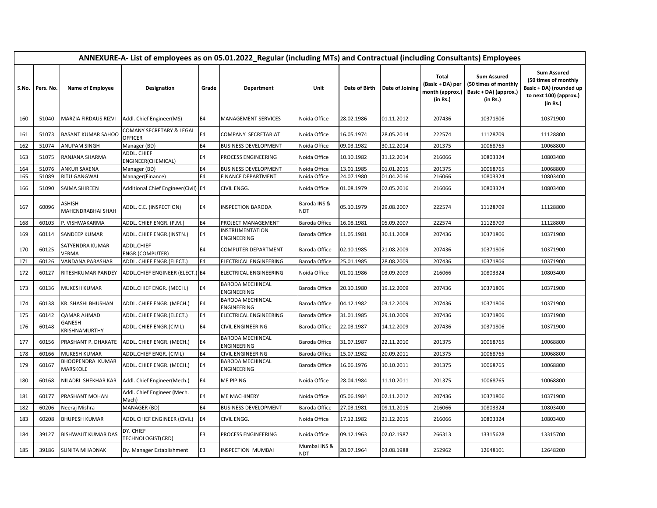|       | ANNEXURE-A- List of employees as on 05.01.2022_Regular (including MTs) and Contractual (including Consultants) Employees |                                 |                                            |                |                                               |                            |               |                 |                                                                 |                                                                                 |                                                                                                             |  |  |
|-------|--------------------------------------------------------------------------------------------------------------------------|---------------------------------|--------------------------------------------|----------------|-----------------------------------------------|----------------------------|---------------|-----------------|-----------------------------------------------------------------|---------------------------------------------------------------------------------|-------------------------------------------------------------------------------------------------------------|--|--|
| S.No. | Pers. No.                                                                                                                | Name of Employee                | Designation                                | Grade          | Department                                    | Unit                       | Date of Birth | Date of Joining | <b>Total</b><br>(Basic + DA) per<br>month (approx.)<br>(in Rs.) | <b>Sum Assured</b><br>(50 times of monthly<br>Basic + DA) (approx.)<br>(in Rs.) | <b>Sum Assured</b><br>(50 times of monthly<br>Basic + DA) (rounded up<br>to next 100) (approx.)<br>(in Rs.) |  |  |
| 160   | 51040                                                                                                                    | MARZIA FIRDAUS RIZVI            | Addl. Chief Engineer(MS)                   | E4             | <b>MANAGEMENT SERVICES</b>                    | Noida Office               | 28.02.1986    | 01.11.2012      | 207436                                                          | 10371806                                                                        | 10371900                                                                                                    |  |  |
| 161   | 51073                                                                                                                    | <b>BASANT KUMAR SAHOO</b>       | COMANY SECRETARY & LEGAL<br><b>OFFICER</b> | E4             | COMPANY SECRETARIAT                           | Noida Office               | 16.05.1974    | 28.05.2014      | 222574                                                          | 11128709                                                                        | 11128800                                                                                                    |  |  |
| 162   | 51074                                                                                                                    | ANUPAM SINGH                    | Manager (BD)                               | E4             | <b>BUSINESS DEVELOPMENT</b>                   | Noida Office               | 09.03.1982    | 30.12.2014      | 201375                                                          | 10068765                                                                        | 10068800                                                                                                    |  |  |
| 163   | 51075                                                                                                                    | RANJANA SHARMA                  | ADDL. CHIEF<br>ENGINEER(CHEMICAL)          | E4             | PROCESS ENGINEERING                           | Noida Office               | 10.10.1982    | 31.12.2014      | 216066                                                          | 10803324                                                                        | 10803400                                                                                                    |  |  |
| 164   | 51076                                                                                                                    | <b>ANKUR SAXENA</b>             | Manager (BD)                               | E4             | <b>BUSINESS DEVELOPMENT</b>                   | Noida Office               | 13.01.1985    | 01.01.2015      | 201375                                                          | 10068765                                                                        | 10068800                                                                                                    |  |  |
| 165   | 51089                                                                                                                    | RITU GANGWAL                    | Manager(Finance)                           | E <sub>4</sub> | <b>FINANCE DEPARTMENT</b>                     | Noida Office               | 24.07.1980    | 01.04.2016      | 216066                                                          | 10803324                                                                        | 10803400                                                                                                    |  |  |
| 166   | 51090                                                                                                                    | SAIMA SHIREEN                   | Additional Chief Engineer(Civil) E4        |                | CIVIL ENGG.                                   | Noida Office               | 01.08.1979    | 02.05.2016      | 216066                                                          | 10803324                                                                        | 10803400                                                                                                    |  |  |
| 167   | 60096                                                                                                                    | ASHISH<br>MAHENDRABHAI SHAH     | ADDL. C.E. (INSPECTION)                    | E4             | <b>INSPECTION BARODA</b>                      | Baroda INS &<br><b>NDT</b> | 05.10.1979    | 29.08.2007      | 222574                                                          | 11128709                                                                        | 11128800                                                                                                    |  |  |
| 168   | 60103                                                                                                                    | P. VISHWAKARMA                  | ADDL. CHIEF ENGR. (P.M.)                   | <b>E4</b>      | PROJECT MANAGEMENT                            | Baroda Office              | 16.08.1981    | 05.09.2007      | 222574                                                          | 11128709                                                                        | 11128800                                                                                                    |  |  |
| 169   | 60114                                                                                                                    | SANDEEP KUMAR                   | ADDL. CHIEF ENGR.(INSTN.)                  | <b>E4</b>      | <b>INSTRUMENTATION</b><br>ENGINEERING         | Baroda Office              | 11.05.1981    | 30.11.2008      | 207436                                                          | 10371806                                                                        | 10371900                                                                                                    |  |  |
| 170   | 60125                                                                                                                    | SATYENDRA KUMAR<br><b>VERMA</b> | ADDL.CHIEF<br>ENGR.(COMPUTER)              | E4             | <b>COMPUTER DEPARTMENT</b>                    | Baroda Office              | 02.10.1985    | 21.08.2009      | 207436                                                          | 10371806                                                                        | 10371900                                                                                                    |  |  |
| 171   | 60126                                                                                                                    | VANDANA PARASHAR                | ADDL. CHIEF ENGR.(ELECT.)                  | <b>E4</b>      | ELECTRICAL ENGINEERING                        | Baroda Office              | 25.01.1985    | 28.08.2009      | 207436                                                          | 10371806                                                                        | 10371900                                                                                                    |  |  |
| 172   | 60127                                                                                                                    | RITESHKUMAR PANDEY              | ADDL.CHIEF ENGINEER (ELECT.) E4            |                | ELECTRICAL ENGINEERING                        | Noida Office               | 01.01.1986    | 03.09.2009      | 216066                                                          | 10803324                                                                        | 10803400                                                                                                    |  |  |
| 173   | 60136                                                                                                                    | MUKESH KUMAR                    | ADDL.CHIEF ENGR. (MECH.)                   | E4             | <b>BARODA MECHINCAL</b><br><b>ENGINEERING</b> | Baroda Office              | 20.10.1980    | 19.12.2009      | 207436                                                          | 10371806                                                                        | 10371900                                                                                                    |  |  |
| 174   | 60138                                                                                                                    | KR. SHASHI BHUSHAN              | ADDL. CHIEF ENGR. (MECH.)                  | <b>E4</b>      | <b>BARODA MECHINCAL</b><br>ENGINEERING        | Baroda Office              | 04.12.1982    | 03.12.2009      | 207436                                                          | 10371806                                                                        | 10371900                                                                                                    |  |  |
| 175   | 60142                                                                                                                    | <b>QAMAR AHMAD</b>              | ADDL. CHIEF ENGR.(ELECT.)                  | E4             | ELECTRICAL ENGINEERING                        | Baroda Office              | 31.01.1985    | 29.10.2009      | 207436                                                          | 10371806                                                                        | 10371900                                                                                                    |  |  |
| 176   | 60148                                                                                                                    | GANESH<br>KRISHNAMURTHY         | ADDL. CHIEF ENGR.(CIVIL)                   | E4             | <b>CIVIL ENGINEERING</b>                      | Baroda Office              | 22.03.1987    | 14.12.2009      | 207436                                                          | 10371806                                                                        | 10371900                                                                                                    |  |  |
| 177   | 60156                                                                                                                    | PRASHANT P. DHAKATE             | ADDL. CHIEF ENGR. (MECH.)                  | E4             | <b>BARODA MECHINCAL</b><br><b>ENGINEERING</b> | Baroda Office              | 31.07.1987    | 22.11.2010      | 201375                                                          | 10068765                                                                        | 10068800                                                                                                    |  |  |
| 178   | 60166                                                                                                                    | MUKESH KUMAR                    | ADDL.CHIEF ENGR. (CIVIL)                   | <b>E4</b>      | CIVIL ENGINEERING                             | Baroda Office              | 15.07.1982    | 20.09.2011      | 201375                                                          | 10068765                                                                        | 10068800                                                                                                    |  |  |
| 179   | 60167                                                                                                                    | BHOOPENDRA KUMAR<br>MARSKOLE    | ADDL. CHIEF ENGR. (MECH.)                  | E4             | <b>BARODA MECHINCAL</b><br>ENGINEERING        | Baroda Office              | 16.06.1976    | 10.10.2011      | 201375                                                          | 10068765                                                                        | 10068800                                                                                                    |  |  |
| 180   | 60168                                                                                                                    | NILADRI SHEKHAR KAR             | Addl. Chief Engineer (Mech.)               | E4             | <b>ME PIPING</b>                              | Noida Office               | 28.04.1984    | 11.10.2011      | 201375                                                          | 10068765                                                                        | 10068800                                                                                                    |  |  |
| 181   | 60177                                                                                                                    | PRASHANT MOHAN                  | Addl. Chief Engineer (Mech.<br>Mach)       | E4             | <b>ME MACHINERY</b>                           | Noida Office               | 05.06.1984    | 02.11.2012      | 207436                                                          | 10371806                                                                        | 10371900                                                                                                    |  |  |
| 182   | 60206                                                                                                                    | Neeraj Mishra                   | MANAGER (BD)                               | <b>E4</b>      | <b>BUSINESS DEVELOPMENT</b>                   | Baroda Office              | 27.03.1981    | 09.11.2015      | 216066                                                          | 10803324                                                                        | 10803400                                                                                                    |  |  |
| 183   | 60208                                                                                                                    | <b>BHUPESH KUMAR</b>            | ADDL CHIEF ENGINEER (CIVIL)                | <b>E4</b>      | CIVIL ENGG.                                   | Noida Office               | 17.12.1982    | 21.12.2015      | 216066                                                          | 10803324                                                                        | 10803400                                                                                                    |  |  |
| 184   | 39127                                                                                                                    | <b>BISHWAJIT KUMAR DAS</b>      | DY. CHIEF<br>TECHNOLOGIST(CRD)             | E3             | PROCESS ENGINEERING                           | Noida Office               | 09.12.1963    | 02.02.1987      | 266313                                                          | 13315628                                                                        | 13315700                                                                                                    |  |  |
| 185   | 39186                                                                                                                    | SUNITA MHADNAK                  | Dy. Manager Establishment                  | E <sub>3</sub> | <b>INSPECTION MUMBAI</b>                      | Mumbai INS &<br>NDT        | 20.07.1964    | 03.08.1988      | 252962                                                          | 12648101                                                                        | 12648200                                                                                                    |  |  |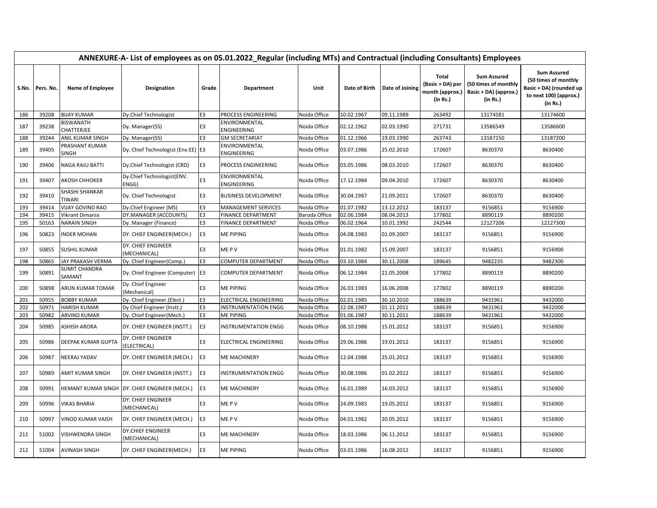|     |                   | ANNEXURE-A- List of employees as on 05.01.2022_Regular (including MTs) and Contractual (including Consultants) Employees |                                               |                |                              |               |               |                 |                                                                 |                                                                                 |                                                                                                             |  |  |  |
|-----|-------------------|--------------------------------------------------------------------------------------------------------------------------|-----------------------------------------------|----------------|------------------------------|---------------|---------------|-----------------|-----------------------------------------------------------------|---------------------------------------------------------------------------------|-------------------------------------------------------------------------------------------------------------|--|--|--|
|     | S.No.   Pers. No. | <b>Name of Employee</b>                                                                                                  | <b>Designation</b>                            | Grade          | <b>Department</b>            | Unit          | Date of Birth | Date of Joining | <b>Total</b><br>(Basic + DA) per<br>month (approx.)<br>(in Rs.) | <b>Sum Assured</b><br>(50 times of monthly<br>Basic + DA) (approx.)<br>(in Rs.) | <b>Sum Assured</b><br>(50 times of monthly<br>Basic + DA) (rounded up<br>to next 100) (approx.)<br>(in Rs.) |  |  |  |
| 186 | 39208             | <b>BIJAY KUMAR</b>                                                                                                       | Dy.Chief Technologist                         | E <sub>3</sub> | PROCESS ENGINEERING          | Noida Office  | 10.02.1967    | 09.11.1989      | 263492                                                          | 13174581                                                                        | 13174600                                                                                                    |  |  |  |
| 187 | 39238             | BISWANATH<br>CHATTERJEE                                                                                                  | Dy. Manager(SS)                               | E3             | ENVIRONMENTAL<br>ENGINEERING | Noida Office  | 02.12.1962    | 02.03.1990      | 271731                                                          | 13586549                                                                        | 13586600                                                                                                    |  |  |  |
| 188 | 39244             | ANIL KUMAR SINGH                                                                                                         | Dy. Manager(SS)                               | E <sub>3</sub> | <b>GM SECRETARIAT</b>        | Noida Office  | 01.12.1966    | 19.03.1990      | 263743                                                          | 13187150                                                                        | 13187200                                                                                                    |  |  |  |
| 189 | 39405             | PRASHANT KUMAR<br><b>SINGH</b>                                                                                           | Dy. Chief Technologist (Env.EE) E3            |                | ENVIRONMENTAL<br>ENGINEERING | Noida Office  | 03.07.1986    | 25.02.2010      | 172607                                                          | 8630370                                                                         | 8630400                                                                                                     |  |  |  |
| 190 | 39406             | <b>NAGA RAJU BATTI</b>                                                                                                   | Dy.Chief Technologist (CRD)                   | E <sub>3</sub> | PROCESS ENGINEERING          | Noida Office  | 03.05.1986    | 08.03.2010      | 172607                                                          | 8630370                                                                         | 8630400                                                                                                     |  |  |  |
| 191 | 39407             | AKOSH CHHOKER                                                                                                            | Dy.Chief Technologist(ENV.<br>ENGG)           | E3             | ENVIRONMENTAL<br>ENGINEERING | Noida Office  | 17.12.1984    | 09.04.2010      | 172607                                                          | 8630370                                                                         | 8630400                                                                                                     |  |  |  |
| 192 | 39410             | SHASHI SHANKAR<br><b>TIWARI</b>                                                                                          | Dy. Chief Technologist                        | E <sub>3</sub> | <b>BUSINESS DEVELOPMENT</b>  | Noida Office  | 30.04.1987    | 21.09.2011      | 172607                                                          | 8630370                                                                         | 8630400                                                                                                     |  |  |  |
| 193 | 39414             | <b>VIJAY GOVIND RAO</b>                                                                                                  | Dy.Chief Engineer (MS)                        | E3             | <b>MANAGEMENT SERVICES</b>   | Noida Office  | 01.07.1982    | 13.12.2012      | 183137                                                          | 9156851                                                                         | 9156900                                                                                                     |  |  |  |
| 194 | 39415             | Vikrant Dimania                                                                                                          | DY.MANAGER (ACCOUNTS)                         | E <sub>3</sub> | <b>FINANCE DEPARTMENT</b>    | Baroda Office | 02.06.1984    | 08.04.2013      | 177802                                                          | 8890119                                                                         | 8890200                                                                                                     |  |  |  |
| 195 | 50163             | <b>NARAIN SINGH</b>                                                                                                      | Dy. Manager (Finance)                         | E <sub>3</sub> | <b>FINANCE DEPARTMENT</b>    | Noida Office  | 06.02.1964    | 10.01.1992      | 242544                                                          | 12127206                                                                        | 12127300                                                                                                    |  |  |  |
| 196 | 50823             | <b>INDER MOHAN</b>                                                                                                       | DY. CHIEF ENGINEER(MECH.)                     | E <sub>3</sub> | <b>ME PIPING</b>             | Noida Office  | 04.08.1983    | 01.09.2007      | 183137                                                          | 9156851                                                                         | 9156900                                                                                                     |  |  |  |
| 197 | 50855             | <b>SUSHIL KUMAR</b>                                                                                                      | DY. CHIEF ENGINEER<br>(MECHANICAL)            | E3             | ME P V                       | Noida Office  | 01.01.1982    | 15.09.2007      | 183137                                                          | 9156851                                                                         | 9156900                                                                                                     |  |  |  |
| 198 | 50865             | JAY PRAKASH VERMA                                                                                                        | Dy. Chief Engineer(Comp.)                     | E <sub>3</sub> | <b>COMPUTER DEPARTMENT</b>   | Noida Office  | 03.10.1984    | 30.11.2008      | 189645                                                          | 9482235                                                                         | 9482300                                                                                                     |  |  |  |
| 199 | 50891             | SUMIT CHANDRA<br>SAMANT                                                                                                  | Dy. Chief Engineer (Computer) E3              |                | <b>COMPUTER DEPARTMENT</b>   | Noida Office  | 06.12.1984    | 21.05.2008      | 177802                                                          | 8890119                                                                         | 8890200                                                                                                     |  |  |  |
| 200 | 50898             | ARUN KUMAR TOMAR                                                                                                         | Dy. Chief Engineer<br>(Mechanical)            | E3             | <b>ME PIPING</b>             | Noida Office  | 26.03.1983    | 16.06.2008      | 177802                                                          | 8890119                                                                         | 8890200                                                                                                     |  |  |  |
| 201 | 50955             | <b>BOBBY KUMAR</b>                                                                                                       | Dy. Chief Engineer.(Elect.)                   | E3             | ELECTRICAL ENGINEERING       | Noida Office  | 02.01.1985    | 30.10.2010      | 188639                                                          | 9431961                                                                         | 9432000                                                                                                     |  |  |  |
| 202 | 50971             | <b>HARISH KUMAR</b>                                                                                                      | Dy Chief Engineer (Instt.)                    | E <sub>3</sub> | <b>INSTRUMENTATION ENGG</b>  | Noida Office  | 22.08.1987    | 01.11.2011      | 188639                                                          | 9431961                                                                         | 9432000                                                                                                     |  |  |  |
| 203 | 50982             | <b>ARVIND KUMAR</b>                                                                                                      | Dy. Chief Engineer(Mech.)                     | E3             | <b>ME PIPING</b>             | Noida Office  | 01.06.1987    | 30.11.2011      | 188639                                                          | 9431961                                                                         | 9432000                                                                                                     |  |  |  |
| 204 | 50985             | ASHISH ARORA                                                                                                             | DY. CHIEF ENGINEER (INSTT.)                   | E <sub>3</sub> | <b>INSTRUMENTATION ENGG</b>  | Noida Office  | 08.10.1988    | 15.01.2012      | 183137                                                          | 9156851                                                                         | 9156900                                                                                                     |  |  |  |
| 205 | 50986             | DEEPAK KUMAR GUPTA                                                                                                       | DY. CHIEF ENGINEER<br>(ELECTRICAL)            | E <sub>3</sub> | ELECTRICAL ENGINEERING       | Noida Office  | 29.06.1986    | 19.01.2012      | 183137                                                          | 9156851                                                                         | 9156900                                                                                                     |  |  |  |
| 206 | 50987             | NEERAJ YADAV                                                                                                             | DY. CHIEF ENGINEER (MECH.)                    | E <sub>3</sub> | <b>ME MACHINERY</b>          | Noida Office  | 12.04.1988    | 25.01.2012      | 183137                                                          | 9156851                                                                         | 9156900                                                                                                     |  |  |  |
| 207 | 50989             | AMIT KUMAR SINGH                                                                                                         | DY. CHIEF ENGINEER (INSTT.)                   | E <sub>3</sub> | <b>INSTRUMENTATION ENGG</b>  | Noida Office  | 30.08.1986    | 01.02.2012      | 183137                                                          | 9156851                                                                         | 9156900                                                                                                     |  |  |  |
| 208 | 50991             |                                                                                                                          | HEMANT KUMAR SINGH DY. CHIEF ENGINEER (MECH.) | E <sub>3</sub> | <b>ME MACHINERY</b>          | Noida Office  | 16.01.1989    | 16.03.2012      | 183137                                                          | 9156851                                                                         | 9156900                                                                                                     |  |  |  |
| 209 | 50996             | VIKAS BHARIA                                                                                                             | DY. CHIEF ENGINEER<br>(MECHANICAL)            | E <sub>3</sub> | ME P V                       | Noida Office  | 24.09.1983    | 19.05.2012      | 183137                                                          | 9156851                                                                         | 9156900                                                                                                     |  |  |  |
| 210 | 50997             | VINOD KUMAR VAISH                                                                                                        | DY. CHIEF ENGINEER (MECH.)                    | E <sub>3</sub> | ME P V                       | Noida Office  | 04.01.1982    | 20.05.2012      | 183137                                                          | 9156851                                                                         | 9156900                                                                                                     |  |  |  |
| 211 | 51002             | VISHWENDRA SINGH                                                                                                         | <b>DY.CHIEF ENGINEER</b><br>(MECHANICAL)      | E3             | <b>ME MACHINERY</b>          | Noida Office  | 18.03.1986    | 06.11.2012      | 183137                                                          | 9156851                                                                         | 9156900                                                                                                     |  |  |  |
| 212 | 51004             | <b>AVINASH SINGH</b>                                                                                                     | DY. CHIEF ENGINEER(MECH.)                     | E <sub>3</sub> | <b>ME PIPING</b>             | Noida Office  | 03.01.1986    | 16.08.2012      | 183137                                                          | 9156851                                                                         | 9156900                                                                                                     |  |  |  |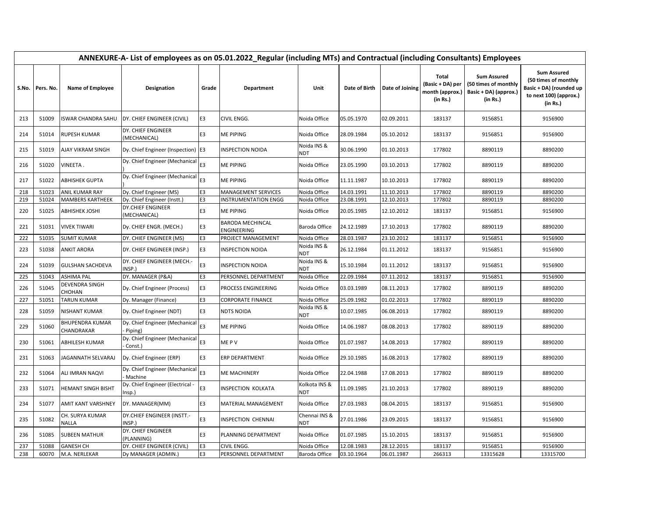|       |           | ANNEXURE-A- List of employees as on 05.01.2022_Regular (including MTs) and Contractual (including Consultants) Employees |                                            |                |                                        |                             |               |                 |                                                          |                                                                                 |                                                                                                             |  |  |  |
|-------|-----------|--------------------------------------------------------------------------------------------------------------------------|--------------------------------------------|----------------|----------------------------------------|-----------------------------|---------------|-----------------|----------------------------------------------------------|---------------------------------------------------------------------------------|-------------------------------------------------------------------------------------------------------------|--|--|--|
| S.No. | Pers. No. | Name of Employee                                                                                                         | Designation                                | Grade          | Department                             | Unit                        | Date of Birth | Date of Joining | Total<br>(Basic + DA) per<br>month (approx.)<br>(in Rs.) | <b>Sum Assured</b><br>(50 times of monthly<br>Basic + DA) (approx.)<br>(in Rs.) | <b>Sum Assured</b><br>(50 times of monthly<br>Basic + DA) (rounded up<br>to next 100) (approx.)<br>(in Rs.) |  |  |  |
| 213   | 51009     | ISWAR CHANDRA SAHU                                                                                                       | DY. CHIEF ENGINEER (CIVIL)                 | E <sub>3</sub> | CIVIL ENGG.                            | Noida Office                | 05.05.1970    | 02.09.2011      | 183137                                                   | 9156851                                                                         | 9156900                                                                                                     |  |  |  |
| 214   | 51014     | <b>RUPESH KUMAR</b>                                                                                                      | DY. CHIEF ENGINEER<br>(MECHANICAL)         | E3             | <b>ME PIPING</b>                       | Noida Office                | 28.09.1984    | 05.10.2012      | 183137                                                   | 9156851                                                                         | 9156900                                                                                                     |  |  |  |
| 215   | 51019     | AJAY VIKRAM SINGH                                                                                                        | Dy. Chief Engineer (Inspection) E3         |                | <b>INSPECTION NOIDA</b>                | Noida INS &<br>NDT          | 30.06.1990    | 01.10.2013      | 177802                                                   | 8890119                                                                         | 8890200                                                                                                     |  |  |  |
| 216   | 51020     | VINEETA.                                                                                                                 | Dy. Chief Engineer (Mechanical             | E3             | <b>ME PIPING</b>                       | Noida Office                | 23.05.1990    | 03.10.2013      | 177802                                                   | 8890119                                                                         | 8890200                                                                                                     |  |  |  |
| 217   | 51022     | <b>ABHISHEK GUPTA</b>                                                                                                    | Dy. Chief Engineer (Mechanical             | E <sub>3</sub> | <b>ME PIPING</b>                       | Noida Office                | 11.11.1987    | 10.10.2013      | 177802                                                   | 8890119                                                                         | 8890200                                                                                                     |  |  |  |
| 218   | 51023     | ANIL KUMAR RAY                                                                                                           | Dy. Chief Engineer (MS)                    | E3             | MANAGEMENT SERVICES                    | Noida Office                | 14.03.1991    | 11.10.2013      | 177802                                                   | 8890119                                                                         | 8890200                                                                                                     |  |  |  |
| 219   | 51024     | MAMBERS KARTHEEK                                                                                                         | Dy. Chief Engineer (Instt.)                | E3             | <b>INSTRUMENTATION ENGG</b>            | Noida Office                | 23.08.1991    | 12.10.2013      | 177802                                                   | 8890119                                                                         | 8890200                                                                                                     |  |  |  |
| 220   | 51025     | <b>ABHISHEK JOSHI</b>                                                                                                    | <b>DY.CHIEF ENGINEER</b><br>(MECHANICAL)   | E3             | <b>ME PIPING</b>                       | Noida Office                | 20.05.1985    | 12.10.2012      | 183137                                                   | 9156851                                                                         | 9156900                                                                                                     |  |  |  |
| 221   | 51031     | <b>VIVEK TIWARI</b>                                                                                                      | Dy. CHIEF ENGR. (MECH.)                    | E <sub>3</sub> | <b>BARODA MECHINCAL</b><br>ENGINEERING | Baroda Office               | 24.12.1989    | 17.10.2013      | 177802                                                   | 8890119                                                                         | 8890200                                                                                                     |  |  |  |
| 222   | 51035     | <b>SUMIT KUMAR</b>                                                                                                       | DY. CHIEF ENGINEER (MS)                    | E3             | PROJECT MANAGEMENT                     | Noida Office                | 28.03.1987    | 23.10.2012      | 183137                                                   | 9156851                                                                         | 9156900                                                                                                     |  |  |  |
| 223   | 51038     | <b>ANKIT ARORA</b>                                                                                                       | DY. CHIEF ENGINEER (INSP.)                 | E <sub>3</sub> | <b>INSPECTION NOIDA</b>                | Noida INS &<br><b>NDT</b>   | 26.12.1984    | 01.11.2012      | 183137                                                   | 9156851                                                                         | 9156900                                                                                                     |  |  |  |
| 224   | 51039     | <b>GULSHAN SACHDEVA</b>                                                                                                  | DY. CHIEF ENGINEER (MECH.-<br>INSP.)       | E3             | <b>INSPECTION NOIDA</b>                | Noida INS &<br>NDT          | 15.10.1984    | 01.11.2012      | 183137                                                   | 9156851                                                                         | 9156900                                                                                                     |  |  |  |
| 225   | 51043     | <b>ASHIMA PAL</b>                                                                                                        | DY. MANAGER (P&A)                          | E <sub>3</sub> | PERSONNEL DEPARTMENT                   | Noida Office                | 22.09.1984    | 07.11.2012      | 183137                                                   | 9156851                                                                         | 9156900                                                                                                     |  |  |  |
| 226   | 51045     | DEVENDRA SINGH<br>CHOHAN                                                                                                 | Dy. Chief Engineer (Process)               | E3             | PROCESS ENGINEERING                    | Noida Office                | 03.03.1989    | 08.11.2013      | 177802                                                   | 8890119                                                                         | 8890200                                                                                                     |  |  |  |
| 227   | 51051     | <b>TARUN KUMAR</b>                                                                                                       | Dy. Manager (Finance)                      | E <sub>3</sub> | <b>CORPORATE FINANCE</b>               | Noida Office                | 25.09.1982    | 01.02.2013      | 177802                                                   | 8890119                                                                         | 8890200                                                                                                     |  |  |  |
| 228   | 51059     | NISHANT KUMAR                                                                                                            | Dy. Chief Engineer (NDT)                   | E3             | <b>NDTS NOIDA</b>                      | Noida INS &<br>NDT          | 10.07.1985    | 06.08.2013      | 177802                                                   | 8890119                                                                         | 8890200                                                                                                     |  |  |  |
| 229   | 51060     | <b>BHUPENDRA KUMAR</b><br>CHANDRAKAR                                                                                     | Dy. Chief Engineer (Mechanical<br>Piping)  | E <sub>3</sub> | <b>ME PIPING</b>                       | Noida Office                | 14.06.1987    | 08.08.2013      | 177802                                                   | 8890119                                                                         | 8890200                                                                                                     |  |  |  |
| 230   | 51061     | ABHILESH KUMAR                                                                                                           | Dy. Chief Engineer (Mechanical<br>Const.)  | E3             | ME P V                                 | Noida Office                | 01.07.1987    | 14.08.2013      | 177802                                                   | 8890119                                                                         | 8890200                                                                                                     |  |  |  |
| 231   | 51063     | JAGANNATH SELVARAJ                                                                                                       | Dy. Chief Engineer (ERP)                   | E <sub>3</sub> | ERP DEPARTMENT                         | Noida Office                | 29.10.1985    | 16.08.2013      | 177802                                                   | 8890119                                                                         | 8890200                                                                                                     |  |  |  |
| 232   | 51064     | ALI IMRAN NAQVI                                                                                                          | Dy. Chief Engineer (Mechanical<br>Machine  | E3             | <b>ME MACHINERY</b>                    | Noida Office                | 22.04.1988    | 17.08.2013      | 177802                                                   | 8890119                                                                         | 8890200                                                                                                     |  |  |  |
| 233   | 51071     | HEMANT SINGH BISHT                                                                                                       | Dy. Chief Engineer (Electrical -<br>Insp.) | E3             | <b>INSPECTION KOLKATA</b>              | Kolkota INS &<br><b>NDT</b> | 11.09.1985    | 21.10.2013      | 177802                                                   | 8890119                                                                         | 8890200                                                                                                     |  |  |  |
| 234   | 51077     | AMIT KANT VARSHNEY                                                                                                       | DY. MANAGER(MM)                            | E3             | <b>MATERIAL MANAGEMENT</b>             | Noida Office                | 27.03.1983    | 08.04.2015      | 183137                                                   | 9156851                                                                         | 9156900                                                                                                     |  |  |  |
| 235   | 51082     | CH. SURYA KUMAR<br><b>NALLA</b>                                                                                          | DY.CHIEF ENGINEER (INSTT.-<br>INSP.)       | E3             | <b>INSPECTION CHENNAI</b>              | Chennai INS &<br><b>NDT</b> | 27.01.1986    | 23.09.2015      | 183137                                                   | 9156851                                                                         | 9156900                                                                                                     |  |  |  |
| 236   | 51085     | <b>SUBEEN MATHUR</b>                                                                                                     | DY. CHIEF ENGINEER<br>(PLANNING)           | E3             | PLANNING DEPARTMENT                    | Noida Office                | 01.07.1985    | 15.10.2015      | 183137                                                   | 9156851                                                                         | 9156900                                                                                                     |  |  |  |
| 237   | 51088     | <b>GANESH CH</b>                                                                                                         | DY. CHIEF ENGINEER (CIVIL)                 | E3             | CIVIL ENGG.                            | Noida Office                | 12.08.1983    | 28.12.2015      | 183137                                                   | 9156851                                                                         | 9156900                                                                                                     |  |  |  |
| 238   | 60070     | M.A. NERLEKAR                                                                                                            | Dy MANAGER (ADMIN.)                        | E <sub>3</sub> | PERSONNEL DEPARTMENT                   | Baroda Office               | 03.10.1964    | 06.01.1987      | 266313                                                   | 13315628                                                                        | 13315700                                                                                                    |  |  |  |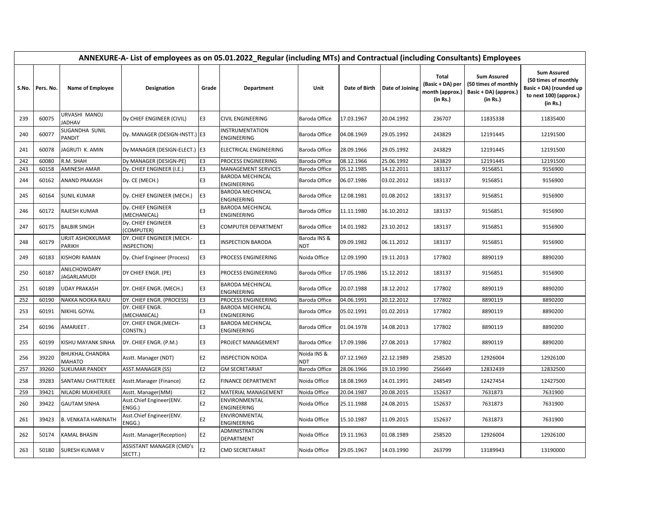|       | ANNEXURE-A- List of employees as on 05.01.2022_Regular (including MTs) and Contractual (including Consultants) Employees |                                         |                                            |                |                                               |                     |               |                 |                                                          |                                                                                 |                                                                                                             |  |  |
|-------|--------------------------------------------------------------------------------------------------------------------------|-----------------------------------------|--------------------------------------------|----------------|-----------------------------------------------|---------------------|---------------|-----------------|----------------------------------------------------------|---------------------------------------------------------------------------------|-------------------------------------------------------------------------------------------------------------|--|--|
| S.No. | Pers. No.                                                                                                                | Name of Employee                        | Designation                                | Grade          | Department                                    | Unit                | Date of Birth | Date of Joining | Total<br>(Basic + DA) per<br>month (approx.)<br>(in Rs.) | <b>Sum Assured</b><br>(50 times of monthly<br>Basic + DA) (approx.)<br>(in Rs.) | <b>Sum Assured</b><br>(50 times of monthly<br>Basic + DA) (rounded up<br>to next 100) (approx.)<br>(in Rs.) |  |  |
| 239   | 60075                                                                                                                    | URVASHI MANOJ<br><b>JADHAV</b>          | Dy CHIEF ENGINEER (CIVIL)                  | E <sub>3</sub> | <b>CIVIL ENGINEERING</b>                      | Baroda Office       | 17.03.1967    | 20.04.1992      | 236707                                                   | 11835338                                                                        | 11835400                                                                                                    |  |  |
| 240   | 60077                                                                                                                    | SUGANDHA SUNIL<br><b>PANDIT</b>         | Dy. MANAGER (DESIGN-INSTT.) E3             |                | <b>INSTRUMENTATION</b><br>ENGINEERING         | Baroda Office       | 04.08.1969    | 29.05.1992      | 243829                                                   | 12191445                                                                        | 12191500                                                                                                    |  |  |
| 241   | 60078                                                                                                                    | JAGRUTI K. AMIN                         | Dy MANAGER (DESIGN-ELECT.) E3              |                | ELECTRICAL ENGINEERING                        | Baroda Office       | 28.09.1966    | 29.05.1992      | 243829                                                   | 12191445                                                                        | 12191500                                                                                                    |  |  |
| 242   | 60080                                                                                                                    | R.M. SHAH                               | Dy MANAGER (DESIGN-PE)                     | E <sub>3</sub> | PROCESS ENGINEERING                           | Baroda Office       | 08.12.1966    | 25.06.1992      | 243829                                                   | 12191445                                                                        | 12191500                                                                                                    |  |  |
| 243   | 60158                                                                                                                    | <b>AMINESH AMAR</b>                     | Dy. CHIEF ENGINEER (I.E.)                  | E3             | <b>MANAGEMENT SERVICES</b>                    | Baroda Office       | 05.12.1985    | 14.12.2011      | 183137                                                   | 9156851                                                                         | 9156900                                                                                                     |  |  |
| 244   | 60162                                                                                                                    | <b>ANAND PRAKASH</b>                    | Dy. CE (MECH.)                             | E3             | <b>BARODA MECHINCAL</b><br><b>ENGINEERING</b> | Baroda Office       | 06.07.1986    | 03.02.2012      | 183137                                                   | 9156851                                                                         | 9156900                                                                                                     |  |  |
| 245   | 60164                                                                                                                    | <b>SUNIL KUMAR</b>                      | Dy. CHIEF ENGINEER (MECH.)                 | E3             | <b>BARODA MECHINCAL</b><br><b>ENGINEERING</b> | Baroda Office       | 12.08.1981    | 01.08.2012      | 183137                                                   | 9156851                                                                         | 9156900                                                                                                     |  |  |
| 246   | 60172                                                                                                                    | <b>RAJESH KUMAR</b>                     | Dy. CHIEF ENGINEER<br>(MECHANICAL)         | E3             | <b>BARODA MECHINCAL</b><br>ENGINEERING        | Baroda Office       | 11.11.1980    | 16.10.2012      | 183137                                                   | 9156851                                                                         | 9156900                                                                                                     |  |  |
| 247   | 60175                                                                                                                    | <b>BALBIR SINGH</b>                     | Dy. CHIEF ENGINEER<br>(COMPUTER)           | E3             | <b>COMPUTER DEPARTMENT</b>                    | Baroda Office       | 14.01.1982    | 23.10.2012      | 183137                                                   | 9156851                                                                         | 9156900                                                                                                     |  |  |
| 248   | 60179                                                                                                                    | URJIT ASHOKKUMAR<br><b>PARIKH</b>       | DY. CHIEF ENGINEER (MECH.-<br>INSPECTION)  | E3             | <b>INSPECTION BARODA</b>                      | Baroda INS &<br>NDT | 09.09.1982    | 06.11.2012      | 183137                                                   | 9156851                                                                         | 9156900                                                                                                     |  |  |
| 249   | 60183                                                                                                                    | <b>KISHORI RAMAN</b>                    | Dy. Chief Engineer (Process)               | E3             | PROCESS ENGINEERING                           | Noida Office        | 12.09.1990    | 19.11.2013      | 177802                                                   | 8890119                                                                         | 8890200                                                                                                     |  |  |
| 250   | 60187                                                                                                                    | ANILCHOWDARY<br>JAGARLAMUDI             | DY CHIEF ENGR. (PE)                        | E <sub>3</sub> | PROCESS ENGINEERING                           | Baroda Office       | 17.05.1986    | 15.12.2012      | 183137                                                   | 9156851                                                                         | 9156900                                                                                                     |  |  |
| 251   | 60189                                                                                                                    | <b>UDAY PRAKASH</b>                     | DY. CHIEF ENGR. (MECH.)                    | E3             | <b>BARODA MECHINCAL</b><br><b>ENGINEERING</b> | Baroda Office       | 20.07.1988    | 18.12.2012      | 177802                                                   | 8890119                                                                         | 8890200                                                                                                     |  |  |
| 252   | 60190                                                                                                                    | NAKKA NOOKA RAJU                        | DY. CHIEF ENGR. (PROCESS)                  | E <sub>3</sub> | PROCESS ENGINEERING                           | Baroda Office       | 04.06.1991    | 20.12.2012      | 177802                                                   | 8890119                                                                         | 8890200                                                                                                     |  |  |
| 253   | 60191                                                                                                                    | <b>NIKHIL GOYAL</b>                     | DY. CHIEF ENGR.<br>(MECHANICAL)            | E3             | <b>BARODA MECHINCAL</b><br><b>ENGINEERING</b> | Baroda Office       | 05.02.1991    | 01.02.2013      | 177802                                                   | 8890119                                                                         | 8890200                                                                                                     |  |  |
| 254   | 60196                                                                                                                    | AMARJEET.                               | DY. CHIEF ENGR.(MECH-<br>CONSTN.)          | E3             | <b>BARODA MECHINCAL</b><br>ENGINEERING        | Baroda Office       | 01.04.1978    | 14.08.2013      | 177802                                                   | 8890119                                                                         | 8890200                                                                                                     |  |  |
| 255   | 60199                                                                                                                    | <b>KISHU MAYANK SINHA</b>               | DY. CHIEF ENGR. (P.M.)                     | E3             | PROJECT MANAGEMENT                            | Baroda Office       | 17.09.1986    | 27.08.2013      | 177802                                                   | 8890119                                                                         | 8890200                                                                                                     |  |  |
| 256   | 39220                                                                                                                    | <b>BHUKHAL CHANDRA</b><br><b>MAHATO</b> | Asstt. Manager (NDT)                       | E2             | <b>INSPECTION NOIDA</b>                       | Noida INS &<br>NDT  | 07.12.1969    | 22.12.1989      | 258520                                                   | 12926004                                                                        | 12926100                                                                                                    |  |  |
| 257   | 39260                                                                                                                    | <b>SUKUMAR PANDEY</b>                   | <b>ASST.MANAGER (SS)</b>                   | E2             | <b>GM SECRETARIAT</b>                         | Baroda Office       | 28.06.1966    | 19.10.1990      | 256649                                                   | 12832439                                                                        | 12832500                                                                                                    |  |  |
| 258   | 39283                                                                                                                    | SANTANU CHATTERJEE                      | Asstt.Manager (Finance)                    | E2             | <b>FINANCE DEPARTMENT</b>                     | Noida Office        | 18.08.1969    | 14.01.1991      | 248549                                                   | 12427454                                                                        | 12427500                                                                                                    |  |  |
| 259   | 39421                                                                                                                    | NILADRI MUKHERJEE                       | Asstt. Manager(MM)                         | E <sub>2</sub> | <b>MATERIAL MANAGEMENT</b>                    | Noida Office        | 20.04.1987    | 20.08.2015      | 152637                                                   | 7631873                                                                         | 7631900                                                                                                     |  |  |
| 260   | 39422                                                                                                                    | <b>GAUTAM SINHA</b>                     | Asst.Chief Engineer(ENV.<br>ENGG.)         | E2             | ENVIRONMENTAL<br><b>ENGINEERING</b>           | Noida Office        | 25.11.1988    | 24.08.2015      | 152637                                                   | 7631873                                                                         | 7631900                                                                                                     |  |  |
| 261   | 39423                                                                                                                    | <b>B. VENKATA HARINATH</b>              | Asst.Chief Engineer(ENV.<br>ENGG.)         | E <sub>2</sub> | ENVIRONMENTAL<br><b>ENGINEERING</b>           | Noida Office        | 15.10.1987    | 11.09.2015      | 152637                                                   | 7631873                                                                         | 7631900                                                                                                     |  |  |
| 262   | 50174                                                                                                                    | <b>KAMAL BHASIN</b>                     | Asstt. Manager(Reception)                  | E <sub>2</sub> | ADMINISTRATION<br>DEPARTMENT                  | Noida Office        | 19.11.1963    | 01.08.1989      | 258520                                                   | 12926004                                                                        | 12926100                                                                                                    |  |  |
| 263   | 50180                                                                                                                    | <b>SURESH KUMAR V</b>                   | <b>ASSISTANT MANAGER (CMD's</b><br>SECTT.) | E <sub>2</sub> | <b>CMD SECRETARIAT</b>                        | Noida Office        | 29.05.1967    | 14.03.1990      | 263799                                                   | 13189943                                                                        | 13190000                                                                                                    |  |  |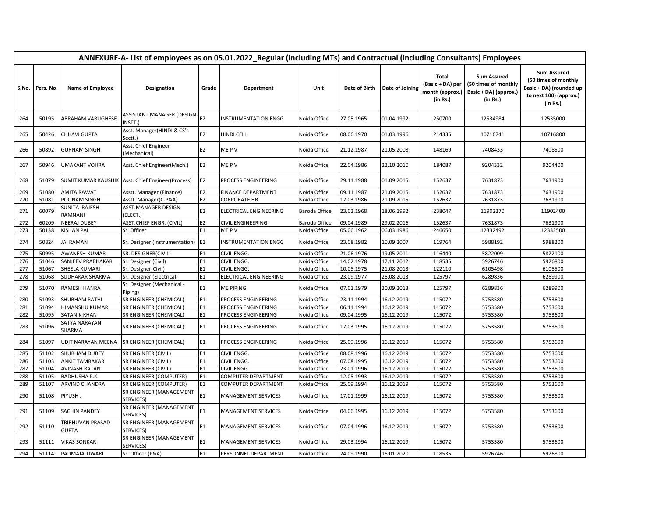|     |                   | ANNEXURE-A- List of employees as on 05.01.2022_Regular (including MTs) and Contractual (including Consultants) Employees |                                             |                |                            |               |               |                 |                                                                 |                                                                                 |                                                                                                             |  |  |  |
|-----|-------------------|--------------------------------------------------------------------------------------------------------------------------|---------------------------------------------|----------------|----------------------------|---------------|---------------|-----------------|-----------------------------------------------------------------|---------------------------------------------------------------------------------|-------------------------------------------------------------------------------------------------------------|--|--|--|
|     | S.No.   Pers. No. | Name of Employee                                                                                                         | Designation                                 | Grade          | Department                 | Unit          | Date of Birth | Date of Joining | <b>Total</b><br>(Basic + DA) per<br>month (approx.)<br>(in Rs.) | <b>Sum Assured</b><br>(50 times of monthly<br>Basic + DA) (approx.)<br>(in Rs.) | <b>Sum Assured</b><br>(50 times of monthly<br>Basic + DA) (rounded up<br>to next 100) (approx.)<br>(in Rs.) |  |  |  |
| 264 | 50195             | <b>ABRAHAM VARUGHESE</b>                                                                                                 | ASSISTANT MANAGER (DESIGN-<br>NSTT.)        | E <sub>2</sub> | INSTRUMENTATION ENGG       | Noida Office  | 27.05.1965    | 01.04.1992      | 250700                                                          | 12534984                                                                        | 12535000                                                                                                    |  |  |  |
| 265 | 50426             | CHHAVI GUPTA                                                                                                             | Asst. Manager(HINDI & CS's<br>Sectt.)       | E2             | HINDI CELL                 | Noida Office  | 08.06.1970    | 01.03.1996      | 214335                                                          | 10716741                                                                        | 10716800                                                                                                    |  |  |  |
| 266 | 50892             | <b>GURNAM SINGH</b>                                                                                                      | Asst. Chief Engineer<br>(Mechanical)        | E <sub>2</sub> | ME P V                     | Noida Office  | 21.12.1987    | 21.05.2008      | 148169                                                          | 7408433                                                                         | 7408500                                                                                                     |  |  |  |
| 267 | 50946             | <b>UMAKANT VOHRA</b>                                                                                                     | Asst. Chief Engineer(Mech.)                 | E <sub>2</sub> | ME P V                     | Noida Office  | 22.04.1986    | 22.10.2010      | 184087                                                          | 9204332                                                                         | 9204400                                                                                                     |  |  |  |
| 268 | 51079             | <b>SUMIT KUMAR KAUSHIK</b>                                                                                               | Asst. Chief Engineer (Process)              | E <sub>2</sub> | PROCESS ENGINEERING        | Noida Office  | 29.11.1988    | 01.09.2015      | 152637                                                          | 7631873                                                                         | 7631900                                                                                                     |  |  |  |
| 269 | 51080             | <b>AMITA RAWAT</b>                                                                                                       | Asstt. Manager (Finance)                    | E <sub>2</sub> | <b>FINANCE DEPARTMENT</b>  | Noida Office  | 09.11.1987    | 21.09.2015      | 152637                                                          | 7631873                                                                         | 7631900                                                                                                     |  |  |  |
| 270 | 51081             | POONAM SINGH                                                                                                             | Asstt. Manager(C-P&A)                       | E2             | <b>CORPORATE HR</b>        | Noida Office  | 12.03.1986    | 21.09.2015      | 152637                                                          | 7631873                                                                         | 7631900                                                                                                     |  |  |  |
| 271 | 60079             | SUNITA RAJESH<br>RAMNANI                                                                                                 | ASST.MANAGER DESIGN<br>ELECT.)              | E <sub>2</sub> | ELECTRICAL ENGINEERING     | Baroda Office | 23.02.1968    | 18.06.1992      | 238047                                                          | 11902370                                                                        | 11902400                                                                                                    |  |  |  |
| 272 | 60209             | <b>NEERAJ DUBEY</b>                                                                                                      | ASST.CHIEF ENGR. (CIVIL)                    | E <sub>2</sub> | CIVIL ENGINEERING          | Baroda Office | 09.04.1989    | 29.02.2016      | 152637                                                          | 7631873                                                                         | 7631900                                                                                                     |  |  |  |
| 273 | 50138             | KISHAN PAL                                                                                                               | Sr. Officer                                 | E1             | ME P V                     | Noida Office  | 05.06.1962    | 06.03.1986      | 246650                                                          | 12332492                                                                        | 12332500                                                                                                    |  |  |  |
| 274 | 50824             | <b>JAI RAMAN</b>                                                                                                         | Sr. Designer (Instrumentation) E1           |                | INSTRUMENTATION ENGG       | Noida Office  | 23.08.1982    | 10.09.2007      | 119764                                                          | 5988192                                                                         | 5988200                                                                                                     |  |  |  |
| 275 | 50995             | AWANESH KUMAR                                                                                                            | SR. DESIGNER(CIVIL)                         | E1             | CIVIL ENGG                 | Noida Office  | 21.06.1976    | 19.05.2011      | 116440                                                          | 5822009                                                                         | 5822100                                                                                                     |  |  |  |
| 276 | 51046             | SANJEEV PRABHAKAR                                                                                                        | Sr. Designer (Civil)                        | E1             | CIVIL ENGG.                | Noida Office  | 14.02.1978    | 17.11.2012      | 118535                                                          | 5926746                                                                         | 5926800                                                                                                     |  |  |  |
| 277 | 51067             | SHEELA KUMARI                                                                                                            | Sr. Designer(Civil)                         | E1             | CIVIL ENGG.                | Noida Office  | 10.05.1975    | 21.08.2013      | 122110                                                          | 6105498                                                                         | 6105500                                                                                                     |  |  |  |
| 278 | 51068             | SUDHAKAR SHARMA                                                                                                          | Sr. Designer (Electrical)                   | E1             | ELECTRICAL ENGINEERING     | Noida Office  | 23.09.1977    | 26.08.2013      | 125797                                                          | 6289836                                                                         | 6289900                                                                                                     |  |  |  |
| 279 | 51070             | <b>RAMESH HANRA</b>                                                                                                      | Sr. Designer (Mechanical -<br>Piping)       | E1             | ME PIPING                  | Noida Office  | 07.01.1979    | 30.09.2013      | 125797                                                          | 6289836                                                                         | 6289900                                                                                                     |  |  |  |
| 280 | 51093             | SHUBHAM RATHI                                                                                                            | SR ENGINEER (CHEMICAL)                      | E1             | PROCESS ENGINEERING        | Noida Office  | 23.11.1994    | 16.12.2019      | 115072                                                          | 5753580                                                                         | 5753600                                                                                                     |  |  |  |
| 281 | 51094             | HIMANSHU KUMAR                                                                                                           | SR ENGINEER (CHEMICAL)                      | E1             | PROCESS ENGINEERING        | Noida Office  | 06.11.1994    | 16.12.2019      | 115072                                                          | 5753580                                                                         | 5753600                                                                                                     |  |  |  |
| 282 | 51095             | SATANIK KHAN                                                                                                             | SR ENGINEER (CHEMICAL)                      | E1             | PROCESS ENGINEERING        | Noida Office  | 09.04.1995    | 16.12.2019      | 115072                                                          | 5753580                                                                         | 5753600                                                                                                     |  |  |  |
| 283 | 51096             | SATYA NARAYAN<br>SHARMA                                                                                                  | SR ENGINEER (CHEMICAL)                      | E1             | PROCESS ENGINEERING        | Noida Office  | 17.03.1995    | 16.12.2019      | 115072                                                          | 5753580                                                                         | 5753600                                                                                                     |  |  |  |
| 284 | 51097             | <b>UDIT NARAYAN MEENA</b>                                                                                                | SR ENGINEER (CHEMICAL)                      | E1             | PROCESS ENGINEERING        | Noida Office  | 25.09.1996    | 16.12.2019      | 115072                                                          | 5753580                                                                         | 5753600                                                                                                     |  |  |  |
| 285 | 51102             | SHUBHAM DUBEY                                                                                                            | SR ENGINEER (CIVIL)                         | E1             | CIVIL ENGG.                | Noida Office  | 08.08.1996    | 16.12.2019      | 115072                                                          | 5753580                                                                         | 5753600                                                                                                     |  |  |  |
| 286 | 51103             | <b>ANKIT TAMRAKAR</b>                                                                                                    | SR ENGINEER (CIVIL)                         | E1             | CIVIL ENGG.                | Noida Office  | 07.08.1995    | 16.12.2019      | 115072                                                          | 5753580                                                                         | 5753600                                                                                                     |  |  |  |
| 287 | 51104             | AVINASH RATAN                                                                                                            | SR ENGINEER (CIVIL)                         | E1             | CIVIL ENGG                 | Noida Office  | 23.01.1996    | 16.12.2019      | 115072                                                          | 5753580                                                                         | 5753600                                                                                                     |  |  |  |
| 288 | 51105             | <b>BADHUSHA P.K.</b>                                                                                                     | SR ENGINEER (COMPUTER)                      | E1             | COMPUTER DEPARTMENT        | Noida Office  | 12.05.1993    | 16.12.2019      | 115072                                                          | 5753580                                                                         | 5753600                                                                                                     |  |  |  |
| 289 | 51107             | ARVIND CHANDRA                                                                                                           | SR ENGINEER (COMPUTER)                      | E1             | COMPUTER DEPARTMENT        | Noida Office  | 25.09.1994    | 16.12.2019      | 115072                                                          | 5753580                                                                         | 5753600                                                                                                     |  |  |  |
| 290 | 51108             | PIYUSH.                                                                                                                  | SR ENGINEER (MANAGEMENT<br><b>SERVICES)</b> | E1             | MANAGEMENT SERVICES        | Noida Office  | 17.01.1999    | 16.12.2019      | 115072                                                          | 5753580                                                                         | 5753600                                                                                                     |  |  |  |
| 291 | 51109             | <b>SACHIN PANDEY</b>                                                                                                     | SR ENGINEER (MANAGEMENT<br>SERVICES)        | E1             | <b>MANAGEMENT SERVICES</b> | Noida Office  | 04.06.1995    | 16.12.2019      | 115072                                                          | 5753580                                                                         | 5753600                                                                                                     |  |  |  |
| 292 | 51110             | TRIBHUVAN PRASAD<br><b>GUPTA</b>                                                                                         | SR ENGINEER (MANAGEMENT<br>SERVICES)        | E1             | <b>MANAGEMENT SERVICES</b> | Noida Office  | 07.04.1996    | 16.12.2019      | 115072                                                          | 5753580                                                                         | 5753600                                                                                                     |  |  |  |
| 293 | 51111             | <b>VIKAS SONKAR</b>                                                                                                      | SR ENGINEER (MANAGEMENT<br>SERVICES)        | E1             | <b>MANAGEMENT SERVICES</b> | Noida Office  | 29.03.1994    | 16.12.2019      | 115072                                                          | 5753580                                                                         | 5753600                                                                                                     |  |  |  |
| 294 | 51114             | PADMAJA TIWARI                                                                                                           | Sr. Officer (P&A)                           | E1             | PERSONNEL DEPARTMENT       | Noida Office  | 24.09.1990    | 16.01.2020      | 118535                                                          | 5926746                                                                         | 5926800                                                                                                     |  |  |  |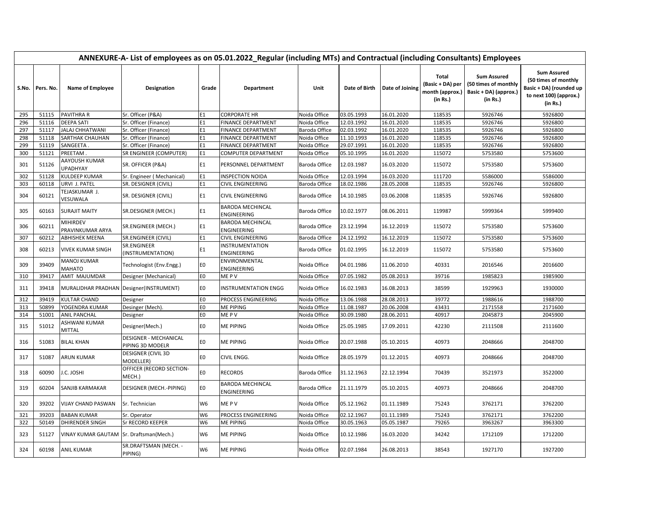|     | ANNEXURE-A- List of employees as on 05.01.2022_Regular (including MTs) and Contractual (including Consultants) Employees |                                         |                                                  |                |                                       |               |               |                 |                                                          |                                                                                 |                                                                                                             |  |  |
|-----|--------------------------------------------------------------------------------------------------------------------------|-----------------------------------------|--------------------------------------------------|----------------|---------------------------------------|---------------|---------------|-----------------|----------------------------------------------------------|---------------------------------------------------------------------------------|-------------------------------------------------------------------------------------------------------------|--|--|
|     | S.No. Pers. No.                                                                                                          | <b>Name of Employee</b>                 | <b>Designation</b>                               | Grade          | <b>Department</b>                     | Unit          | Date of Birth | Date of Joining | Total<br>(Basic + DA) per<br>month (approx.)<br>(in Rs.) | <b>Sum Assured</b><br>(50 times of monthly<br>Basic + DA) (approx.)<br>(in Rs.) | <b>Sum Assured</b><br>(50 times of monthly<br>Basic + DA) (rounded up<br>to next 100) (approx.)<br>(in Rs.) |  |  |
| 295 | 51115                                                                                                                    | <b>PAVITHRA R</b>                       | Sr. Officer (P&A)                                | E1             | <b>CORPORATE HR</b>                   | Noida Office  | 03.05.1993    | 16.01.2020      | 118535                                                   | 5926746                                                                         | 5926800                                                                                                     |  |  |
| 296 | 51116                                                                                                                    | <b>DEEPA SATI</b>                       | Sr. Officer (Finance)                            | E1             | FINANCE DEPARTMENT                    | Noida Office  | 12.03.1992    | 16.01.2020      | 118535                                                   | 5926746                                                                         | 5926800                                                                                                     |  |  |
| 297 | 51117                                                                                                                    | <b>JALAJ CHHATWANI</b>                  | Sr. Officer (Finance)                            | E1             | FINANCE DEPARTMENT                    | Baroda Office | 02.03.1992    | 16.01.2020      | 118535                                                   | 5926746                                                                         | 5926800                                                                                                     |  |  |
| 298 | 51118                                                                                                                    | SARTHAK CHAUHAN                         | Sr. Officer (Finance)                            | E1             | FINANCE DEPARTMENT                    | Noida Office  | 11.10.1993    | 16.01.2020      | 118535                                                   | 5926746                                                                         | 5926800                                                                                                     |  |  |
| 299 | 51119                                                                                                                    | SANGEETA.                               | Sr. Officer (Finance)                            | E1             | FINANCE DEPARTMENT                    | Noida Office  | 29.07.1991    | 16.01.2020      | 118535                                                   | 5926746                                                                         | 5926800                                                                                                     |  |  |
| 300 | 51121                                                                                                                    | PREETAM                                 | SR ENGINEER (COMPUTER)                           | E1             | COMPUTER DEPARTMENT                   | Noida Office  | 05.10.1995    | 16.01.2020      | 115072                                                   | 5753580                                                                         | 5753600                                                                                                     |  |  |
| 301 | 51126                                                                                                                    | AAYOUSH KUMAR<br><b>UPADHYAY</b>        | SR. OFFICER (P&A)                                | E1             | PERSONNEL DEPARTMENT                  | Baroda Office | 12.03.1987    | 16.03.2020      | 115072                                                   | 5753580                                                                         | 5753600                                                                                                     |  |  |
| 302 | 51128                                                                                                                    | <b>KULDEEP KUMAR</b>                    | Sr. Engineer (Mechanical)                        | E1             | <b>INSPECTION NOIDA</b>               | Noida Office  | 12.03.1994    | 16.03.2020      | 111720                                                   | 5586000                                                                         | 5586000                                                                                                     |  |  |
| 303 | 60118                                                                                                                    | URVI J. PATEL                           | SR. DESIGNER (CIVIL)                             | E1             | CIVIL ENGINEERING                     | Baroda Office | 18.02.1986    | 28.05.2008      | 118535                                                   | 5926746                                                                         | 5926800                                                                                                     |  |  |
| 304 | 60121                                                                                                                    | TEJASKUMAR J.<br>VESUWALA               | SR. DESIGNER (CIVIL)                             | E1             | CIVIL ENGINEERING                     | Baroda Office | 14.10.1985    | 03.06.2008      | 118535                                                   | 5926746                                                                         | 5926800                                                                                                     |  |  |
| 305 | 60163                                                                                                                    | <b>SURAJIT MAITY</b>                    | SR.DESIGNER (MECH.)                              | E1             | BARODA MECHINCAL<br>ENGINEERING       | Baroda Office | 10.02.1977    | 08.06.2011      | 119987                                                   | 5999364                                                                         | 5999400                                                                                                     |  |  |
| 306 | 60211                                                                                                                    | <b>MIHIRDEV</b><br>PRAVINKUMAR ARYA     | SR.ENGINEER (MECH.)                              | E1             | BARODA MECHINCAL<br>ENGINEERING       | Baroda Office | 23.12.1994    | 16.12.2019      | 115072                                                   | 5753580                                                                         | 5753600                                                                                                     |  |  |
| 307 | 60212                                                                                                                    | <b>ABHISHEK MEENA</b>                   | <b>SR.ENGINEER (CIVIL)</b>                       | E1             | CIVIL ENGINEERING                     | Baroda Office | 24.12.1992    | 16.12.2019      | 115072                                                   | 5753580                                                                         | 5753600                                                                                                     |  |  |
| 308 | 60213                                                                                                                    | <b>VIVEK KUMAR SINGH</b>                | SR.ENGINEER<br>(INSTRUMENTATION)                 | E1             | <b>INSTRUMENTATION</b><br>ENGINEERING | Baroda Office | 01.02.1995    | 16.12.2019      | 115072                                                   | 5753580                                                                         | 5753600                                                                                                     |  |  |
| 309 | 39409                                                                                                                    | <b>MANOJ KUMAR</b><br>MAHATO            | Technologist (Env.Engg.)                         | E0             | ENVIRONMENTAL<br>ENGINEERING          | Noida Office  | 04.01.1986    | 11.06.2010      | 40331                                                    | 2016546                                                                         | 2016600                                                                                                     |  |  |
| 310 | 39417                                                                                                                    | AMIT MAJUMDAR                           | Designer (Mechanical)                            | E0             | ME P V                                | Noida Office  | 07.05.1982    | 05.08.2013      | 39716                                                    | 1985823                                                                         | 1985900                                                                                                     |  |  |
| 311 | 39418                                                                                                                    | MURALIDHAR PRADHAN                      | Designer(INSTRUMENT)                             | E0             | <b>INSTRUMENTATION ENGG</b>           | Noida Office  | 16.02.1983    | 16.08.2013      | 38599                                                    | 1929963                                                                         | 1930000                                                                                                     |  |  |
| 312 | 39419                                                                                                                    | <b>KULTAR CHAND</b>                     | Designer                                         | E <sub>0</sub> | PROCESS ENGINEERING                   | Noida Office  | 13.06.1988    | 28.08.2013      | 39772                                                    | 1988616                                                                         | 1988700                                                                                                     |  |  |
| 313 | 50899                                                                                                                    | YOGENDRA KUMAR                          | Desinger (Mech)                                  | E <sub>0</sub> | ME PIPING                             | Noida Office  | 11.08.1987    | 20.06.2008      | 43431                                                    | 2171558                                                                         | 2171600                                                                                                     |  |  |
| 314 | 51001                                                                                                                    | <b>ANIL PANCHAL</b>                     | Designer                                         | E <sub>0</sub> | ME P V                                | Noida Office  | 30.09.1980    | 28.06.2011      | 40917                                                    | 2045873                                                                         | 2045900                                                                                                     |  |  |
| 315 | 51012                                                                                                                    | ASHWANI KUMAR<br><b>MITTAL</b>          | Designer(Mech.)                                  | E <sub>0</sub> | <b>ME PIPING</b>                      | Noida Office  | 25.05.1985    | 17.09.2011      | 42230                                                    | 2111508                                                                         | 2111600                                                                                                     |  |  |
| 316 | 51083                                                                                                                    | <b>BILAL KHAN</b>                       | <b>DESIGNER - MECHANICAL</b><br>PIPING 3D MODELR | EO             | ME PIPING                             | Noida Office  | 20.07.1988    | 05.10.2015      | 40973                                                    | 2048666                                                                         | 2048700                                                                                                     |  |  |
| 317 | 51087                                                                                                                    | <b>ARUN KUMAR</b>                       | <b>DESIGNER (CIVIL 3D</b><br>MODELLER)           | E0             | CIVIL ENGG.                           | Noida Office  | 28.05.1979    | 01.12.2015      | 40973                                                    | 2048666                                                                         | 2048700                                                                                                     |  |  |
| 318 | 60090                                                                                                                    | J.C. JOSHI                              | OFFICER (RECORD SECTION-<br>MECH.)               | E0             | <b>RECORDS</b>                        | Baroda Office | 31.12.1963    | 22.12.1994      | 70439                                                    | 3521973                                                                         | 3522000                                                                                                     |  |  |
| 319 | 60204                                                                                                                    | SANJIB KARMAKAR                         | DESIGNER (MECH.-PIPING)                          | E <sub>0</sub> | BARODA MECHINCAL<br>ENGINEERING       | Baroda Office | 21.11.1979    | 05.10.2015      | 40973                                                    | 2048666                                                                         | 2048700                                                                                                     |  |  |
| 320 | 39202                                                                                                                    | <b>VIJAY CHAND PASWAN</b>               | Sr. Technician                                   | W <sub>6</sub> | ME P V                                | Noida Office  | 05.12.1962    | 01.11.1989      | 75243                                                    | 3762171                                                                         | 3762200                                                                                                     |  |  |
| 321 | 39203                                                                                                                    | <b>BABAN KUMAR</b>                      | Sr. Operator                                     | W <sub>6</sub> | PROCESS ENGINEERING                   | Noida Office  | 02.12.1967    | 01.11.1989      | 75243                                                    | 3762171                                                                         | 3762200                                                                                                     |  |  |
| 322 | 50149                                                                                                                    | DHIRENDER SINGH                         | Sr RECORD KEEPER                                 | W6             | ME PIPING                             | Noida Office  | 30.05.1963    | 05.05.1987      | 79265                                                    | 3963267                                                                         | 3963300                                                                                                     |  |  |
| 323 | 51127                                                                                                                    | VINAY KUMAR GAUTAM Sr. Draftsman(Mech.) |                                                  | W <sub>6</sub> | ME PIPING                             | Noida Office  | 10.12.1986    | 16.03.2020      | 34242                                                    | 1712109                                                                         | 1712200                                                                                                     |  |  |
| 324 | 60198                                                                                                                    | <b>ANIL KUMAR</b>                       | SR.DRAFTSMAN (MECH. -<br>PIPING)                 | W6             | ME PIPING                             | Noida Office  | 02.07.1984    | 26.08.2013      | 38543                                                    | 1927170                                                                         | 1927200                                                                                                     |  |  |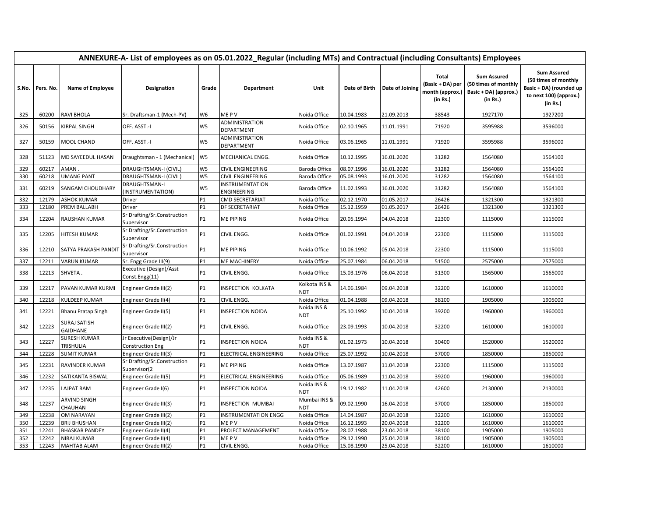|     | ANNEXURE-A- List of employees as on 05.01.2022_Regular (including MTs) and Contractual (including Consultants) Employees |                                        |                                                    |                |                                |                      |               |                 |                                                                 |                                                                                 |                                                                                                             |  |  |
|-----|--------------------------------------------------------------------------------------------------------------------------|----------------------------------------|----------------------------------------------------|----------------|--------------------------------|----------------------|---------------|-----------------|-----------------------------------------------------------------|---------------------------------------------------------------------------------|-------------------------------------------------------------------------------------------------------------|--|--|
|     | S.No. Pers. No.                                                                                                          | Name of Employee                       | <b>Designation</b>                                 | Grade          | Department                     | Unit                 | Date of Birth | Date of Joining | <b>Total</b><br>(Basic + DA) per<br>month (approx.)<br>(in Rs.) | <b>Sum Assured</b><br>(50 times of monthly<br>Basic + DA) (approx.)<br>(in Rs.) | <b>Sum Assured</b><br>(50 times of monthly<br>Basic + DA) (rounded up<br>to next 100) (approx.)<br>(in Rs.) |  |  |
| 325 | 60200                                                                                                                    | <b>RAVI BHOLA</b>                      | Sr. Draftsman-1 (Mech-PV)                          | W6             | ME P V                         | Noida Office         | 10.04.1983    | 21.09.2013      | 38543                                                           | 1927170                                                                         | 1927200                                                                                                     |  |  |
| 326 | 50156                                                                                                                    | KIRPAL SINGH                           | OFF. ASST.-I                                       | W <sub>5</sub> | ADMINISTRATION<br>DEPARTMENT   | Noida Office         | 02.10.1965    | 11.01.1991      | 71920                                                           | 3595988                                                                         | 3596000                                                                                                     |  |  |
| 327 | 50159                                                                                                                    | MOOL CHAND                             | OFF. ASST.-I                                       | W5             | ADMINISTRATION<br>DEPARTMENT   | Noida Office         | 03.06.1965    | 11.01.1991      | 71920                                                           | 3595988                                                                         | 3596000                                                                                                     |  |  |
| 328 | 51123                                                                                                                    | MD SAYEEDUL HASAN                      | Draughtsman - 1 (Mechanical) W5                    |                | MECHANICAL ENGG.               | Noida Office         | 10.12.1995    | 16.01.2020      | 31282                                                           | 1564080                                                                         | 1564100                                                                                                     |  |  |
| 329 | 60217                                                                                                                    | AMAN                                   | DRAUGHTSMAN-I (CIVIL)                              | W <sub>5</sub> | CIVIL ENGINEERING              | Baroda Office        | 08.07.1996    | 16.01.2020      | 31282                                                           | 1564080                                                                         | 1564100                                                                                                     |  |  |
| 330 | 60218                                                                                                                    | <b>UMANG PANT</b>                      | DRAUGHTSMAN-I (CIVIL)                              | W <sub>5</sub> | CIVIL ENGINEERING              | Baroda Office        | 05.08.1993    | 16.01.2020      | 31282                                                           | 1564080                                                                         | 1564100                                                                                                     |  |  |
| 331 | 60219                                                                                                                    | <b>SANGAM CHOUDHARY</b>                | DRAUGHTSMAN-I<br>INSTRUMENTATION)                  | W5             | INSTRUMENTATION<br>ENGINEERING | Baroda Office        | 11.02.1993    | 16.01.2020      | 31282                                                           | 1564080                                                                         | 1564100                                                                                                     |  |  |
| 332 | 12179                                                                                                                    | <b>ASHOK KUMAR</b>                     | Driver                                             | P1             | CMD SECRETARIAT                | Noida Office         | 02.12.1970    | 01.05.2017      | 26426                                                           | 1321300                                                                         | 1321300                                                                                                     |  |  |
| 333 | 12180                                                                                                                    | PREM BALLABH                           | Driver                                             | P1             | DF SECRETARIAT                 | Noida Office         | 15.12.1959    | 01.05.2017      | 26426                                                           | 1321300                                                                         | 1321300                                                                                                     |  |  |
| 334 | 12204                                                                                                                    | <b>RAUSHAN KUMAR</b>                   | Sr Drafting/Sr.Construction<br>Supervisor          | <b>P1</b>      | ME PIPING                      | Noida Office         | 20.05.1994    | 04.04.2018      | 22300                                                           | 1115000                                                                         | 1115000                                                                                                     |  |  |
| 335 | 12205                                                                                                                    | <b>HITESH KUMAR</b>                    | Sr Drafting/Sr.Construction<br>Supervisor          | P1             | CIVIL ENGG.                    | Noida Office         | 01.02.1991    | 04.04.2018      | 22300                                                           | 1115000                                                                         | 1115000                                                                                                     |  |  |
| 336 | 12210                                                                                                                    | SATYA PRAKASH PANDIT                   | Sr Drafting/Sr.Construction<br>Supervisor          | <b>P1</b>      | ME PIPING                      | Noida Office         | 10.06.1992    | 05.04.2018      | 22300                                                           | 1115000                                                                         | 1115000                                                                                                     |  |  |
| 337 | 12211                                                                                                                    | <b>VARUN KUMAR</b>                     | Sr. Engg Grade III(9)                              | <b>P1</b>      | ME MACHINERY                   | Noida Office         | 25.07.1984    | 06.04.2018      | 51500                                                           | 2575000                                                                         | 2575000                                                                                                     |  |  |
| 338 | 12213                                                                                                                    | SHVETA.                                | Executive (Design)/Asst<br>Const.Engg(11)          | <b>P1</b>      | CIVIL ENGG.                    | Noida Office         | 15.03.1976    | 06.04.2018      | 31300                                                           | 1565000                                                                         | 1565000                                                                                                     |  |  |
| 339 | 12217                                                                                                                    | PAVAN KUMAR KURMI                      | Engineer Grade III(2)                              | <b>P1</b>      | INSPECTION KOLKATA             | Kolkota INS &<br>NDT | 14.06.1984    | 09.04.2018      | 32200                                                           | 1610000                                                                         | 1610000                                                                                                     |  |  |
| 340 | 12218                                                                                                                    | KULDEEP KUMAR                          | Engineer Grade II(4)                               | <b>P1</b>      | CIVIL ENGG.                    | Noida Office         | 01.04.1988    | 09.04.2018      | 38100                                                           | 1905000                                                                         | 1905000                                                                                                     |  |  |
| 341 | 12221                                                                                                                    | <b>Bhanu Pratap Singh</b>              | Engineer Grade II(5)                               | <b>P1</b>      | INSPECTION NOIDA               | Noida INS &<br>NDT   | 25.10.1992    | 10.04.2018      | 39200                                                           | 1960000                                                                         | 1960000                                                                                                     |  |  |
| 342 | 12223                                                                                                                    | <b>SURAJ SATISH</b><br><b>GAIDHANE</b> | Engineer Grade III(2)                              | <b>P1</b>      | CIVIL ENGG.                    | Noida Office         | 23.09.1993    | 10.04.2018      | 32200                                                           | 1610000                                                                         | 1610000                                                                                                     |  |  |
| 343 | 12227                                                                                                                    | SURESH KUMAR<br>TRISHULIA              | Jr Executive(Design)/Jr<br><b>Construction Eng</b> | P1             | <b>INSPECTION NOIDA</b>        | Noida INS &<br>NDT   | 01.02.1973    | 10.04.2018      | 30400                                                           | 1520000                                                                         | 1520000                                                                                                     |  |  |
| 344 | 12228                                                                                                                    | <b>SUMIT KUMAR</b>                     | Engineer Grade III(3)                              | P <sub>1</sub> | ELECTRICAL ENGINEERING         | Noida Office         | 25.07.1992    | 10.04.2018      | 37000                                                           | 1850000                                                                         | 1850000                                                                                                     |  |  |
| 345 | 12231                                                                                                                    | <b>RAVINDER KUMAR</b>                  | Sr Drafting/Sr.Construction<br>Supervisor(2        | P1             | <b>ME PIPING</b>               | Noida Office         | 13.07.1987    | 11.04.2018      | 22300                                                           | 1115000                                                                         | 1115000                                                                                                     |  |  |
| 346 | 12232                                                                                                                    | SATIKANTA BISWAL                       | Engineer Grade II(5)                               | <b>P1</b>      | ELECTRICAL ENGINEERING         | Noida Office         | 05.06.1989    | 11.04.2018      | 39200                                                           | 1960000                                                                         | 1960000                                                                                                     |  |  |
| 347 | 12235                                                                                                                    | <b>LAJPAT RAM</b>                      | Engineer Grade I(6)                                | <b>P1</b>      | <b>INSPECTION NOIDA</b>        | Noida INS &<br>NDT   | 19.12.1982    | 11.04.2018      | 42600                                                           | 2130000                                                                         | 2130000                                                                                                     |  |  |
| 348 | 12237                                                                                                                    | ARVIND SINGH<br>CHAUHAN                | Engineer Grade III(3)                              | <b>P1</b>      | INSPECTION MUMBAI              | Mumbai INS &<br>NDT  | 09.02.1990    | 16.04.2018      | 37000                                                           | 1850000                                                                         | 1850000                                                                                                     |  |  |
| 349 | 12238                                                                                                                    | OM NARAYAN                             | Engineer Grade III(2)                              | P1             | <b>INSTRUMENTATION ENGG</b>    | Noida Office         | 14.04.1987    | 20.04.2018      | 32200                                                           | 1610000                                                                         | 1610000                                                                                                     |  |  |
| 350 | 12239                                                                                                                    | <b>BRIJ BHUSHAN</b>                    | Engineer Grade III(2)                              | P1             | ME P V                         | Noida Office         | 16.12.1993    | 20.04.2018      | 32200                                                           | 1610000                                                                         | 1610000                                                                                                     |  |  |
| 351 | 12241                                                                                                                    | <b>BHASKAR PANDEY</b>                  | Engineer Grade II(4)                               | <b>P1</b>      | PROJECT MANAGEMENT             | Noida Office         | 28.07.1988    | 23.04.2018      | 38100                                                           | 1905000                                                                         | 1905000                                                                                                     |  |  |
| 352 | 12242                                                                                                                    | NIRAJ KUMAR                            | Engineer Grade II(4)                               | P1             | ME P V                         | Noida Office         | 29.12.1990    | 25.04.2018      | 38100                                                           | 1905000                                                                         | 1905000                                                                                                     |  |  |
| 353 | 12243                                                                                                                    | <b>MAHTAB ALAM</b>                     | Engineer Grade III(2)                              | <b>P1</b>      | CIVIL ENGG.                    | Noida Office         | 15.08.1990    | 25.04.2018      | 32200                                                           | 1610000                                                                         | 1610000                                                                                                     |  |  |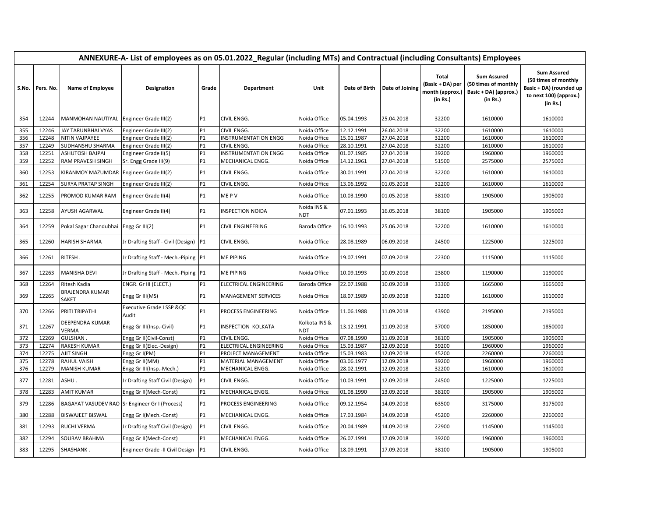|     | ANNEXURE-A- List of employees as on 05.01.2022_Regular (including MTs) and Contractual (including Consultants) Employees |                                                |                                       |                |                             |                      |               |                 |                                                          |                                                                                 |                                                                                                             |  |  |
|-----|--------------------------------------------------------------------------------------------------------------------------|------------------------------------------------|---------------------------------------|----------------|-----------------------------|----------------------|---------------|-----------------|----------------------------------------------------------|---------------------------------------------------------------------------------|-------------------------------------------------------------------------------------------------------------|--|--|
|     | S.No. Pers. No.                                                                                                          | Name of Employee                               | Designation                           | Grade          | Department                  | Unit                 | Date of Birth | Date of Joining | Total<br>(Basic + DA) per<br>month (approx.)<br>(in Rs.) | <b>Sum Assured</b><br>(50 times of monthly<br>Basic + DA) (approx.)<br>(in Rs.) | <b>Sum Assured</b><br>(50 times of monthly<br>Basic + DA) (rounded up<br>to next 100) (approx.)<br>(in Rs.) |  |  |
| 354 | 12244                                                                                                                    | MANMOHAN NAUTIYAL                              | Engineer Grade III(2)                 | <b>P1</b>      | CIVIL ENGG.                 | Noida Office         | 05.04.1993    | 25.04.2018      | 32200                                                    | 1610000                                                                         | 1610000                                                                                                     |  |  |
| 355 | 12246                                                                                                                    | JAY TARUNBHAI VYAS                             | Engineer Grade III(2)                 | <b>P1</b>      | CIVIL ENGG.                 | Noida Office         | 12.12.1991    | 26.04.2018      | 32200                                                    | 1610000                                                                         | 1610000                                                                                                     |  |  |
| 356 | 12248                                                                                                                    | NITIN VAJPAYEE                                 | Engineer Grade III(2)                 | <b>P1</b>      | <b>INSTRUMENTATION ENGG</b> | Noida Office         | 15.01.1987    | 27.04.2018      | 32200                                                    | 1610000                                                                         | 1610000                                                                                                     |  |  |
| 357 | 12249                                                                                                                    | SUDHANSHU SHARMA                               | Engineer Grade III(2)                 | P1             | CIVIL ENGG                  | Noida Office         | 28.10.1991    | 27.04.2018      | 32200                                                    | 1610000                                                                         | 1610000                                                                                                     |  |  |
| 358 | 12251                                                                                                                    | <b>ASHUTOSH BAJPAI</b>                         | Engineer Grade II(5)                  | P1             | <b>INSTRUMENTATION ENGG</b> | Noida Office         | 01.07.1985    | 27.04.2018      | 39200                                                    | 1960000                                                                         | 1960000                                                                                                     |  |  |
| 359 | 12252                                                                                                                    | RAM PRAVESH SINGH                              | Sr. Engg Grade III(9)                 | <b>P1</b>      | MECHANICAL ENGG.            | Noida Office         | 14.12.1961    | 27.04.2018      | 51500                                                    | 2575000                                                                         | 2575000                                                                                                     |  |  |
| 360 | 12253                                                                                                                    | KIRANMOY MAZUMDAR                              | Engineer Grade III(2)                 | <b>P1</b>      | CIVIL ENGG.                 | Noida Office         | 30.01.1991    | 27.04.2018      | 32200                                                    | 1610000                                                                         | 1610000                                                                                                     |  |  |
| 361 | 12254                                                                                                                    | SURYA PRATAP SINGH                             | Engineer Grade III(2)                 | P1             | CIVIL ENGG.                 | Noida Office         | 13.06.1992    | 01.05.2018      | 32200                                                    | 1610000                                                                         | 1610000                                                                                                     |  |  |
| 362 | 12255                                                                                                                    | PROMOD KUMAR RAM                               | Engineer Grade II(4)                  | <b>P1</b>      | ME P V                      | Noida Office         | 10.03.1990    | 01.05.2018      | 38100                                                    | 1905000                                                                         | 1905000                                                                                                     |  |  |
| 363 | 12258                                                                                                                    | AYUSH AGARWAL                                  | Engineer Grade II(4)                  | P1             | <b>INSPECTION NOIDA</b>     | Noida INS &<br>NDT   | 07.01.1993    | 16.05.2018      | 38100                                                    | 1905000                                                                         | 1905000                                                                                                     |  |  |
| 364 | 12259                                                                                                                    | Pokal Sagar Chandubhai                         | Engg Gr III(2)                        | P1             | CIVIL ENGINEERING           | Baroda Office        | 16.10.1993    | 25.06.2018      | 32200                                                    | 1610000                                                                         | 1610000                                                                                                     |  |  |
| 365 | 12260                                                                                                                    | <b>HARISH SHARMA</b>                           | Jr Drafting Staff - Civil (Design) P1 |                | CIVIL ENGG.                 | Noida Office         | 28.08.1989    | 06.09.2018      | 24500                                                    | 1225000                                                                         | 1225000                                                                                                     |  |  |
| 366 | 12261                                                                                                                    | RITESH.                                        | Jr Drafting Staff - Mech.-Piping P1   |                | ME PIPING                   | Noida Office         | 19.07.1991    | 07.09.2018      | 22300                                                    | 1115000                                                                         | 1115000                                                                                                     |  |  |
| 367 | 12263                                                                                                                    | <b>MANISHA DEVI</b>                            | Jr Drafting Staff - Mech.-Piping   P1 |                | ME PIPING                   | Noida Office         | 10.09.1993    | 10.09.2018      | 23800                                                    | 1190000                                                                         | 1190000                                                                                                     |  |  |
| 368 | 12264                                                                                                                    | Ritesh Kadia                                   | ENGR. Gr III (ELECT.)                 | P1             | ELECTRICAL ENGINEERING      | Baroda Office        | 22.07.1988    | 10.09.2018      | 33300                                                    | 1665000                                                                         | 1665000                                                                                                     |  |  |
| 369 | 12265                                                                                                                    | BRAJENDRA KUMAR<br>SAKET                       | Engg Gr III(MS)                       | P1             | <b>MANAGEMENT SERVICES</b>  | Noida Office         | 18.07.1989    | 10.09.2018      | 32200                                                    | 1610000                                                                         | 1610000                                                                                                     |  |  |
| 370 | 12266                                                                                                                    | PRITI TRIPATHI                                 | Executive Grade I SSP & QC<br>Audit   | <b>P1</b>      | PROCESS ENGINEERING         | Noida Office         | 11.06.1988    | 11.09.2018      | 43900                                                    | 2195000                                                                         | 2195000                                                                                                     |  |  |
| 371 | 12267                                                                                                                    | DEEPENDRA KUMAR<br><b>VERMA</b>                | Engg Gr III(Insp.-Civil)              | <b>P1</b>      | INSPECTION KOLKATA          | Kolkota INS &<br>NDT | 13.12.1991    | 11.09.2018      | 37000                                                    | 1850000                                                                         | 1850000                                                                                                     |  |  |
| 372 | 12269                                                                                                                    | GULSHAN                                        | Engg Gr II(Civil-Const)               | P <sub>1</sub> | CIVIL ENGG.                 | Noida Office         | 07.08.1990    | 11.09.2018      | 38100                                                    | 1905000                                                                         | 1905000                                                                                                     |  |  |
| 373 | 12274                                                                                                                    | <b>RAKESH KUMAR</b>                            | Engg Gr II(Elec.-Design)              | P1             | ELECTRICAL ENGINEERING      | Noida Office         | 15.03.1987    | 12.09.2018      | 39200                                                    | 1960000                                                                         | 1960000                                                                                                     |  |  |
| 374 | 12275                                                                                                                    | <b>AJIT SINGH</b>                              | Engg Gr I(PM)                         | <b>P1</b>      | PROJECT MANAGEMENT          | Noida Office         | 15.03.1983    | 12.09.2018      | 45200                                                    | 2260000                                                                         | 2260000                                                                                                     |  |  |
| 375 | 12278                                                                                                                    | <b>RAHUL VAISH</b>                             | Engg Gr II(MM)                        | P1             | MATERIAL MANAGEMENT         | Noida Office         | 03.06.1977    | 12.09.2018      | 39200                                                    | 1960000                                                                         | 1960000                                                                                                     |  |  |
| 376 | 12279                                                                                                                    | <b>MANISH KUMAR</b>                            | Engg Gr III(Insp.-Mech.)              | P1             | MECHANICAL ENGG.            | Noida Office         | 28.02.1991    | 12.09.2018      | 32200                                                    | 1610000                                                                         | 1610000                                                                                                     |  |  |
| 377 | 12281                                                                                                                    | ASHU.                                          | Jr Drafting Staff Civil (Design)      | P1             | CIVIL ENGG.                 | Noida Office         | 10.03.1991    | 12.09.2018      | 24500                                                    | 1225000                                                                         | 1225000                                                                                                     |  |  |
| 378 | 12283                                                                                                                    | <b>AMIT KUMAR</b>                              | Engg Gr II(Mech-Const)                | <b>P1</b>      | MECHANICAL ENGG.            | Noida Office         | 01.08.1990    | 13.09.2018      | 38100                                                    | 1905000                                                                         | 1905000                                                                                                     |  |  |
| 379 | 12286                                                                                                                    | BAGAYAT VASUDEV RAO Sr Engineer Gr I (Process) |                                       | <b>P1</b>      | PROCESS ENGINEERING         | Noida Office         | 09.12.1954    | 14.09.2018      | 63500                                                    | 3175000                                                                         | 3175000                                                                                                     |  |  |
| 380 | 12288                                                                                                                    | <b>BISWAJEET BISWAL</b>                        | Engg Gr I(Mech.-Const)                | <b>P1</b>      | MECHANICAL ENGG.            | Noida Office         | 17.03.1984    | 14.09.2018      | 45200                                                    | 2260000                                                                         | 2260000                                                                                                     |  |  |
| 381 | 12293                                                                                                                    | <b>RUCHI VERMA</b>                             | Jr Drafting Staff Civil (Design)      | P1             | CIVIL ENGG.                 | Noida Office         | 20.04.1989    | 14.09.2018      | 22900                                                    | 1145000                                                                         | 1145000                                                                                                     |  |  |
| 382 | 12294                                                                                                                    | SOURAV BRAHMA                                  | Engg Gr II(Mech-Const)                | <b>P1</b>      | MECHANICAL ENGG.            | Noida Office         | 26.07.1991    | 17.09.2018      | 39200                                                    | 1960000                                                                         | 1960000                                                                                                     |  |  |
| 383 | 12295                                                                                                                    | SHASHANK.                                      | Engineer Grade -II Civil Design       | P1             | CIVIL ENGG.                 | Noida Office         | 18.09.1991    | 17.09.2018      | 38100                                                    | 1905000                                                                         | 1905000                                                                                                     |  |  |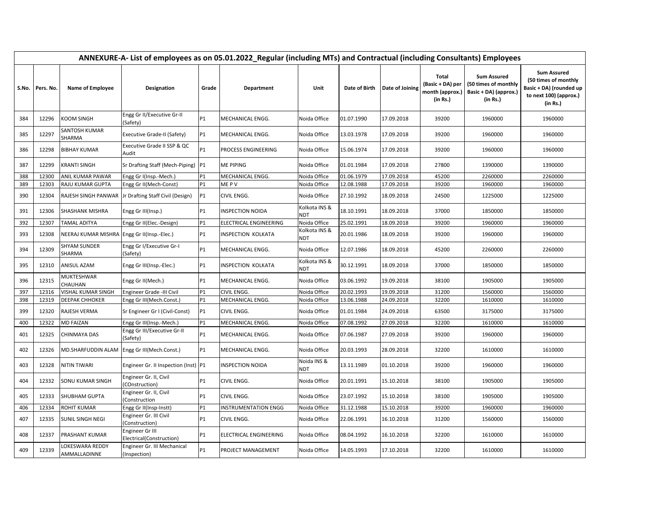|       | ANNEXURE-A- List of employees as on 05.01.2022_Regular (including MTs) and Contractual (including Consultants) Employees |                                             |                                                      |                |                             |                             |               |                 |                                                          |                                                                                 |                                                                                                             |  |  |
|-------|--------------------------------------------------------------------------------------------------------------------------|---------------------------------------------|------------------------------------------------------|----------------|-----------------------------|-----------------------------|---------------|-----------------|----------------------------------------------------------|---------------------------------------------------------------------------------|-------------------------------------------------------------------------------------------------------------|--|--|
| S.No. | Pers. No.                                                                                                                | Name of Employee                            | Designation                                          | Grade          | Department                  | Unit                        | Date of Birth | Date of Joining | Total<br>(Basic + DA) per<br>month (approx.)<br>(in Rs.) | <b>Sum Assured</b><br>(50 times of monthly<br>Basic + DA) (approx.)<br>(in Rs.) | <b>Sum Assured</b><br>(50 times of monthly<br>Basic + DA) (rounded up<br>to next 100) (approx.)<br>(in Rs.) |  |  |
| 384   | 12296                                                                                                                    | <b>KOOM SINGH</b>                           | Engg Gr II/Executive Gr-II<br>(Safety)               | P1             | MECHANICAL ENGG.            | Noida Office                | 01.07.1990    | 17.09.2018      | 39200                                                    | 1960000                                                                         | 1960000                                                                                                     |  |  |
| 385   | 12297                                                                                                                    | <b>SANTOSH KUMAR</b><br>SHARMA              | <b>Executive Grade-II (Safety)</b>                   | P1             | MECHANICAL ENGG.            | Noida Office                | 13.03.1978    | 17.09.2018      | 39200                                                    | 1960000                                                                         | 1960000                                                                                                     |  |  |
| 386   | 12298                                                                                                                    | <b>BIBHAY KUMAR</b>                         | Executive Grade II SSP & QC<br>Audit                 | P1             | PROCESS ENGINEERING         | Noida Office                | 15.06.1974    | 17.09.2018      | 39200                                                    | 1960000                                                                         | 1960000                                                                                                     |  |  |
| 387   | 12299                                                                                                                    | <b>KRANTI SINGH</b>                         | Sr Drafting Staff (Mech-Piping)   P1                 |                | <b>ME PIPING</b>            | Noida Office                | 01.01.1984    | 17.09.2018      | 27800                                                    | 1390000                                                                         | 1390000                                                                                                     |  |  |
| 388   | 12300                                                                                                                    | ANIL KUMAR PAWAR                            | Engg Gr I(Insp.-Mech.)                               | P1             | MECHANICAL ENGG.            | Noida Office                | 01.06.1979    | 17.09.2018      | 45200                                                    | 2260000                                                                         | 2260000                                                                                                     |  |  |
| 389   | 12303                                                                                                                    | <b>RAJU KUMAR GUPTA</b>                     | Engg Gr II(Mech-Const)                               | <b>P1</b>      | ME PV                       | Noida Office                | 12.08.1988    | 17.09.2018      | 39200                                                    | 1960000                                                                         | 1960000                                                                                                     |  |  |
| 390   | 12304                                                                                                                    |                                             | RAJESH SINGH PANWAR Ir Drafting Staff Civil (Design) | <b>P1</b>      | CIVIL ENGG.                 | Noida Office                | 27.10.1992    | 18.09.2018      | 24500                                                    | 1225000                                                                         | 1225000                                                                                                     |  |  |
| 391   | 12306                                                                                                                    | <b>SHASHANK MISHRA</b>                      | Engg Gr III(Insp.)                                   | <b>P1</b>      | <b>INSPECTION NOIDA</b>     | Kolkota INS &<br>NDT        | 18.10.1991    | 18.09.2018      | 37000                                                    | 1850000                                                                         | 1850000                                                                                                     |  |  |
| 392   | 12307                                                                                                                    | TAMAL ADITYA                                | Engg Gr II(Elec.-Design)                             | P <sub>1</sub> | ELECTRICAL ENGINEERING      | Noida Office                | 25.02.1991    | 18.09.2018      | 39200                                                    | 1960000                                                                         | 1960000                                                                                                     |  |  |
| 393   | 12308                                                                                                                    | NEERAJ KUMAR MISHRA Engg Gr II(Insp.-Elec.) |                                                      | <b>P1</b>      | <b>INSPECTION KOLKATA</b>   | Kolkota INS &<br><b>NDT</b> | 20.01.1986    | 18.09.2018      | 39200                                                    | 1960000                                                                         | 1960000                                                                                                     |  |  |
| 394   | 12309                                                                                                                    | <b>SHYAM SUNDER</b><br>SHARMA               | Engg Gr I/Executive Gr-I<br>(Safety)                 | <b>P1</b>      | MECHANICAL ENGG.            | Noida Office                | 12.07.1986    | 18.09.2018      | 45200                                                    | 2260000                                                                         | 2260000                                                                                                     |  |  |
| 395   | 12310                                                                                                                    | <b>ANISUL AZAM</b>                          | Engg Gr III(Insp.-Elec.)                             | P1             | <b>INSPECTION KOLKATA</b>   | Kolkota INS &<br>NDT        | 30.12.1991    | 18.09.2018      | 37000                                                    | 1850000                                                                         | 1850000                                                                                                     |  |  |
| 396   | 12315                                                                                                                    | MUKTESHWAR<br>CHAUHAN                       | Engg Gr II(Mech.)                                    | <b>P1</b>      | MECHANICAL ENGG.            | Noida Office                | 03.06.1992    | 19.09.2018      | 38100                                                    | 1905000                                                                         | 1905000                                                                                                     |  |  |
| 397   | 12316                                                                                                                    | VISHAL KUMAR SINGH                          | Engineer Grade -III Civil                            | P1             | CIVIL ENGG.                 | Noida Office                | 20.02.1993    | 19.09.2018      | 31200                                                    | 1560000                                                                         | 1560000                                                                                                     |  |  |
| 398   | 12319                                                                                                                    | <b>DEEPAK CHHOKER</b>                       | Engg Gr III(Mech.Const.)                             | P1             | MECHANICAL ENGG.            | Noida Office                | 13.06.1988    | 24.09.2018      | 32200                                                    | 1610000                                                                         | 1610000                                                                                                     |  |  |
| 399   | 12320                                                                                                                    | <b>RAJESH VERMA</b>                         | Sr Engineer Gr I (Civil-Const)                       | <b>P1</b>      | CIVIL ENGG.                 | Noida Office                | 01.01.1984    | 24.09.2018      | 63500                                                    | 3175000                                                                         | 3175000                                                                                                     |  |  |
| 400   | 12322                                                                                                                    | <b>MD FAIZAN</b>                            | Engg Gr III(Insp.-Mech.)                             | P1             | MECHANICAL ENGG.            | Noida Office                | 07.08.1992    | 27.09.2018      | 32200                                                    | 1610000                                                                         | 1610000                                                                                                     |  |  |
| 401   | 12325                                                                                                                    | CHINMAYA DAS                                | Engg Gr III/Executive Gr-II<br>(Safety)              | P1             | MECHANICAL ENGG.            | Noida Office                | 07.06.1987    | 27.09.2018      | 39200                                                    | 1960000                                                                         | 1960000                                                                                                     |  |  |
| 402   | 12326                                                                                                                    | MD.SHARFUDDIN ALAM Engg Gr III(Mech.Const.) |                                                      | P1             | <b>MECHANICAL ENGG.</b>     | Noida Office                | 20.03.1993    | 28.09.2018      | 32200                                                    | 1610000                                                                         | 1610000                                                                                                     |  |  |
| 403   | 12328                                                                                                                    | <b>NITIN TIWARI</b>                         | Engineer Gr. II Inspection (Inst) P1                 |                | <b>INSPECTION NOIDA</b>     | Noida INS &<br><b>NDT</b>   | 13.11.1989    | 01.10.2018      | 39200                                                    | 1960000                                                                         | 1960000                                                                                                     |  |  |
| 404   | 12332                                                                                                                    | <b>SONU KUMAR SINGH</b>                     | Engineer Gr. II, Civil<br>(COnstruction)             | P1             | CIVIL ENGG.                 | Noida Office                | 20.01.1991    | 15.10.2018      | 38100                                                    | 1905000                                                                         | 1905000                                                                                                     |  |  |
| 405   | 12333                                                                                                                    | SHUBHAM GUPTA                               | Engineer Gr. II, Civil<br>(Construction              | P1             | CIVIL ENGG.                 | Noida Office                | 23.07.1992    | 15.10.2018      | 38100                                                    | 1905000                                                                         | 1905000                                                                                                     |  |  |
| 406   | 12334                                                                                                                    | <b>ROHIT KUMAR</b>                          | Engg Gr II(Insp-Instt)                               | P1             | <b>INSTRUMENTATION ENGG</b> | Noida Office                | 31.12.1988    | 15.10.2018      | 39200                                                    | 1960000                                                                         | 1960000                                                                                                     |  |  |
| 407   | 12335                                                                                                                    | <b>SUNIL SINGH NEGI</b>                     | Engineer Gr. III Civil<br>(Construction)             | P1             | <b>CIVIL ENGG.</b>          | Noida Office                | 22.06.1991    | 16.10.2018      | 31200                                                    | 1560000                                                                         | 1560000                                                                                                     |  |  |
| 408   | 12337                                                                                                                    | PRASHANT KUMAR                              | Engineer Gr III<br>Electrical(Construction)          | P1             | ELECTRICAL ENGINEERING      | Noida Office                | 08.04.1992    | 16.10.2018      | 32200                                                    | 1610000                                                                         | 1610000                                                                                                     |  |  |
| 409   | 12339                                                                                                                    | LOKESWARA REDDY<br><b>AMMALLADINNE</b>      | Engineer Gr. III Mechanical<br>(Inspection)          | P1             | PROJECT MANAGEMENT          | Noida Office                | 14.05.1993    | 17.10.2018      | 32200                                                    | 1610000                                                                         | 1610000                                                                                                     |  |  |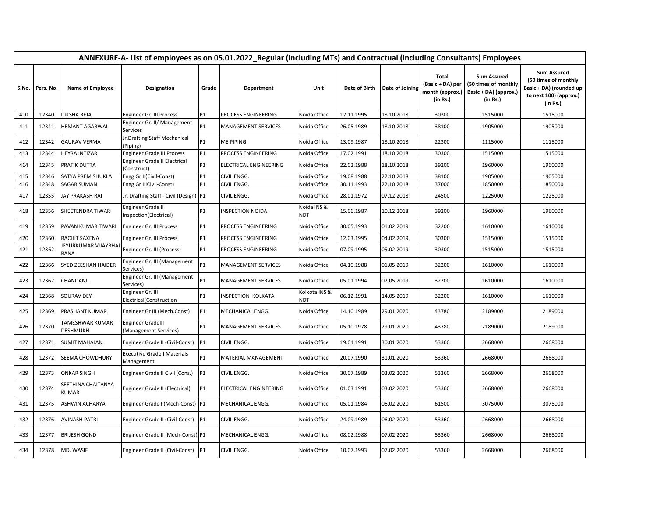|            | ANNEXURE-A- List of employees as on 05.01.2022_Regular (including MTs) and Contractual (including Consultants) Employees |                                       |                                                                   |           |                            |                              |                          |                          |                                                          |                                                                                 |                                                                                                             |  |  |  |
|------------|--------------------------------------------------------------------------------------------------------------------------|---------------------------------------|-------------------------------------------------------------------|-----------|----------------------------|------------------------------|--------------------------|--------------------------|----------------------------------------------------------|---------------------------------------------------------------------------------|-------------------------------------------------------------------------------------------------------------|--|--|--|
|            | S.No. Pers. No.                                                                                                          | <b>Name of Employee</b>               | Designation                                                       | Grade     | Department                 | Unit                         | Date of Birth            | Date of Joining          | Total<br>(Basic + DA) per<br>month (approx.)<br>(in Rs.) | <b>Sum Assured</b><br>(50 times of monthly<br>Basic + DA) (approx.)<br>(in Rs.) | <b>Sum Assured</b><br>(50 times of monthly<br>Basic + DA) (rounded up<br>to next 100) (approx.)<br>(in Rs.) |  |  |  |
| 410        | 12340                                                                                                                    | <b>DIKSHA REJA</b>                    | Engineer Gr. III Process                                          | P1        | PROCESS ENGINEERING        | Noida Office                 | 12.11.1995               | 18.10.2018               | 30300                                                    | 1515000                                                                         | 1515000                                                                                                     |  |  |  |
| 411        | 12341                                                                                                                    | <b>HEMANT AGARWAL</b>                 | Engineer Gr. II/ Management<br>Services                           | P1        | <b>MANAGEMENT SERVICES</b> | Noida Office                 | 26.05.1989               | 18.10.2018               | 38100                                                    | 1905000                                                                         | 1905000                                                                                                     |  |  |  |
| 412        | 12342                                                                                                                    | <b>GAURAV VERMA</b>                   | Jr.Drafting Staff Mechanical<br>Piping)                           | P1        | <b>ME PIPING</b>           | Noida Office                 | 13.09.1987               | 18.10.2018               | 22300                                                    | 1115000                                                                         | 1115000                                                                                                     |  |  |  |
| 413        | 12344                                                                                                                    | <b>HEYRA INTIZAR</b>                  | <b>Engineer Grade III Process</b>                                 | P1        | PROCESS ENGINEERING        | Noida Office                 | 17.02.1991               | 18.10.2018               | 30300                                                    | 1515000                                                                         | 1515000                                                                                                     |  |  |  |
| 414        | 12345                                                                                                                    | PRATIK DUTTA                          | Engineer Grade II Electrical<br>Construct)                        | P1        | ELECTRICAL ENGINEERING     | Noida Office                 | 22.02.1988               | 18.10.2018               | 39200                                                    | 1960000                                                                         | 1960000                                                                                                     |  |  |  |
| 415        | 12346                                                                                                                    | SATYA PREM SHUKLA                     | Engg Gr II(Civil-Const)                                           | P1        | CIVIL ENGG.                | Noida Office                 | 19.08.1988               | 22.10.2018               | 38100                                                    | 1905000                                                                         | 1905000                                                                                                     |  |  |  |
| 416<br>417 | 12348<br>12355                                                                                                           | SAGAR SUMAN<br><b>JAY PRAKASH RAI</b> | Engg Gr IIICivil-Const)<br>Jr. Drafting Staff - Civil (Design) P1 | P1        | CIVIL ENGG.<br>CIVIL ENGG. | Noida Office<br>Noida Office | 30.11.1993<br>28.01.1972 | 22.10.2018<br>07.12.2018 | 37000<br>24500                                           | 1850000<br>1225000                                                              | 1850000<br>1225000                                                                                          |  |  |  |
| 418        | 12356                                                                                                                    | SHEETENDRA TIWARI                     | Engineer Grade II<br>Inspection(Electrical)                       | P1        | INSPECTION NOIDA           | Noida INS &<br>NDT           | 15.06.1987               | 10.12.2018               | 39200                                                    | 1960000                                                                         | 1960000                                                                                                     |  |  |  |
| 419        | 12359                                                                                                                    | <b>PAVAN KUMAR TIWARI</b>             | Engineer Gr. III Process                                          | P1        | PROCESS ENGINEERING        | Noida Office                 | 30.05.1993               | 01.02.2019               | 32200                                                    | 1610000                                                                         | 1610000                                                                                                     |  |  |  |
| 420        | 12360                                                                                                                    | RACHIT SAXENA                         | Engineer Gr. III Process                                          | P1        | PROCESS ENGINEERING        | Noida Office                 | 12.03.1995               | 04.02.2019               | 30300                                                    | 1515000                                                                         | 1515000                                                                                                     |  |  |  |
| 421        | 12362                                                                                                                    | JEYURKUMAR VIJAYBHAI<br><b>RANA</b>   | Engineer Gr. III (Process)                                        | P1        | PROCESS ENGINEERING        | Noida Office                 | 07.09.1995               | 05.02.2019               | 30300                                                    | 1515000                                                                         | 1515000                                                                                                     |  |  |  |
| 422        | 12366                                                                                                                    | SYED ZEESHAN HAIDER                   | Engineer Gr. III (Management<br>Services)                         | P1        | MANAGEMENT SERVICES        | Noida Office                 | 04.10.1988               | 01.05.2019               | 32200                                                    | 1610000                                                                         | 1610000                                                                                                     |  |  |  |
| 423        | 12367                                                                                                                    | CHANDANI.                             | Engineer Gr. III (Management<br>Services)                         | P1        | <b>MANAGEMENT SERVICES</b> | Noida Office                 | 05.01.1994               | 07.05.2019               | 32200                                                    | 1610000                                                                         | 1610000                                                                                                     |  |  |  |
| 424        | 12368                                                                                                                    | <b>SOURAV DEY</b>                     | Engineer Gr. III<br>Electrical(Construction                       | P1        | INSPECTION KOLKATA         | Kolkota INS &<br><b>NDT</b>  | 06.12.1991               | 14.05.2019               | 32200                                                    | 1610000                                                                         | 1610000                                                                                                     |  |  |  |
| 425        | 12369                                                                                                                    | PRASHANT KUMAR                        | Engineer Gr III (Mech.Const)                                      | P1        | MECHANICAL ENGG.           | Noida Office                 | 14.10.1989               | 29.01.2020               | 43780                                                    | 2189000                                                                         | 2189000                                                                                                     |  |  |  |
| 426        | 12370                                                                                                                    | TAMESHWAR KUMAR<br>DESHMUKH           | <b>Engineer Gradelll</b><br>(Management Services)                 | P1        | MANAGEMENT SERVICES        | Noida Office                 | 05.10.1978               | 29.01.2020               | 43780                                                    | 2189000                                                                         | 2189000                                                                                                     |  |  |  |
| 427        | 12371                                                                                                                    | <b>SUMIT MAHAJAN</b>                  | Engineer Grade II (Civil-Const)                                   | P1        | CIVIL ENGG.                | Noida Office                 | 19.01.1991               | 30.01.2020               | 53360                                                    | 2668000                                                                         | 2668000                                                                                                     |  |  |  |
| 428        | 12372                                                                                                                    | SEEMA CHOWDHURY                       | <b>Executive Gradell Materials</b><br>Management                  | P1        | MATERIAL MANAGEMENT        | Noida Office                 | 20.07.1990               | 31.01.2020               | 53360                                                    | 2668000                                                                         | 2668000                                                                                                     |  |  |  |
| 429        | 12373                                                                                                                    | <b>ONKAR SINGH</b>                    | Engineer Grade II Civil (Cons.)                                   | <b>P1</b> | CIVIL ENGG.                | Noida Office                 | 30.07.1989               | 03.02.2020               | 53360                                                    | 2668000                                                                         | 2668000                                                                                                     |  |  |  |
| 430        | 12374                                                                                                                    | SEETHINA CHAITANYA<br>KUMAR           | Engineer Grade II (Electrical)                                    | P1        | ELECTRICAL ENGINEERING     | Noida Office                 | 01.03.1991               | 03.02.2020               | 53360                                                    | 2668000                                                                         | 2668000                                                                                                     |  |  |  |
| 431        | 12375                                                                                                                    | ASHWIN ACHARYA                        | Engineer Grade I (Mech-Const) P1                                  |           | MECHANICAL ENGG.           | Noida Office                 | 05.01.1984               | 06.02.2020               | 61500                                                    | 3075000                                                                         | 3075000                                                                                                     |  |  |  |
| 432        | 12376                                                                                                                    | <b>AVINASH PATRI</b>                  | Engineer Grade II (Civil-Const)                                   | P1        | CIVIL ENGG.                | Noida Office                 | 24.09.1989               | 06.02.2020               | 53360                                                    | 2668000                                                                         | 2668000                                                                                                     |  |  |  |
| 433        | 12377                                                                                                                    | <b>BRIJESH GOND</b>                   | Engineer Grade II (Mech-Const) P1                                 |           | MECHANICAL ENGG.           | Noida Office                 | 08.02.1988               | 07.02.2020               | 53360                                                    | 2668000                                                                         | 2668000                                                                                                     |  |  |  |
| 434        | 12378                                                                                                                    | MD. WASIF                             | Engineer Grade II (Civil-Const) P1                                |           | CIVIL ENGG.                | Noida Office                 | 10.07.1993               | 07.02.2020               | 53360                                                    | 2668000                                                                         | 2668000                                                                                                     |  |  |  |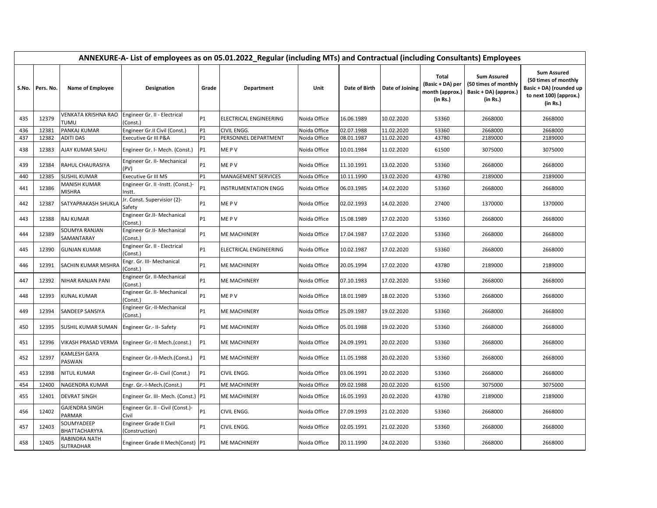|       | ANNEXURE-A- List of employees as on 05.01.2022_Regular (including MTs) and Contractual (including Consultants) Employees |                                    |                                             |           |                               |              |               |                 |                                                                 |                                                                                 |                                                                                                             |  |  |  |
|-------|--------------------------------------------------------------------------------------------------------------------------|------------------------------------|---------------------------------------------|-----------|-------------------------------|--------------|---------------|-----------------|-----------------------------------------------------------------|---------------------------------------------------------------------------------|-------------------------------------------------------------------------------------------------------------|--|--|--|
| S.No. | Pers. No.                                                                                                                | <b>Name of Employee</b>            | Designation                                 | Grade     | Department                    | Unit         | Date of Birth | Date of Joining | <b>Total</b><br>(Basic + DA) per<br>month (approx.)<br>(in Rs.) | <b>Sum Assured</b><br>(50 times of monthly<br>Basic + DA) (approx.)<br>(in Rs.) | <b>Sum Assured</b><br>(50 times of monthly<br>Basic + DA) (rounded up<br>to next 100) (approx.)<br>(in Rs.) |  |  |  |
| 435   | 12379                                                                                                                    | VENKATA KRISHNA RAO<br><b>TUMU</b> | Engineer Gr. II - Electrical<br>(Const.)    | <b>P1</b> | <b>ELECTRICAL ENGINEERING</b> | Noida Office | 16.06.1989    | 10.02.2020      | 53360                                                           | 2668000                                                                         | 2668000                                                                                                     |  |  |  |
| 436   | 12381                                                                                                                    | PANKAJ KUMAR                       | Engineer Gr.II Civil (Const.)               | <b>P1</b> | CIVIL ENGG.                   | Noida Office | 02.07.1988    | 11.02.2020      | 53360                                                           | 2668000                                                                         | 2668000                                                                                                     |  |  |  |
| 437   | 12382                                                                                                                    | <b>ADITI DAS</b>                   | Executive Gr III P&A                        | P1        | PERSONNEL DEPARTMENT          | Noida Office | 08.01.1987    | 11.02.2020      | 43780                                                           | 2189000                                                                         | 2189000                                                                                                     |  |  |  |
| 438   | 12383                                                                                                                    | AJAY KUMAR SAHU                    | Engineer Gr. I- Mech. (Const.)              | <b>P1</b> | ME P V                        | Noida Office | 10.01.1984    | 11.02.2020      | 61500                                                           | 3075000                                                                         | 3075000                                                                                                     |  |  |  |
| 439   | 12384                                                                                                                    | RAHUL CHAURASIYA                   | Engineer Gr. II- Mechanical<br>(PV)         | <b>P1</b> | ME P V                        | Noida Office | 11.10.1991    | 13.02.2020      | 53360                                                           | 2668000                                                                         | 2668000                                                                                                     |  |  |  |
| 440   | 12385                                                                                                                    | <b>SUSHIL KUMAR</b>                | <b>Executive Gr III MS</b>                  | <b>P1</b> | <b>MANAGEMENT SERVICES</b>    | Noida Office | 10.11.1990    | 13.02.2020      | 43780                                                           | 2189000                                                                         | 2189000                                                                                                     |  |  |  |
| 441   | 12386                                                                                                                    | MANISH KUMAR<br>MISHRA             | Engineer Gr. II -Instt. (Const.)-<br>Instt. | P1        | <b>INSTRUMENTATION ENGG</b>   | Noida Office | 06.03.1985    | 14.02.2020      | 53360                                                           | 2668000                                                                         | 2668000                                                                                                     |  |  |  |
| 442   | 12387                                                                                                                    | SATYAPRAKASH SHUKLA                | Ir. Const. Supervisior (2)-<br>Safety       | <b>P1</b> | ME P V                        | Noida Office | 02.02.1993    | 14.02.2020      | 27400                                                           | 1370000                                                                         | 1370000                                                                                                     |  |  |  |
| 443   | 12388                                                                                                                    | <b>RAJ KUMAR</b>                   | Engineer Gr.II- Mechanical<br>(Const.)      | <b>P1</b> | ME PV                         | Noida Office | 15.08.1989    | 17.02.2020      | 53360                                                           | 2668000                                                                         | 2668000                                                                                                     |  |  |  |
| 444   | 12389                                                                                                                    | SOUMYA RANJAN<br>SAMANTARAY        | Engineer Gr.II- Mechanical<br>(Const.)      | <b>P1</b> | <b>ME MACHINERY</b>           | Noida Office | 17.04.1987    | 17.02.2020      | 53360                                                           | 2668000                                                                         | 2668000                                                                                                     |  |  |  |
| 445   | 12390                                                                                                                    | <b>GUNJAN KUMAR</b>                | Engineer Gr. II - Electrical<br>(Const.)    | <b>P1</b> | ELECTRICAL ENGINEERING        | Noida Office | 10.02.1987    | 17.02.2020      | 53360                                                           | 2668000                                                                         | 2668000                                                                                                     |  |  |  |
| 446   | 12391                                                                                                                    | SACHIN KUMAR MISHRA                | Engr. Gr. III- Mechanical<br>Const.)        | <b>P1</b> | <b>ME MACHINERY</b>           | Noida Office | 20.05.1994    | 17.02.2020      | 43780                                                           | 2189000                                                                         | 2189000                                                                                                     |  |  |  |
| 447   | 12392                                                                                                                    | NIHAR RANJAN PANI                  | Engineer Gr. II-Mechanical<br>(Const.)      | <b>P1</b> | <b>ME MACHINERY</b>           | Noida Office | 07.10.1983    | 17.02.2020      | 53360                                                           | 2668000                                                                         | 2668000                                                                                                     |  |  |  |
| 448   | 12393                                                                                                                    | <b>KUNAL KUMAR</b>                 | Engineer Gr. II- Mechanical<br>(Const.)     | <b>P1</b> | ME P V                        | Noida Office | 18.01.1989    | 18.02.2020      | 53360                                                           | 2668000                                                                         | 2668000                                                                                                     |  |  |  |
| 449   | 12394                                                                                                                    | SANDEEP SANSIYA                    | Engineer Gr.-II-Mechanical<br>(Const.)      | <b>P1</b> | <b>ME MACHINERY</b>           | Noida Office | 25.09.1987    | 19.02.2020      | 53360                                                           | 2668000                                                                         | 2668000                                                                                                     |  |  |  |
| 450   | 12395                                                                                                                    | SUSHIL KUMAR SUMAN                 | Engineer Gr.- II- Safety                    | <b>P1</b> | <b>ME MACHINERY</b>           | Noida Office | 05.01.1988    | 19.02.2020      | 53360                                                           | 2668000                                                                         | 2668000                                                                                                     |  |  |  |
| 451   | 12396                                                                                                                    | VIKASH PRASAD VERMA                | Engineer Gr.-II Mech.(const.)               | <b>P1</b> | <b>ME MACHINERY</b>           | Noida Office | 24.09.1991    | 20.02.2020      | 53360                                                           | 2668000                                                                         | 2668000                                                                                                     |  |  |  |
| 452   | 12397                                                                                                                    | KAMLESH GAYA<br>PASWAN             | Engineer Gr.-II-Mech.(Const.)               | <b>P1</b> | <b>ME MACHINERY</b>           | Noida Office | 11.05.1988    | 20.02.2020      | 53360                                                           | 2668000                                                                         | 2668000                                                                                                     |  |  |  |
| 453   | 12398                                                                                                                    | NITUL KUMAR                        | Engineer Gr.-II- Civil (Const.)             | P1        | <b>CIVIL ENGG.</b>            | Noida Office | 03.06.1991    | 20.02.2020      | 53360                                                           | 2668000                                                                         | 2668000                                                                                                     |  |  |  |
| 454   | 12400                                                                                                                    | NAGENDRA KUMAR                     | Engr. Gr.-I-Mech.(Const.)                   | <b>P1</b> | <b>ME MACHINERY</b>           | Noida Office | 09.02.1988    | 20.02.2020      | 61500                                                           | 3075000                                                                         | 3075000                                                                                                     |  |  |  |
| 455   | 12401                                                                                                                    | <b>DEVRAT SINGH</b>                | Engineer Gr. III- Mech. (Const.) P1         |           | <b>ME MACHINERY</b>           | Noida Office | 16.05.1993    | 20.02.2020      | 43780                                                           | 2189000                                                                         | 2189000                                                                                                     |  |  |  |
| 456   | 12402                                                                                                                    | <b>GAJENDRA SINGH</b><br>PARMAR    | Engineer Gr. II - Civil (Const.)-<br>Civil  | <b>P1</b> | CIVIL ENGG.                   | Noida Office | 27.09.1993    | 21.02.2020      | 53360                                                           | 2668000                                                                         | 2668000                                                                                                     |  |  |  |
| 457   | 12403                                                                                                                    | SOUMYADEEP<br>BHATTACHARYYA        | Engineer Grade II Civil<br>(Construction)   | P1        | CIVIL ENGG.                   | Noida Office | 02.05.1991    | 21.02.2020      | 53360                                                           | 2668000                                                                         | 2668000                                                                                                     |  |  |  |
| 458   | 12405                                                                                                                    | RABINDRA NATH<br>SUTRADHAR         | Engineer Grade II Mech(Const) P1            |           | <b>ME MACHINERY</b>           | Noida Office | 20.11.1990    | 24.02.2020      | 53360                                                           | 2668000                                                                         | 2668000                                                                                                     |  |  |  |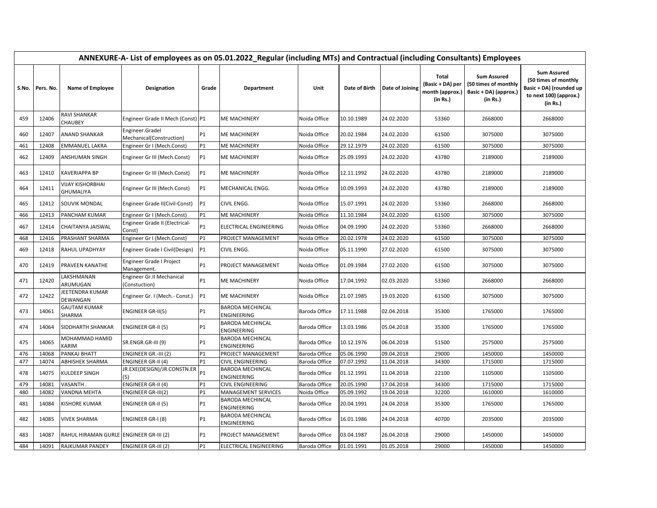|       | ANNEXURE-A- List of employees as on 05.01.2022_Regular (including MTs) and Contractual (including Consultants) Employees |                                         |                                             |           |                                               |               |               |                 |                                                                 |                                                                                 |                                                                                                             |  |  |
|-------|--------------------------------------------------------------------------------------------------------------------------|-----------------------------------------|---------------------------------------------|-----------|-----------------------------------------------|---------------|---------------|-----------------|-----------------------------------------------------------------|---------------------------------------------------------------------------------|-------------------------------------------------------------------------------------------------------------|--|--|
| S.No. | Pers. No.                                                                                                                | <b>Name of Employee</b>                 | Designation                                 | Grade     | Department                                    | Unit          | Date of Birth | Date of Joining | <b>Total</b><br>(Basic + DA) per<br>month (approx.)<br>(in Rs.) | <b>Sum Assured</b><br>(50 times of monthly<br>Basic + DA) (approx.)<br>(in Rs.) | <b>Sum Assured</b><br>(50 times of monthly<br>Basic + DA) (rounded up<br>to next 100) (approx.)<br>(in Rs.) |  |  |
| 459   | 12406                                                                                                                    | RAVI SHANKAR<br><b>CHAUBEY</b>          | Engineer Grade II Mech (Const) P1           |           | <b>ME MACHINERY</b>                           | Noida Office  | 10.10.1989    | 24.02.2020      | 53360                                                           | 2668000                                                                         | 2668000                                                                                                     |  |  |
| 460   | 12407                                                                                                                    | ANAND SHANKAR                           | Engineer.Gradel<br>Mechanical(Construction) | P1        | <b>ME MACHINERY</b>                           | Noida Office  | 20.02.1984    | 24.02.2020      | 61500                                                           | 3075000                                                                         | 3075000                                                                                                     |  |  |
| 461   | 12408                                                                                                                    | <b>EMMANUEL LAKRA</b>                   | Engineer Gr I (Mech.Const)                  | <b>P1</b> | <b>ME MACHINERY</b>                           | Noida Office  | 29.12.1979    | 24.02.2020      | 61500                                                           | 3075000                                                                         | 3075000                                                                                                     |  |  |
| 462   | 12409                                                                                                                    | ANSHUMAN SINGH                          | Engineer Gr III (Mech.Const)                | <b>P1</b> | <b>ME MACHINERY</b>                           | Noida Office  | 25.09.1993    | 24.02.2020      | 43780                                                           | 2189000                                                                         | 2189000                                                                                                     |  |  |
| 463   | 12410                                                                                                                    | <b>KAVERIAPPA BP</b>                    | Engineer Gr III (Mech.Const)                | <b>P1</b> | <b>ME MACHINERY</b>                           | Noida Office  | 12.11.1992    | 24.02.2020      | 43780                                                           | 2189000                                                                         | 2189000                                                                                                     |  |  |
| 464   | 12411                                                                                                                    | <b>VIJAY KISHORBHAI</b><br>GHUMALIYA    | Engineer Gr III (Mech.Const)                | <b>P1</b> | MECHANICAL ENGG.                              | Noida Office  | 10.09.1993    | 24.02.2020      | 43780                                                           | 2189000                                                                         | 2189000                                                                                                     |  |  |
| 465   | 12412                                                                                                                    | SOUVIK MONDAL                           | Engineer Grade II(Civil-Const)              | <b>P1</b> | CIVIL ENGG.                                   | Noida Office  | 15.07.1991    | 24.02.2020      | 53360                                                           | 2668000                                                                         | 2668000                                                                                                     |  |  |
| 466   | 12413                                                                                                                    | PANCHAM KUMAR                           | Engineer Gr I (Mech.Const)                  | P1        | <b>ME MACHINERY</b>                           | Noida Office  | 11.10.1984    | 24.02.2020      | 61500                                                           | 3075000                                                                         | 3075000                                                                                                     |  |  |
| 467   | 12414                                                                                                                    | CHAITANYA JAISWAL                       | Engineer Grade II (Electrical-<br>Const)    | <b>P1</b> | <b>ELECTRICAL ENGINEERING</b>                 | Noida Office  | 04.09.1990    | 24.02.2020      | 53360                                                           | 2668000                                                                         | 2668000                                                                                                     |  |  |
| 468   | 12416                                                                                                                    | PRASHANT SHARMA                         | Engineer Gr I (Mech.Const)                  | P1        | PROJECT MANAGEMENT                            | Noida Office  | 20.02.1978    | 24.02.2020      | 61500                                                           | 3075000                                                                         | 3075000                                                                                                     |  |  |
| 469   | 12418                                                                                                                    | RAHUL UPADHYAY                          | Engineer Grade I Civil(Design)              | <b>P1</b> | CIVIL ENGG.                                   | Noida Office  | 05.11.1990    | 27.02.2020      | 61500                                                           | 3075000                                                                         | 3075000                                                                                                     |  |  |
| 470   | 12419                                                                                                                    | PRAVEEN KANATHE                         | Engineer Grade I Project<br>Management.     | <b>P1</b> | PROJECT MANAGEMENT                            | Noida Office  | 01.09.1984    | 27.02.2020      | 61500                                                           | 3075000                                                                         | 3075000                                                                                                     |  |  |
| 471   | 12420                                                                                                                    | LAKSHMANAN<br>ARUMUGAN                  | Engineer Gr.II Mechanical<br>(Constuction)  | <b>P1</b> | <b>ME MACHINERY</b>                           | Noida Office  | 17.04.1992    | 02.03.2020      | 53360                                                           | 2668000                                                                         | 2668000                                                                                                     |  |  |
| 472   | 12422                                                                                                                    | JEETENDRA KUMAR<br>DEWANGAN             | Engineer Gr. I (Mech.- Const.)              | <b>P1</b> | <b>ME MACHINERY</b>                           | Noida Office  | 21.07.1985    | 19.03.2020      | 61500                                                           | 3075000                                                                         | 3075000                                                                                                     |  |  |
| 473   | 14061                                                                                                                    | <b>GAUTAM KUMAR</b><br>SHARMA           | ENGINEER GR-II(5)                           | <b>P1</b> | <b>BARODA MECHINCAL</b><br><b>ENGINEERING</b> | Baroda Office | 17.11.1988    | 02.04.2018      | 35300                                                           | 1765000                                                                         | 1765000                                                                                                     |  |  |
| 474   | 14064                                                                                                                    | SIDDHARTH SHANKAR                       | ENGINEER GR-II (5)                          | P1        | <b>BARODA MECHINCAL</b><br><b>ENGINEERING</b> | Baroda Office | 13.03.1986    | 05.04.2018      | 35300                                                           | 1765000                                                                         | 1765000                                                                                                     |  |  |
| 475   | 14065                                                                                                                    | MOHAMMAD HAMID<br>KARIM                 | SR.ENGR.GR-III (9)                          | P1        | <b>BARODA MECHINCAL</b><br><b>ENGINEERING</b> | Baroda Office | 10.12.1976    | 06.04.2018      | 51500                                                           | 2575000                                                                         | 2575000                                                                                                     |  |  |
| 476   | 14068                                                                                                                    | PANKAJ BHATT                            | ENGINEER GR.-III (2)                        | P1        | PROJECT MANAGEMENT                            | Baroda Office | 05.06.1990    | 09.04.2018      | 29000                                                           | 1450000                                                                         | 1450000                                                                                                     |  |  |
| 477   | 14074                                                                                                                    | ABHISHEK SHARMA                         | ENGINEER GR-II (4)                          | <b>P1</b> | CIVIL ENGINEERING                             | Baroda Office | 07.07.1992    | 11.04.2018      | 34300                                                           | 1715000                                                                         | 1715000                                                                                                     |  |  |
| 478   | 14075                                                                                                                    | KULDEEP SINGH                           | JR.EXE(DESIGN)/JR.CONSTN.ER<br>(5)          | P1        | <b>BARODA MECHINCAL</b><br><b>ENGINEERING</b> | Baroda Office | 01.12.1991    | 11.04.2018      | 22100                                                           | 1105000                                                                         | 1105000                                                                                                     |  |  |
| 479   | 14081                                                                                                                    | VASANTH                                 | ENGINEER GR-II (4)                          | <b>P1</b> | <b>CIVIL ENGINEERING</b>                      | Baroda Office | 20.05.1990    | 17.04.2018      | 34300                                                           | 1715000                                                                         | 1715000                                                                                                     |  |  |
| 480   | 14082                                                                                                                    | VANDNA MEHTA                            | <b>ENGINEER GR-III(2)</b>                   | <b>P1</b> | <b>MANAGEMENT SERVICES</b>                    | Noida Office  | 05.09.1992    | 19.04.2018      | 32200                                                           | 1610000                                                                         | 1610000                                                                                                     |  |  |
| 481   | 14084                                                                                                                    | KISHORE KUMAR                           | ENGINEER GR-II (5)                          | P1        | <b>BARODA MECHINCAL</b><br><b>ENGINEERING</b> | Baroda Office | 20.04.1991    | 24.04.2018      | 35300                                                           | 1765000                                                                         | 1765000                                                                                                     |  |  |
| 482   | 14085                                                                                                                    | <b>VIVEK SHARMA</b>                     | ENGINEER GR-I (8)                           | <b>P1</b> | <b>BARODA MECHINCAL</b><br><b>ENGINEERING</b> | Baroda Office | 16.01.1986    | 24.04.2018      | 40700                                                           | 2035000                                                                         | 2035000                                                                                                     |  |  |
| 483   | 14087                                                                                                                    | RAHUL HIRAMAN GURLE ENGINEER GR-III (2) |                                             | <b>P1</b> | PROJECT MANAGEMENT                            | Baroda Office | 03.04.1987    | 26.04.2018      | 29000                                                           | 1450000                                                                         | 1450000                                                                                                     |  |  |
| 484   | 14091                                                                                                                    | RAJKUMAR PANDEY                         | <b>ENGINEER GR-III (2)</b>                  | <b>P1</b> | <b>ELECTRICAL ENGINEERING</b>                 | Baroda Office | 01.01.1991    | 01.05.2018      | 29000                                                           | 1450000                                                                         | 1450000                                                                                                     |  |  |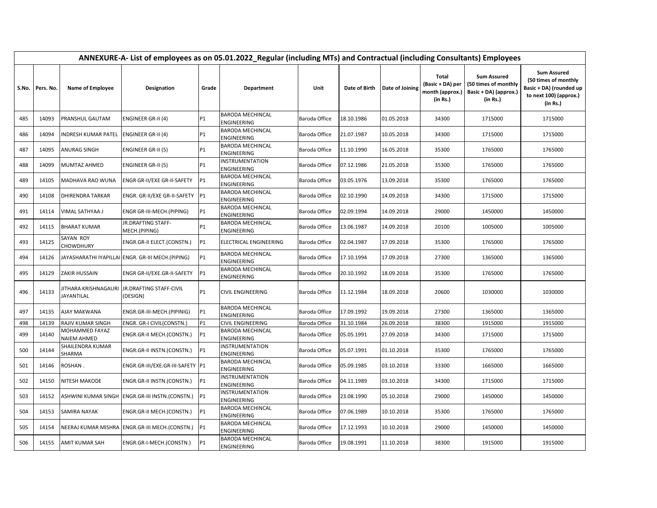|       | ANNEXURE-A- List of employees as on 05.01.2022_Regular (including MTs) and Contractual (including Consultants) Employees |                                      |                                                   |                |                                               |               |               |                 |                                                          |                                                                                 |                                                                                                             |  |  |
|-------|--------------------------------------------------------------------------------------------------------------------------|--------------------------------------|---------------------------------------------------|----------------|-----------------------------------------------|---------------|---------------|-----------------|----------------------------------------------------------|---------------------------------------------------------------------------------|-------------------------------------------------------------------------------------------------------------|--|--|
| S.No. | Pers. No.                                                                                                                | <b>Name of Employee</b>              | Designation                                       | Grade          | Department                                    | Unit          | Date of Birth | Date of Joining | Total<br>(Basic + DA) per<br>month (approx.)<br>(in Rs.) | <b>Sum Assured</b><br>(50 times of monthly<br>Basic + DA) (approx.)<br>(in Rs.) | <b>Sum Assured</b><br>(50 times of monthly<br>Basic + DA) (rounded up<br>to next 100) (approx.)<br>(in Rs.) |  |  |
| 485   | 14093                                                                                                                    | PRANSHUL GAUTAM                      | <b>ENGINEER GR-II (4)</b>                         | P1             | <b>BARODA MECHINCAL</b><br>ENGINEERING        | Baroda Office | 18.10.1986    | 01.05.2018      | 34300                                                    | 1715000                                                                         | 1715000                                                                                                     |  |  |
| 486   | 14094                                                                                                                    | <b>INDRESH KUMAR PATEL</b>           | <b>ENGINEER GR-II (4)</b>                         | <b>P1</b>      | <b>BARODA MECHINCAL</b><br><b>ENGINEERING</b> | Baroda Office | 21.07.1987    | 10.05.2018      | 34300                                                    | 1715000                                                                         | 1715000                                                                                                     |  |  |
| 487   | 14095                                                                                                                    | <b>ANURAG SINGH</b>                  | <b>ENGINEER GR-II (5)</b>                         | <b>P1</b>      | <b>BARODA MECHINCAL</b><br><b>ENGINEERING</b> | Baroda Office | 11.10.1990    | 16.05.2018      | 35300                                                    | 1765000                                                                         | 1765000                                                                                                     |  |  |
| 488   | 14099                                                                                                                    | <b>MUMTAZ AHMED</b>                  | <b>ENGINEER GR-II (5)</b>                         | <b>P1</b>      | <b>INSTRUMENTATION</b><br>ENGINEERING         | Baroda Office | 07.12.1986    | 21.05.2018      | 35300                                                    | 1765000                                                                         | 1765000                                                                                                     |  |  |
| 489   | 14105                                                                                                                    | MADHAVA RAO WUNA                     | <b>ENGR GR-II/EXE GR-II-SAFETY</b>                | P <sub>1</sub> | <b>BARODA MECHINCAL</b><br>ENGINEERING        | Baroda Office | 03.05.1976    | 13.09.2018      | 35300                                                    | 1765000                                                                         | 1765000                                                                                                     |  |  |
| 490   | 14108                                                                                                                    | <b>DHIRENDRA TARKAR</b>              | ENGR. GR-II/EXE GR-II-SAFETY                      | <b>P1</b>      | <b>BARODA MECHINCAL</b><br>ENGINEERING        | Baroda Office | 02.10.1990    | 14.09.2018      | 34300                                                    | 1715000                                                                         | 1715000                                                                                                     |  |  |
| 491   | 14114                                                                                                                    | VIMAL SATHYAA J                      | ENGR GR-III-MECH.(PIPING)                         | <b>P1</b>      | <b>BARODA MECHINCAL</b><br><b>ENGINEERING</b> | Baroda Office | 02.09.1994    | 14.09.2018      | 29000                                                    | 1450000                                                                         | 1450000                                                                                                     |  |  |
| 492   | 14115                                                                                                                    | <b>BHARAT KUMAR</b>                  | JR.DRAFTING STAFF-<br>MECH.(PIPING)               | P1             | <b>BARODA MECHINCAL</b><br><b>ENGINEERING</b> | Baroda Office | 13.06.1987    | 14.09.2018      | 20100                                                    | 1005000                                                                         | 1005000                                                                                                     |  |  |
| 493   | 14125                                                                                                                    | SAYAN ROY<br><b>CHOWDHURY</b>        | ENGR.GR-II ELECT.(CONSTN.)                        | P <sub>1</sub> | ELECTRICAL ENGINEERING                        | Baroda Office | 02.04.1987    | 17.09.2018      | 35300                                                    | 1765000                                                                         | 1765000                                                                                                     |  |  |
| 494   | 14126                                                                                                                    |                                      | JAYASHARATHI IYAPILLAI ENGR. GR-III MECH.(PIPING) | <b>P1</b>      | <b>BARODA MECHINCAL</b><br><b>ENGINEERING</b> | Baroda Office | 17.10.1994    | 17.09.2018      | 27300                                                    | 1365000                                                                         | 1365000                                                                                                     |  |  |
| 495   | 14129                                                                                                                    | <b>ZAKIR HUSSAIN</b>                 | ENGR GR-II/EXE.GR-II-SAFETY                       | <b>P1</b>      | <b>BARODA MECHINCAL</b><br><b>ENGINEERING</b> | Baroda Office | 20.10.1992    | 18.09.2018      | 35300                                                    | 1765000                                                                         | 1765000                                                                                                     |  |  |
| 496   | 14133                                                                                                                    | JITHARA KRISHNAGAURI<br>JAYANTILAL   | JR.DRAFTING STAFF-CIVIL<br>(DESIGN)               | <b>P1</b>      | <b>CIVIL ENGINEERING</b>                      | Baroda Office | 11.12.1984    | 18.09.2018      | 20600                                                    | 1030000                                                                         | 1030000                                                                                                     |  |  |
| 497   | 14135                                                                                                                    | <b>AJAY MAKWANA</b>                  | ENGR.GR-III-MECH.(PIPINIG)                        | <b>P1</b>      | <b>BARODA MECHINCAL</b><br><b>ENGINEERING</b> | Baroda Office | 17.09.1992    | 19.09.2018      | 27300                                                    | 1365000                                                                         | 1365000                                                                                                     |  |  |
| 498   | 14139                                                                                                                    | <b>RAJIV KUMAR SINGH</b>             | ENGR. GR-I CIVIL(CONSTN.)                         | <b>P1</b>      | <b>CIVIL ENGINEERING</b>                      | Baroda Office | 31.10.1984    | 26.09.2018      | 38300                                                    | 1915000                                                                         | 1915000                                                                                                     |  |  |
| 499   | 14140                                                                                                                    | MOHAMMED FAYAZ<br><b>NAIEM AHMED</b> | ENGR.GR-II MECH.(CONSTN.)                         | <b>P1</b>      | <b>BARODA MECHINCAL</b><br><b>ENGINEERING</b> | Baroda Office | 05.05.1991    | 27.09.2018      | 34300                                                    | 1715000                                                                         | 1715000                                                                                                     |  |  |
| 500   | 14144                                                                                                                    | SHAILENDRA KUMAR<br>SHARMA           | ENGR.GR-II INSTN.(CONSTN.)                        | <b>P1</b>      | <b>INSTRUMENTATION</b><br><b>ENGINEERING</b>  | Baroda Office | 05.07.1991    | 01.10.2018      | 35300                                                    | 1765000                                                                         | 1765000                                                                                                     |  |  |
| 501   | 14146                                                                                                                    | ROSHAN.                              | ENGR.GR-III/EXE.GR-III-SAFETY P1                  |                | <b>BARODA MECHINCAL</b><br><b>ENGINEERING</b> | Baroda Office | 05.09.1985    | 03.10.2018      | 33300                                                    | 1665000                                                                         | 1665000                                                                                                     |  |  |
| 502   | 14150                                                                                                                    | <b>NITESH MAKODE</b>                 | ENGR.GR-II INSTN.(CONSTN.)                        | P <sub>1</sub> | <b>INSTRUMENTATION</b><br><b>ENGINEERING</b>  | Baroda Office | 04.11.1989    | 03.10.2018      | 34300                                                    | 1715000                                                                         | 1715000                                                                                                     |  |  |
| 503   | 14152                                                                                                                    |                                      | ASHWINI KUMAR SINGH ENGR.GR-III INSTN.(CONSTN.)   | <b>P1</b>      | <b>INSTRUMENTATION</b><br><b>ENGINEERING</b>  | Baroda Office | 23.08.1990    | 05.10.2018      | 29000                                                    | 1450000                                                                         | 1450000                                                                                                     |  |  |
| 504   | 14153                                                                                                                    | <b>SAMIRA NAYAK</b>                  | ENGR.GR-II MECH.(CONSTN.)                         | <b>P1</b>      | <b>BARODA MECHINCAL</b><br><b>ENGINEERING</b> | Baroda Office | 07.06.1989    | 10.10.2018      | 35300                                                    | 1765000                                                                         | 1765000                                                                                                     |  |  |
| 505   | 14154                                                                                                                    |                                      | NEERAJ KUMAR MISHRA ENGR.GR-III MECH.(CONSTN.)    | P1             | <b>BARODA MECHINCAL</b><br><b>ENGINEERING</b> | Baroda Office | 17.12.1993    | 10.10.2018      | 29000                                                    | 1450000                                                                         | 1450000                                                                                                     |  |  |
| 506   | 14155                                                                                                                    | <b>AMIT KUMAR SAH</b>                | ENGR.GR-I-MECH.(CONSTN.)                          | P <sub>1</sub> | <b>BARODA MECHINCAL</b><br><b>ENGINEERING</b> | Baroda Office | 19.08.1991    | 11.10.2018      | 38300                                                    | 1915000                                                                         | 1915000                                                                                                     |  |  |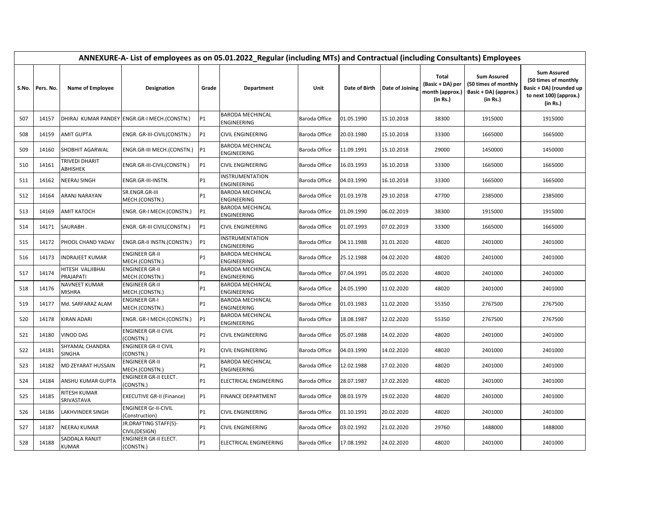|     | ANNEXURE-A- List of employees as on 05.01.2022_Regular (including MTs) and Contractual (including Consultants) Employees |                                   |                                               |                |                                        |               |               |                 |                                                                 |                                                                                 |                                                                                                             |  |  |
|-----|--------------------------------------------------------------------------------------------------------------------------|-----------------------------------|-----------------------------------------------|----------------|----------------------------------------|---------------|---------------|-----------------|-----------------------------------------------------------------|---------------------------------------------------------------------------------|-------------------------------------------------------------------------------------------------------------|--|--|
|     | S.No. Pers. No.                                                                                                          | Name of Employee                  | Designation                                   | Grade          | Department                             | Unit          | Date of Birth | Date of Joining | <b>Total</b><br>(Basic + DA) per<br>month (approx.)<br>(in Rs.) | <b>Sum Assured</b><br>(50 times of monthly<br>Basic + DA) (approx.)<br>(in Rs.) | <b>Sum Assured</b><br>(50 times of monthly<br>Basic + DA) (rounded up<br>to next 100) (approx.)<br>(in Rs.) |  |  |
| 507 | 14157                                                                                                                    |                                   | DHIRAJ KUMAR PANDEY ENGR.GR-I MECH.(CONSTN.)  | P <sub>1</sub> | <b>BARODA MECHINCAL</b><br>ENGINEERING | Baroda Office | 01.05.1990    | 15.10.2018      | 38300                                                           | 1915000                                                                         | 1915000                                                                                                     |  |  |
| 508 | 14159                                                                                                                    | <b>AMIT GUPTA</b>                 | ENGR. GR-III-CIVIL(CONSTN.)                   | <b>P1</b>      | CIVIL ENGINEERING                      | Baroda Office | 20.03.1980    | 15.10.2018      | 33300                                                           | 1665000                                                                         | 1665000                                                                                                     |  |  |
| 509 | 14160                                                                                                                    | SHOBHIT AGARWAL                   | ENGR.GR-III MECH.(CONSTN.)                    | P1             | <b>BARODA MECHINCAL</b><br>ENGINEERING | Baroda Office | 11.09.1991    | 15.10.2018      | 29000                                                           | 1450000                                                                         | 1450000                                                                                                     |  |  |
| 510 | 14161                                                                                                                    | TRIVEDI DHARIT<br>ABHISHEK        | ENGR.GR-III-CIVIL(CONSTN.)                    | <b>P1</b>      | CIVIL ENGINEERING                      | Baroda Office | 16.03.1993    | 16.10.2018      | 33300                                                           | 1665000                                                                         | 1665000                                                                                                     |  |  |
| 511 | 14162                                                                                                                    | <b>NEERAJ SINGH</b>               | ENGR.GR-III-INSTN.                            | <b>P1</b>      | INSTRUMENTATION<br>ENGINEERING         | Baroda Office | 04.03.1990    | 16.10.2018      | 33300                                                           | 1665000                                                                         | 1665000                                                                                                     |  |  |
| 512 | 14164                                                                                                                    | ARANJ NARAYAN                     | SR.ENGR.GR-III<br>MECH.(CONSTN.)              | P1             | BARODA MECHINCAL<br>ENGINEERING        | Baroda Office | 01.03.1978    | 29.10.2018      | 47700                                                           | 2385000                                                                         | 2385000                                                                                                     |  |  |
| 513 | 14169                                                                                                                    | <b>AMIT KATOCH</b>                | ENGR. GR-I MECH.(CONSTN.)                     | <b>P1</b>      | BARODA MECHINCAL<br>ENGINEERING        | Baroda Office | 01.09.1990    | 06.02.2019      | 38300                                                           | 1915000                                                                         | 1915000                                                                                                     |  |  |
| 514 | 14171                                                                                                                    | SAURABH.                          | ENGR. GR-III CIVIL(CONSTN.)                   | P1             | CIVIL ENGINEERING                      | Baroda Office | 01.07.1993    | 07.02.2019      | 33300                                                           | 1665000                                                                         | 1665000                                                                                                     |  |  |
| 515 | 14172                                                                                                                    | PHOOL CHAND YADAV                 | ENGR.GR-II INSTN.(CONSTN.)                    | <b>P1</b>      | INSTRUMENTATION<br>ENGINEERING         | Baroda Office | 04.11.1988    | 31.01.2020      | 48020                                                           | 2401000                                                                         | 2401000                                                                                                     |  |  |
| 516 | 14173                                                                                                                    | <b>INDRAJEET KUMAR</b>            | <b>ENGINEER GR-II</b><br>MECH.(CONSTN.)       | Р1             | <b>BARODA MECHINCAL</b><br>ENGINEERING | Baroda Office | 25.12.1988    | 04.02.2020      | 48020                                                           | 2401000                                                                         | 2401000                                                                                                     |  |  |
| 517 | 14174                                                                                                                    | HITESH VALJIBHAI<br>PRAJAPATI     | <b>ENGINEER GR-II</b><br>MECH.(CONSTN.)       | Р1             | BARODA MECHINCAL<br>ENGINEERING        | Baroda Office | 07.04.1991    | 05.02.2020      | 48020                                                           | 2401000                                                                         | 2401000                                                                                                     |  |  |
| 518 | 14176                                                                                                                    | NAVNEET KUMAR<br>MISHRA           | <b>ENGINEER GR-II</b><br>MECH.(CONSTN.)       | P1             | BARODA MECHINCAL<br>ENGINEERING        | Baroda Office | 24.05.1990    | 11.02.2020      | 48020                                                           | 2401000                                                                         | 2401000                                                                                                     |  |  |
| 519 | 14177                                                                                                                    | Md. SARFARAZ ALAM                 | <b>ENGINEER GR-I</b><br>MECH.(CONSTN.)        | P1             | BARODA MECHINCAL<br>ENGINEERING        | Baroda Office | 01.03.1983    | 11.02.2020      | 55350                                                           | 2767500                                                                         | 2767500                                                                                                     |  |  |
| 520 | 14178                                                                                                                    | KIRAN ADARI                       | ENGR. GR-I MECH.(CONSTN.)                     | <b>P1</b>      | BARODA MECHINCAL<br>ENGINEERING        | Baroda Office | 18.08.1987    | 12.02.2020      | 55350                                                           | 2767500                                                                         | 2767500                                                                                                     |  |  |
| 521 | 14180                                                                                                                    | <b>VINOD DAS</b>                  | <b>ENGINEER GR-II CIVIL</b><br>CONSTN.)       | <b>P1</b>      | CIVIL ENGINEERING                      | Baroda Office | 05.07.1988    | 14.02.2020      | 48020                                                           | 2401000                                                                         | 2401000                                                                                                     |  |  |
| 522 | 14181                                                                                                                    | SHYAMAL CHANDRA<br>SINGHA         | <b>ENGINEER GR-II CIVIL</b><br>(CONSTN.)      | <b>P1</b>      | CIVIL ENGINEERING                      | Baroda Office | 04.03.1990    | 14.02.2020      | 48020                                                           | 2401000                                                                         | 2401000                                                                                                     |  |  |
| 523 | 14182                                                                                                                    | MD ZEYARAT HUSSAIN                | <b>ENGINEER GR-II</b><br>MECH.(CONSTN.)       | P1             | BARODA MECHINCAL<br>ENGINEERING        | Baroda Office | 12.02.1988    | 17.02.2020      | 48020                                                           | 2401000                                                                         | 2401000                                                                                                     |  |  |
| 524 | 14184                                                                                                                    | ANSHU KUMAR GUPTA                 | ENGINEER GR-II ELECT.<br>(CONSTN.)            | P1             | ELECTRICAL ENGINEERING                 | Baroda Office | 28.07.1987    | 17.02.2020      | 48020                                                           | 2401000                                                                         | 2401000                                                                                                     |  |  |
| 525 | 14185                                                                                                                    | <b>RITESH KUMAR</b><br>SRIVASTAVA | <b>EXECUTIVE GR-II (Finance)</b>              | P1             | <b>FINANCE DEPARTMENT</b>              | Baroda Office | 08.03.1979    | 19.02.2020      | 48020                                                           | 2401000                                                                         | 2401000                                                                                                     |  |  |
| 526 | 14186                                                                                                                    | <b>LAKHVINDER SINGH</b>           | <b>ENGINEER Gr-II-CIVIL</b><br>(Construction) | <b>P1</b>      | CIVIL ENGINEERING                      | Baroda Office | 01.10.1991    | 20.02.2020      | 48020                                                           | 2401000                                                                         | 2401000                                                                                                     |  |  |
| 527 | 14187                                                                                                                    | <b>NEERAJ KUMAR</b>               | JR.DRAFTING STAFF(5)-<br>CIVIL(DESIGN)        | P1             | CIVIL ENGINEERING                      | Baroda Office | 03.02.1992    | 21.02.2020      | 29760                                                           | 1488000                                                                         | 1488000                                                                                                     |  |  |
| 528 | 14188                                                                                                                    | SADDALA RANJIT<br>KUMAR           | ENGINEER GR-II ELECT.<br>(CONSTN.)            | <b>P1</b>      | ELECTRICAL ENGINEERING                 | Baroda Office | 17.08.1992    | 24.02.2020      | 48020                                                           | 2401000                                                                         | 2401000                                                                                                     |  |  |